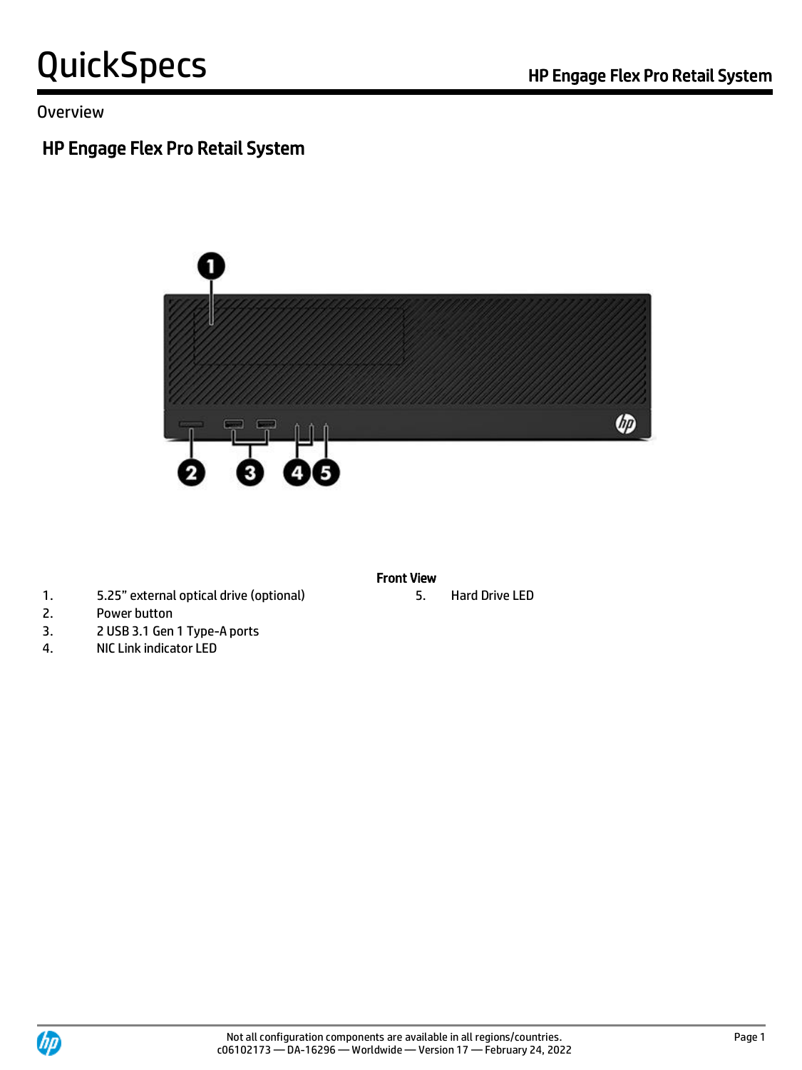Overview

# HP Engage Flex Pro Retail System



- 1. 5.25" external optical drive (optional) 5. Hard Drive LED
- 2. Power button
- 3. 2 USB 3.1 Gen 1 Type-A ports
- 4. NIC Link indicator LED

#### Front View

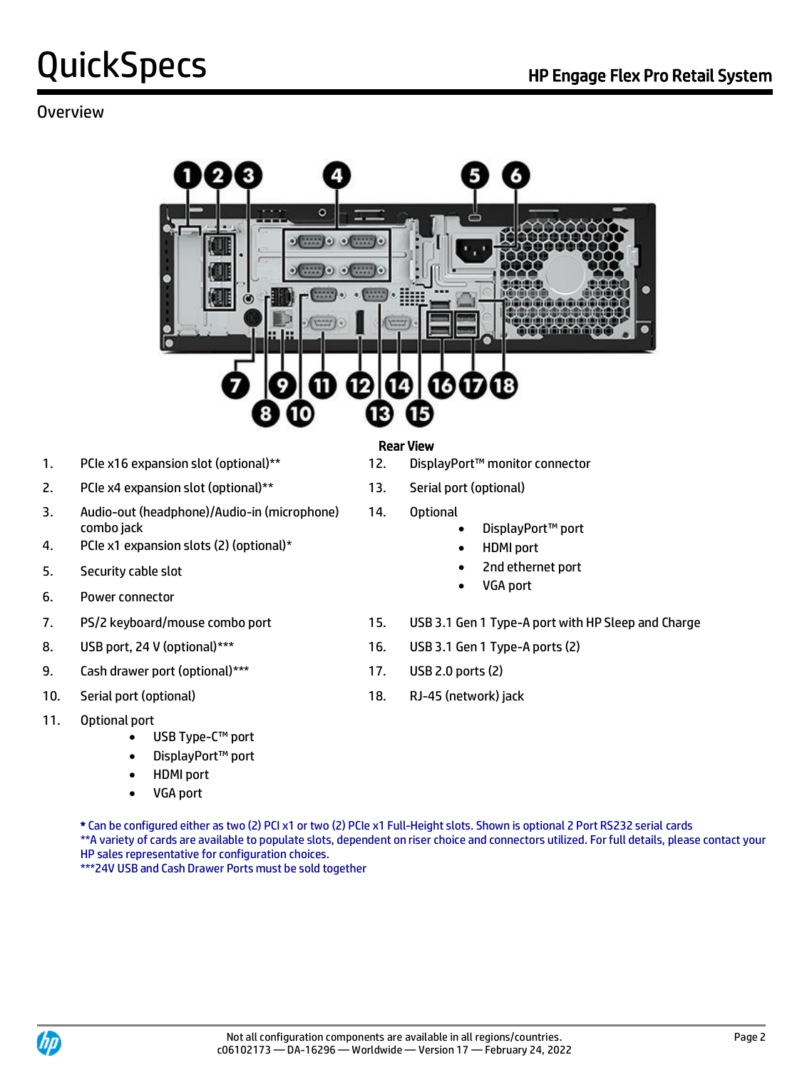#### Overview



- 1. PCIe x16 expansion slot (optional)\*\* 12. DisplayPort™ monitor connector
- 2. PCIe x4 expansion slot (optional)\*\* 13. Serial port (optional)
- 3. Audio-out (headphone)/Audio-in (microphone) combo jack
- 4. PCIe x1 expansion slots (2) (optional)\*
- 5. Security cable slot
- 6. Power connector
- 
- 
- 9. Cash drawer port (optional)\*\*\* 17. USB 2.0 ports (2)
- 
- 11. Optional port
	- USB Type-C™ port
	- DisplayPort<sup>™</sup> port
	- HDMI port
	- VGA port

#### Rear View

- 
- 
- 14. Optional
	- DisplayPort™ port
	- HDMI port
	- 2nd ethernet port
	- VGA port
- 7. PS/2 keyboard/mouse combo port 15. USB 3.1 Gen 1 Type-A port with HP Sleep and Charge
- 8. USB port, 24 V (optional)\*\*\* 16. USB 3.1 Gen 1 Type-A ports (2)
	-
- 10. Serial port (optional) 18. RJ-45 (network) jack

\* Can be configured either as two (2) PCI x1 or two (2) PCIe x1 Full-Height slots. Shown is optional 2 Port RS232 serial cards \*\*A variety of cards are available to populate slots, dependent on riser choice and connectors utilized. For full details, please contact your HP sales representative for configuration choices.

\*\*\*24V USB and Cash Drawer Ports must be sold together

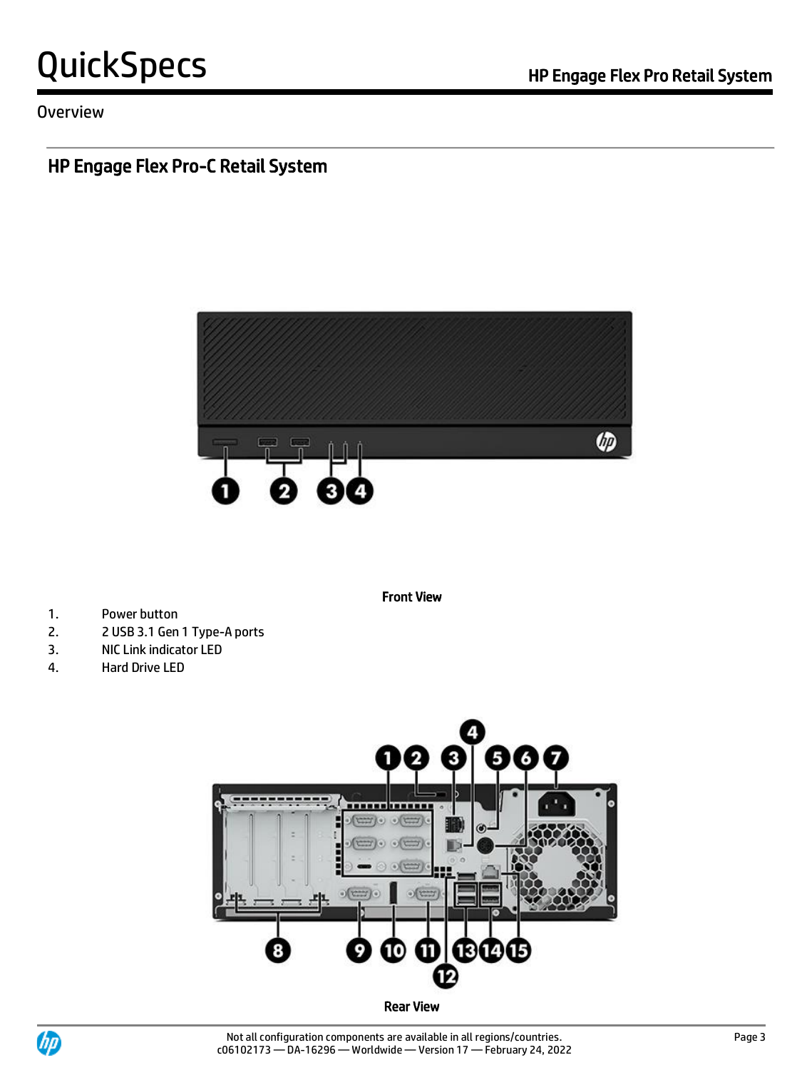#### Overview

# HP Engage Flex Pro-C Retail System



Front View

- 1. Power button
- 2. 2 USB 3.1 Gen 1 Type-A ports
- 3. NIC Link indicator LED
- 4. Hard Drive LED



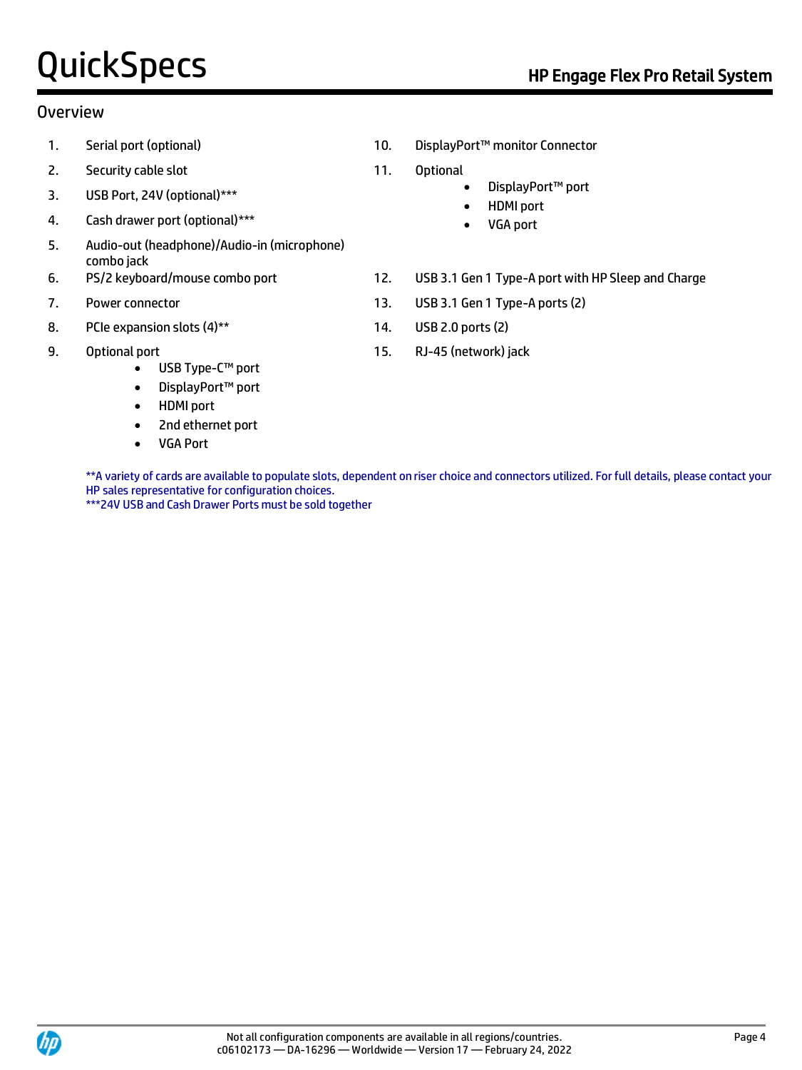#### Overview

- 
- 2. Security cable slot 11. Optional
- 3. USB Port, 24V (optional)\*\*\*
- 4. Cash drawer port (optional)\*\*\*
- 5. Audio-out (headphone)/Audio-in (microphone) combo jack
- 
- 
- 8. PCIe expansion slots (4)\*\* 14. USB 2.0 ports (2)
- 9. Optional port
	- USB Type-C™ port
	- DisplayPort™ port
	- HDMI port
	- 2nd ethernet port
	- VGA Port
- 1. Serial port (optional) 10. DisplayPort™ monitor Connector
	- - DisplayPort™ port
		- HDMI port
		- VGA port
- 6. PS/2 keyboard/mouse combo port 12. USB 3.1 Gen 1 Type-A port with HP Sleep and Charge
- 7. Power connector 13. USB 3.1 Gen 1 Type-A ports (2)
	-
	- 15. RJ-45 (network) jack

\*\*A variety of cards are available to populate slots, dependent on riser choice and connectors utilized. For full details, please contact your HP sales representative for configuration choices. \*\*\*24V USB and Cash Drawer Ports must be sold together

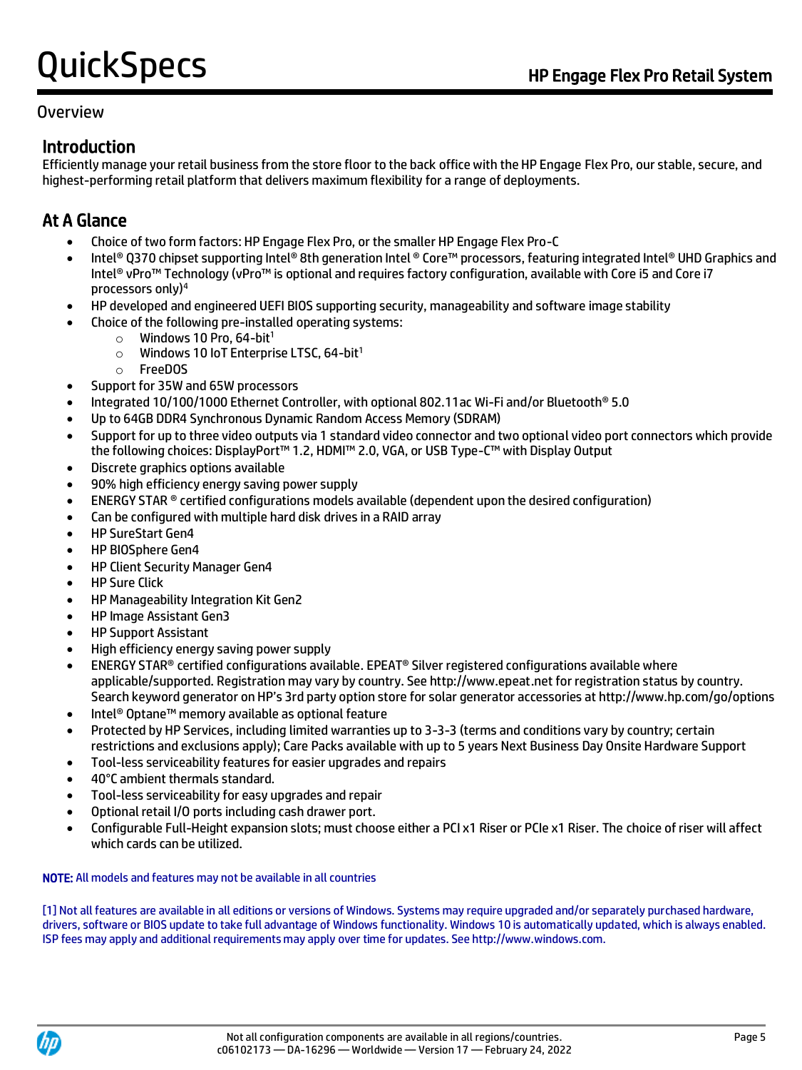#### Overview

### Introduction

Efficiently manage your retail business from the store floor to the back office with the HP Engage Flex Pro, our stable, secure, and highest-performing retail platform that delivers maximum flexibility for a range of deployments.

## At A Glance

- Choice of two form factors: HP Engage Flex Pro, or the smaller HP Engage Flex Pro-C
- Intel® Q370 chipset supporting Intel® 8th generation Intel ® Core™ processors, featuring integrated Intel® UHD Graphics and Intel® vPro™ Technology (vPro™ is optional and requires factory configuration, available with Core i5 and Core i7 processors only)<sup>4</sup>
- HP developed and engineered UEFI BIOS supporting security, manageability and software image stability
- Choice of the following pre-installed operating systems:
	- $\circ$  Windows 10 Pro, 64-bit<sup>1</sup>
	- $\circ$  Windows 10 IoT Enterprise LTSC, 64-bit<sup>1</sup>
	- o FreeDOS
- Support for 35W and 65W processors
- Integrated 10/100/1000 Ethernet Controller, with optional 802.11ac Wi-Fi and/or Bluetooth® 5.0
- Up to 64GB DDR4 Synchronous Dynamic Random Access Memory (SDRAM)
- Support for up to three video outputs via 1 standard video connector and two optional video port connectors which provide the following choices: DisplayPort™ 1.2, HDMI™ 2.0, VGA, or USB Type-C™ with Display Output
- Discrete graphics options available
- 90% high efficiency energy saving power supply
- ENERGY STAR ® certified configurations models available (dependent upon the desired configuration)
- Can be configured with multiple hard disk drives in a RAID array
- HP SureStart Gen4
- HP BIOSphere Gen4
- HP Client Security Manager Gen4
- HP Sure Click
- HP Manageability Integration Kit Gen2
- HP Image Assistant Gen3
- HP Support Assistant
- High efficiency energy saving power supply
- ENERGY STAR® certified configurations available. EPEAT® Silver registered configurations available where applicable/supported. Registration may vary by country. See http://www.epeat.net for registration status by country. Search keyword generator on HP's 3rd party option store for solar generator accessories at http://www.hp.com/go/options
- Intel® Optane™ memory available as optional feature
- Protected by HP Services, including limited warranties up to 3-3-3 (terms and conditions vary by country; certain restrictions and exclusions apply); Care Packs available with up to 5 years Next Business Day Onsite Hardware Support
- Tool-less serviceability features for easier upgrades and repairs
- 40°C ambient thermals standard.
- Tool-less serviceability for easy upgrades and repair
- Optional retail I/O ports including cash drawer port.
- Configurable Full-Height expansion slots; must choose either a PCI x1 Riser or PCIe x1 Riser. The choice of riser will affect which cards can be utilized.

#### NOTE: All models and features may not be available in all countries

[1] Not all features are available in all editions or versions of Windows. Systems may require upgraded and/or separately purchased hardware, drivers, software or BIOS update to take full advantage of Windows functionality. Windows 10 is automatically updated, which is always enabled. ISP fees may apply and additional requirements may apply over time for updates. See http://www.windows.com.

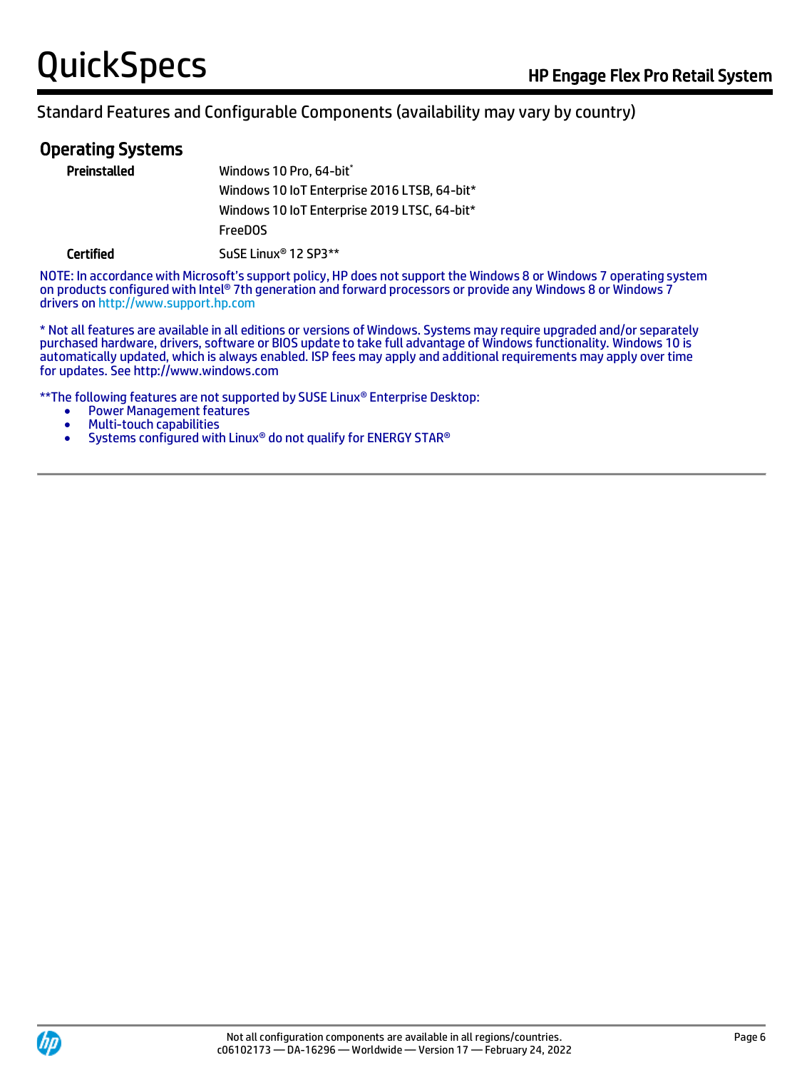# Operating Systems

| Preinstalled     | Windows 10 Pro, 64-bit*                      |
|------------------|----------------------------------------------|
|                  | Windows 10 IoT Enterprise 2016 LTSB, 64-bit* |
|                  | Windows 10 IoT Enterprise 2019 LTSC, 64-bit* |
|                  | <b>FreeDOS</b>                               |
| <b>Certified</b> | SuSE Linux <sup>®</sup> 12 SP3**             |

NOTE: In accordance with Microsoft's support policy, HP does not support the Windows 8 or Windows 7 operating system on products configured with Intel® 7th generation and forward processors or provide any Windows 8 or Windows 7 drivers on [http://www.support.hp.com](http://www.support.hp.com/)

\* Not all features are available in all editions or versions of Windows. Systems may require upgraded and/or separately purchased hardware, drivers, software or BIOS update to take full advantage of Windows functionality. Windows 10 is automatically updated, which is always enabled. ISP fees may apply and additional requirements may apply over time for updates. See http://www.windows.com

\*\*The following features are not supported by SUSE Linux® Enterprise Desktop:

- Power Management features
- Multi-touch capabilities
- Systems configured with Linux® do not qualify for ENERGY STAR®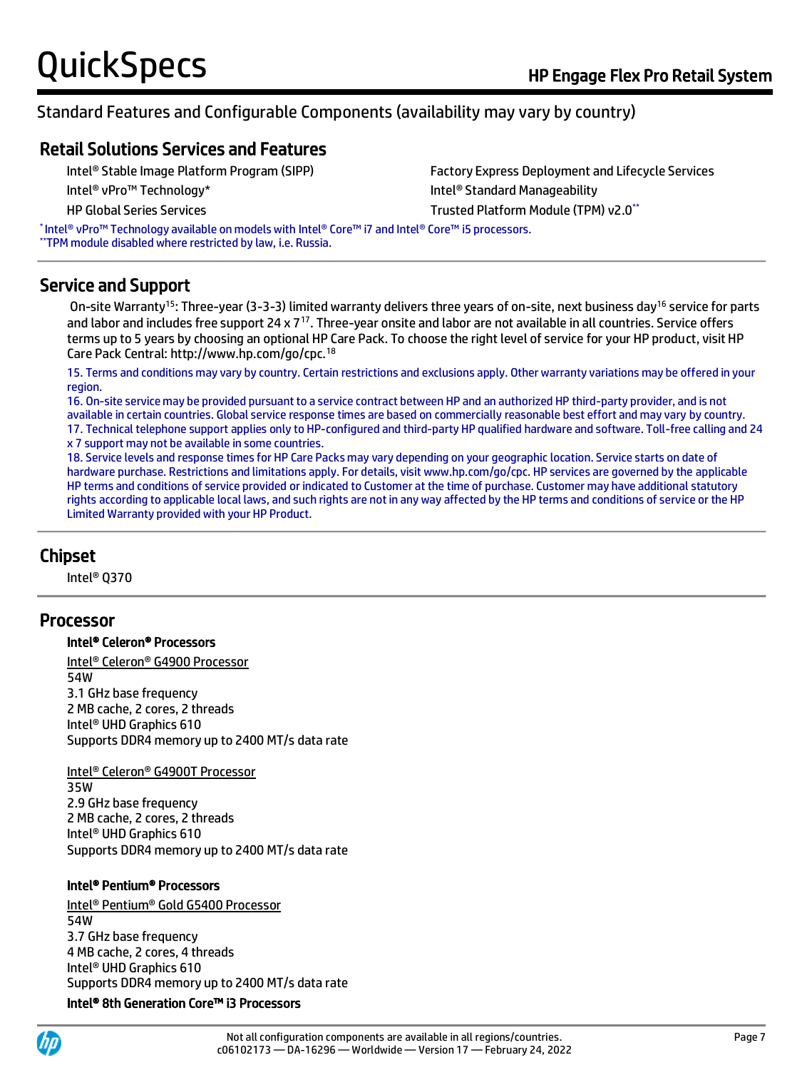#### Retail Solutions Services and Features

Intel® Stable Image Platform Program (SIPP) Factory Express Deployment and Lifecycle Services Intel® vPro™ Technology\* Intel® Standard Manageability HP Global Series Services Trusted Platform Module (TPM) v2.0 \*\*

\* Intel® vPro™ Technology available on models with Intel® Core™ i7 and Intel® Core™ i5 processors. \*\*TPM module disabled where restricted by law, i.e. Russia.

#### Service and Support

On-site Warranty<sup>15</sup>: Three-year (3-3-3) limited warranty delivers three years of on-site, next business day<sup>16</sup> service for parts and labor and includes free support 24 x  $7^{17}$ . Three-year onsite and labor are not available in all countries. Service offers terms up to 5 years by choosing an optional HP Care Pack. To choose the right level of service for your HP product, visit HP Care Pack Central: http://www.hp.com/go/cpc.<sup>18</sup>

15. Terms and conditions may vary by country. Certain restrictions and exclusions apply. Other warranty variations may be offered in your region.

16. On-site service may be provided pursuant to a service contract between HP and an authorized HP third-party provider, and is not available in certain countries. Global service response times are based on commercially reasonable best effort and may vary by country.

17. Technical telephone support applies only to HP-configured and third-party HP qualified hardware and software. Toll-free calling and 24 x 7 support may not be available in some countries.

18. Service levels and response times for HP Care Packs may vary depending on your geographic location. Service starts on date of hardware purchase. Restrictions and limitations apply. For details, visit www.hp.com/go/cpc. HP services are governed by the applicable HP terms and conditions of service provided or indicated to Customer at the time of purchase. Customer may have additional statutory rights according to applicable local laws, and such rights are not in any way affected by the HP terms and conditions of service or the HP Limited Warranty provided with your HP Product.

#### Chipset

Intel® Q370

#### Processor

#### Intel® Celeron® Processors

Intel® Celeron® G4900 Processor 54W 3.1 GHz base frequency 2 MB cache, 2 cores, 2 threads Intel® UHD Graphics 610 Supports DDR4 memory up to 2400 MT/s data rate

#### Intel® Celeron® G4900T Processor

35W 2.9 GHz base frequency 2 MB cache, 2 cores, 2 threads Intel® UHD Graphics 610 Supports DDR4 memory up to 2400 MT/s data rate

#### Intel® Pentium® Processors

Intel® Pentium® Gold G5400 Processor 54W 3.7 GHz base frequency 4 MB cache, 2 cores, 4 threads Intel® UHD Graphics 610 Supports DDR4 memory up to 2400 MT/s data rate Intel® 8th Generation Core™ i3 Processors

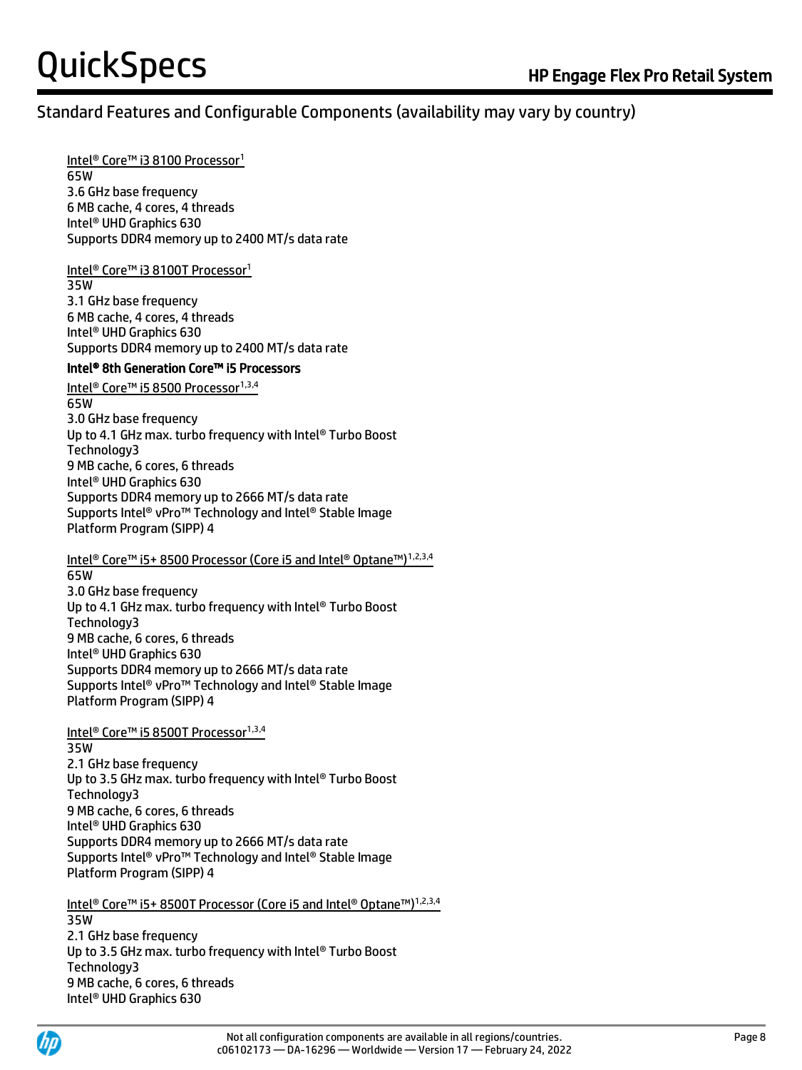### Standard Features and Configurable Components (availability may vary by country)

#### Intel® Core™ i3 8100 Processor<sup>1</sup>

65W 3.6 GHz base frequency 6 MB cache, 4 cores, 4 threads Intel® UHD Graphics 630 Supports DDR4 memory up to 2400 MT/s data rate

#### Intel<sup>®</sup> Core™ i3 8100T Processor<sup>1</sup>

35W 3.1 GHz base frequency 6 MB cache, 4 cores, 4 threads Intel® UHD Graphics 630 Supports DDR4 memory up to 2400 MT/s data rate

#### Intel® 8th Generation Core™ i5 Processors

Intel® Core™ i5 8500 Processor<sup>1,3,4</sup> 65W 3.0 GHz base frequency

Up to 4.1 GHz max. turbo frequency with Intel® Turbo Boost Technology3 9 MB cache, 6 cores, 6 threads Intel® UHD Graphics 630 Supports DDR4 memory up to 2666 MT/s data rate Supports Intel® vPro™ Technology and Intel® Stable Image Platform Program (SIPP) 4

Intel® Core™ i5+ 8500 Processor (Core i5 and Intel® Optane™)1,2,3,4

65W 3.0 GHz base frequency Up to 4.1 GHz max. turbo frequency with Intel® Turbo Boost Technology3 9 MB cache, 6 cores, 6 threads Intel® UHD Graphics 630 Supports DDR4 memory up to 2666 MT/s data rate Supports Intel® vPro™ Technology and Intel® Stable Image Platform Program (SIPP) 4

#### Intel® Core™ i5 8500T Processor<sup>1,3,4</sup>

35W

2.1 GHz base frequency Up to 3.5 GHz max. turbo frequency with Intel® Turbo Boost Technology3 9 MB cache, 6 cores, 6 threads Intel® UHD Graphics 630 Supports DDR4 memory up to 2666 MT/s data rate Supports Intel® vPro™ Technology and Intel® Stable Image Platform Program (SIPP) 4

Intel® Core™ i5+ 8500T Processor (Core i5 and Intel® Optane™)1,2,3,4 35W 2.1 GHz base frequency Up to 3.5 GHz max. turbo frequency with Intel® Turbo Boost Technology3 9 MB cache, 6 cores, 6 threads Intel® UHD Graphics 630

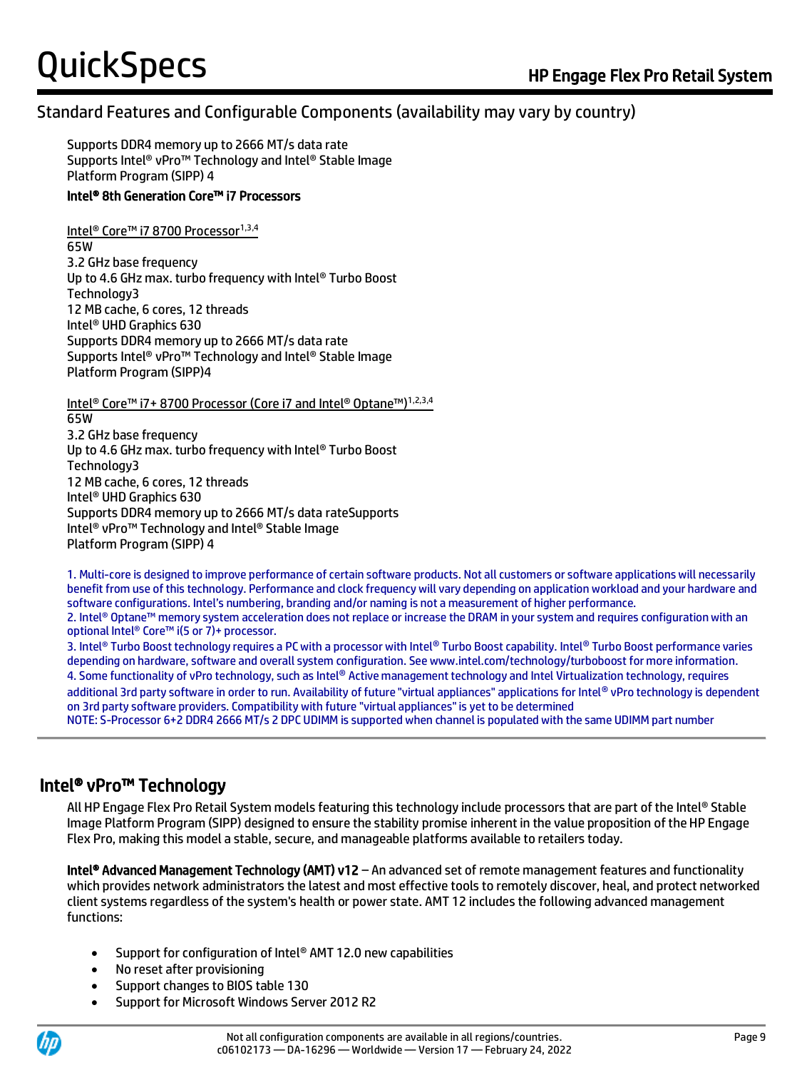#### Standard Features and Configurable Components (availability may vary by country)

Supports DDR4 memory up to 2666 MT/s data rate Supports Intel® vPro™ Technology and Intel® Stable Image Platform Program (SIPP) 4

#### Intel® 8th Generation Core™ i7 Processors

Intel<sup>®</sup> Core™ i7 8700 Processor<sup>1,3,4</sup> 65W 3.2 GHz base frequency Up to 4.6 GHz max. turbo frequency with Intel® Turbo Boost Technology3 12 MB cache, 6 cores, 12 threads Intel® UHD Graphics 630 Supports DDR4 memory up to 2666 MT/s data rate Supports Intel® vPro™ Technology and Intel® Stable Image Platform Program (SIPP)4

Intel® Core™ i7+ 8700 Processor (Core i7 and Intel® Optane™)1,2,3,4

65W 3.2 GHz base frequency Up to 4.6 GHz max. turbo frequency with Intel® Turbo Boost Technology3 12 MB cache, 6 cores, 12 threads Intel® UHD Graphics 630 Supports DDR4 memory up to 2666 MT/s data rateSupports Intel® vPro™ Technology and Intel® Stable Image Platform Program (SIPP) 4

1. Multi-core is designed to improve performance of certain software products. Not all customers or software applications will necessarily benefit from use of this technology. Performance and clock frequency will vary depending on application workload and your hardware and software configurations. Intel's numbering, branding and/or naming is not a measurement of higher performance.

2. Intel® Optane™ memory system acceleration does not replace or increase the DRAM in your system and requires configuration with an optional Intel® Core™ i(5 or 7)+ processor.

3. Intel® Turbo Boost technology requires a PC with a processor with Intel® Turbo Boost capability. Intel® Turbo Boost performance varies depending on hardware, software and overall system configuration. See www.intel.com/technology/turboboost for more information. 4. Some functionality of vPro technology, such as Intel® Active management technology and Intel Virtualization technology, requires additional 3rd party software in order to run. Availability of future "virtual appliances" applications for Intel® vPro technology is dependent on 3rd party software providers. Compatibility with future "virtual appliances" is yet to be determined NOTE: S-Processor 6+2 DDR4 2666 MT/s 2 DPC UDIMM is supported when channel is populated with the same UDIMM part number

#### Intel® vPro™ Technology

All HP Engage Flex Pro Retail System models featuring this technology include processors that are part of the Intel® Stable Image Platform Program (SIPP) designed to ensure the stability promise inherent in the value proposition of the HP Engage Flex Pro, making this model a stable, secure, and manageable platforms available to retailers today.

Intel® Advanced Management Technology (AMT) v12 – An advanced set of remote management features and functionality which provides network administrators the latest and most effective tools to remotely discover, heal, and protect networked client systems regardless of the system's health or power state. AMT 12 includes the following advanced management functions:

- Support for configuration of Intel® AMT 12.0 new capabilities
- No reset after provisioning
- Support changes to BIOS table 130
- Support for Microsoft Windows Server 2012 R2

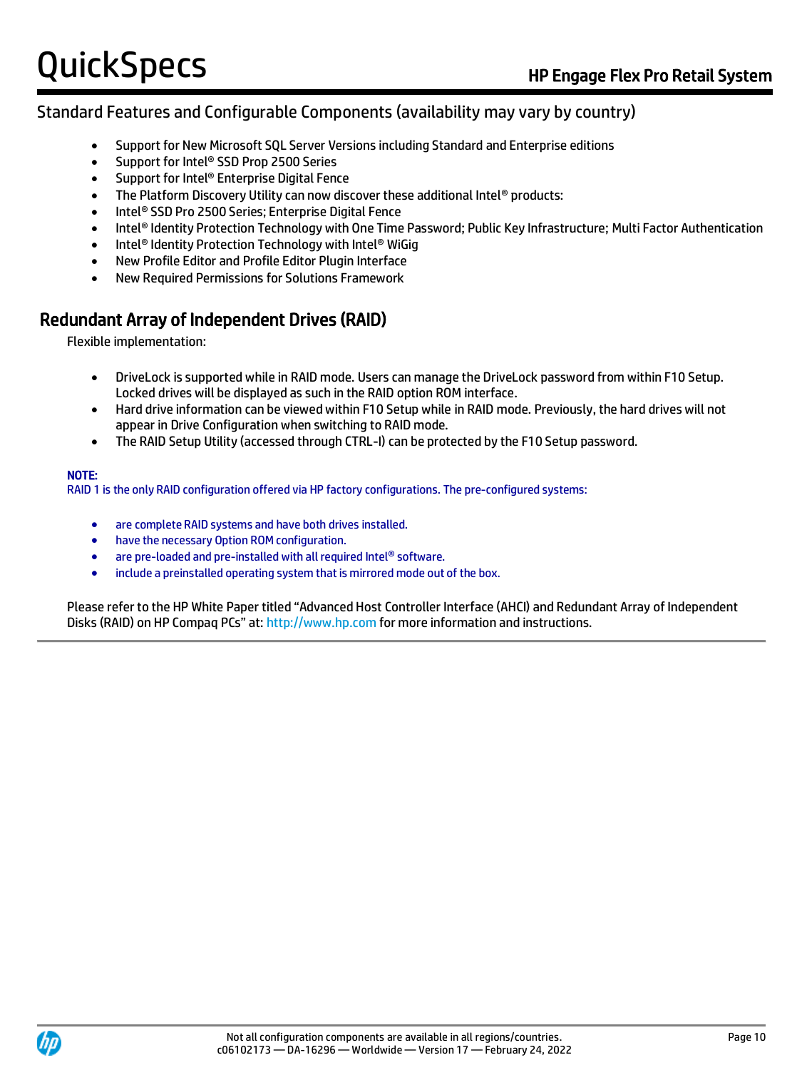#### Standard Features and Configurable Components (availability may vary by country)

- Support for New Microsoft SQL Server Versions including Standard and Enterprise editions
- Support for Intel® SSD Prop 2500 Series
- Support for Intel® Enterprise Digital Fence
- The Platform Discovery Utility can now discover these additional Intel® products:
- Intel® SSD Pro 2500 Series; Enterprise Digital Fence
- Intel® Identity Protection Technology with One Time Password; Public Key Infrastructure; Multi Factor Authentication
- Intel<sup>®</sup> Identity Protection Technology with Intel<sup>®</sup> WiGig
- New Profile Editor and Profile Editor Plugin Interface
- New Required Permissions for Solutions Framework

#### Redundant Array of Independent Drives (RAID)

Flexible implementation:

- DriveLock is supported while in RAID mode. Users can manage the DriveLock password from within F10 Setup. Locked drives will be displayed as such in the RAID option ROM interface.
- Hard drive information can be viewed within F10 Setup while in RAID mode. Previously, the hard drives will not appear in Drive Configuration when switching to RAID mode.
- The RAID Setup Utility (accessed through CTRL-I) can be protected by the F10 Setup password.

#### NOTE:

RAID 1 is the only RAID configuration offered via HP factory configurations. The pre-configured systems:

- are complete RAID systems and have both drives installed.
- have the necessary Option ROM configuration.
- are pre-loaded and pre-installed with all required Intel® software.
- include a preinstalled operating system that is mirrored mode out of the box.

Please refer to the HP White Paper titled "Advanced Host Controller Interface (AHCI) and Redundant Array of Independent Disks (RAID) on HP Compaq PCs" at: [http://www.hp.com](http://www.hp.com/) for more information and instructions.

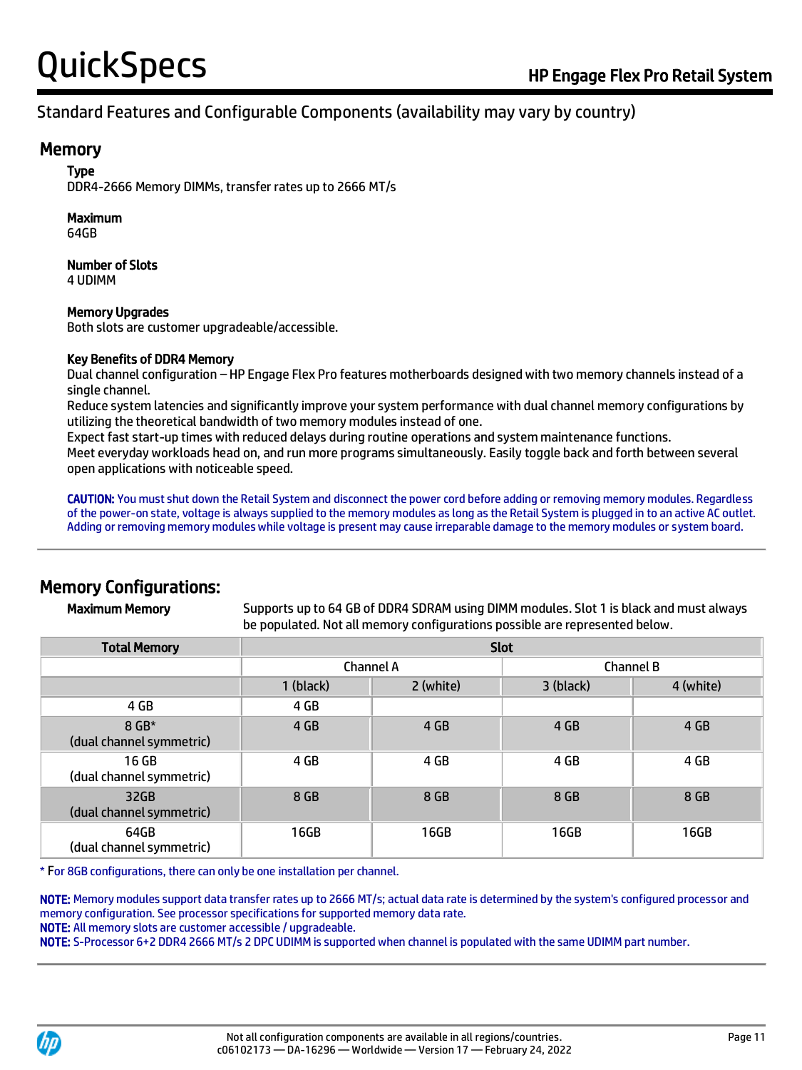#### **Memory**

Type

DDR4-2666 Memory DIMMs, transfer rates up to 2666 MT/s

#### Maximum

64GB

#### Number of Slots 4 UDIMM

#### Memory Upgrades

Both slots are customer upgradeable/accessible.

#### Key Benefits of DDR4 Memory

Dual channel configuration – HP Engage Flex Pro features motherboards designed with two memory channels instead of a single channel.

Reduce system latencies and significantly improve your system performance with dual channel memory configurations by utilizing the theoretical bandwidth of two memory modules instead of one.

Expect fast start-up times with reduced delays during routine operations and system maintenance functions.

Meet everyday workloads head on, and run more programs simultaneously. Easily toggle back and forth between several open applications with noticeable speed.

CAUTION: You must shut down the Retail System and disconnect the power cord before adding or removing memory modules. Regardless of the power-on state, voltage is always supplied to the memory modules as long as the Retail System is plugged in to an active AC outlet. Adding or removing memory modules while voltage is present may cause irreparable damage to the memory modules or system board.

### Memory Configurations:

Maximum Memory Supports up to 64 GB of DDR4 SDRAM using DIMM modules. Slot 1 is black and must always be populated. Not all memory configurations possible are represented below.

| <b>Total Memory</b>               | <b>Slot</b> |           |           |           |
|-----------------------------------|-------------|-----------|-----------|-----------|
|                                   |             | Channel A |           | Channel B |
|                                   | 1 (black)   | 2 (white) | 3 (black) | 4 (white) |
| 4 GB                              | 4 GB        |           |           |           |
| 8 GB*<br>(dual channel symmetric) | 4 GB        | 4 GB      | 4 GB      | 4 GB      |
| 16 GB<br>(dual channel symmetric) | 4 GB        | 4 GB      | 4 GB      | 4 GB      |
| 32GB<br>(dual channel symmetric)  | 8 GB        | 8 GB      | 8 GB      | 8 GB      |
| 64GB<br>(dual channel symmetric)  | 16GB        | 16GB      | 16GB      | 16GB      |

\* For 8GB configurations, there can only be one installation per channel.

NOTE: Memory modules support data transfer rates up to 2666 MT/s; actual data rate is determined by the system's configured processor and memory configuration. See processor specifications for supported memory data rate.

NOTE: All memory slots are customer accessible / upgradeable.

NOTE: S-Processor 6+2 DDR4 2666 MT/s 2 DPC UDIMM is supported when channel is populated with the same UDIMM part number.

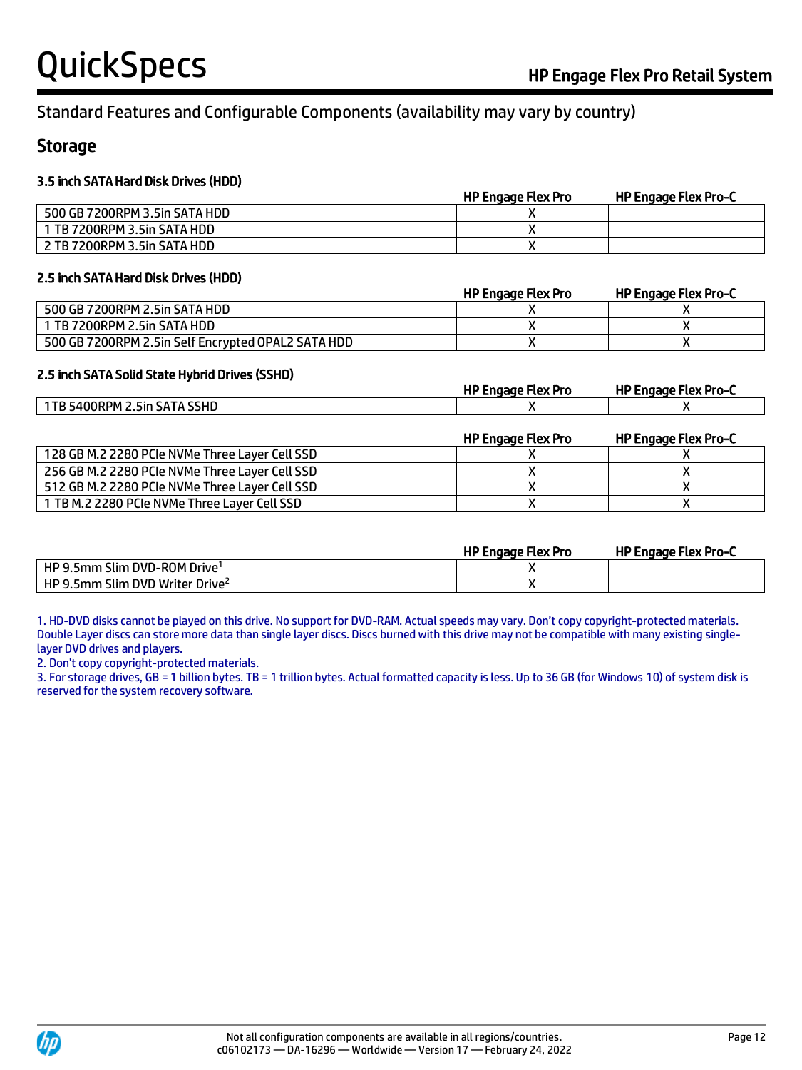#### Storage

#### 3.5 inch SATA Hard Disk Drives (HDD)

|                               | <b>HP Engage Flex Pro</b> | HP Engage Flex Pro-C |
|-------------------------------|---------------------------|----------------------|
| 500 GB 7200RPM 3.5in SATA HDD |                           |                      |
| 1 TB 7200RPM 3.5in SATA HDD   |                           |                      |
| 2 TB 7200RPM 3.5in SATA HDD   |                           |                      |

#### 2.5 inch SATA Hard Disk Drives (HDD)

|                                                    | HP Engage Flex Pro | HP Engage Flex Pro-C |
|----------------------------------------------------|--------------------|----------------------|
| 500 GB 7200RPM 2.5in SATA HDD                      |                    |                      |
| 1 TB 7200RPM 2.5in SATA HDD                        |                    |                      |
| 500 GB 7200RPM 2.5in Self Encrypted OPAL2 SATA HDD |                    |                      |

#### 2.5 inch SATA Solid State Hybrid Drives (SSHD)

|                                                | <b>HP Engage Flex Pro</b> | <b>HP Engage Flex Pro-C</b> |
|------------------------------------------------|---------------------------|-----------------------------|
| 1TB 5400RPM 2.5in SATA SSHD                    |                           |                             |
|                                                | <b>HP Engage Flex Pro</b> | <b>HP Engage Flex Pro-C</b> |
| 128 GB M.2 2280 PCIe NVMe Three Layer Cell SSD |                           |                             |
| 256 GB M.2 2280 PCIe NVMe Three Layer Cell SSD |                           |                             |
| 512 GB M.2 2280 PCIe NVMe Three Layer Cell SSD |                           |                             |
| 1 TB M.2 2280 PCIe NVMe Three Layer Cell SSD   |                           |                             |

|                                                 | <b>HP Engage Flex Pro</b> | <b>HP Engage Flex Pro-C</b> |
|-------------------------------------------------|---------------------------|-----------------------------|
| $\mid$ HP 9.5mm Slim DVD-ROM Drive <sup>1</sup> |                           |                             |
| HP 9.5mm Slim DVD Writer Drive <sup>2</sup>     |                           |                             |

1. HD-DVD disks cannot be played on this drive. No support for DVD-RAM. Actual speeds may vary. Don't copy copyright-protected materials. Double Layer discs can store more data than single layer discs. Discs burned with this drive may not be compatible with many existing singlelayer DVD drives and players.

2. Don't copy copyright-protected materials.

3. For storage drives, GB = 1 billion bytes. TB = 1 trillion bytes. Actual formatted capacity is less. Up to 36 GB (for Windows 10) of system disk is reserved for the system recovery software.

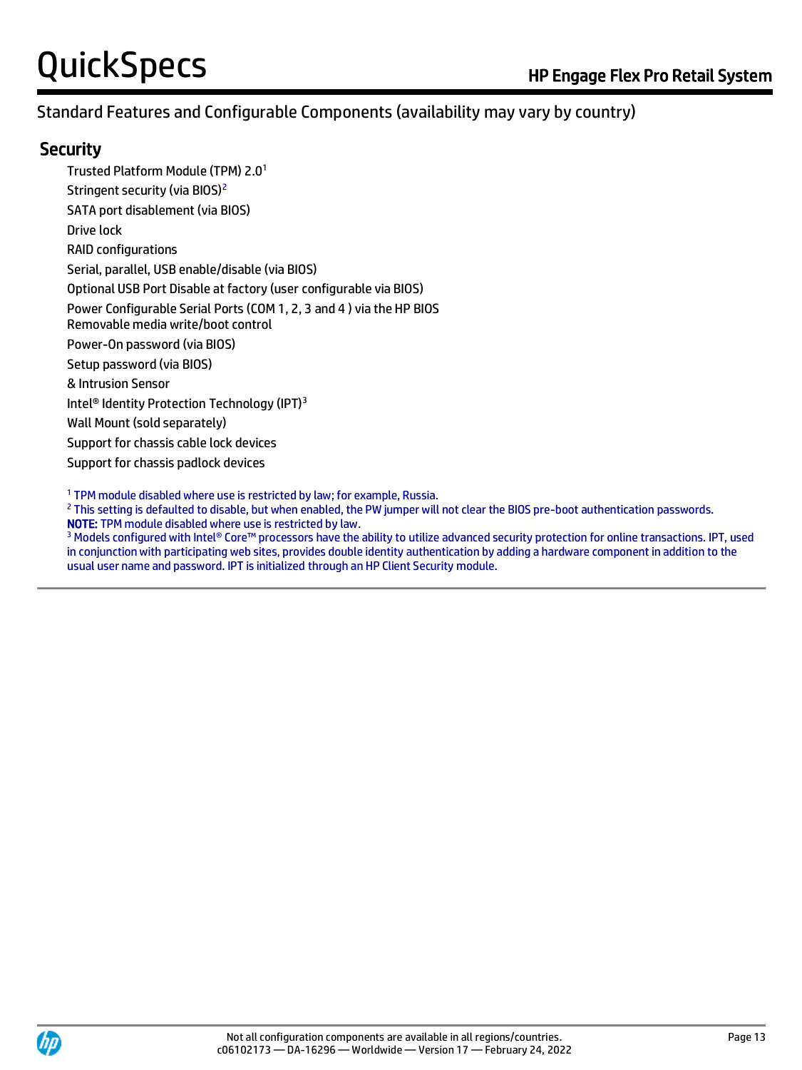#### **Security**

Trusted Platform Module (TPM) 2.0 1 Stringent security (via BIOS)<sup>2</sup> SATA port disablement (via BIOS) Drive lock RAID configurations Serial, parallel, USB enable/disable (via BIOS) Optional USB Port Disable at factory (user configurable via BIOS) Power Configurable Serial Ports (COM 1, 2, 3 and 4 ) via the HP BIOS Removable media write/boot control Power-On password (via BIOS) Setup password (via BIOS) & Intrusion Sensor Intel<sup>®</sup> Identity Protection Technology (IPT)<sup>3</sup> Wall Mount (sold separately) Support for chassis cable lock devices Support for chassis padlock devices

<sup>1</sup> TPM module disabled where use is restricted by law; for example, Russia.

<sup>2</sup> This setting is defaulted to disable, but when enabled, the PW jumper will not clear the BIOS pre-boot authentication passwords. NOTE: TPM module disabled where use is restricted by law.

<sup>3</sup> Models configured with Intel® Core™ processors have the ability to utilize advanced security protection for online transactions. IPT, used in conjunction with participating web sites, provides double identity authentication by adding a hardware component in addition to the usual user name and password. IPT is initialized through an HP Client Security module.

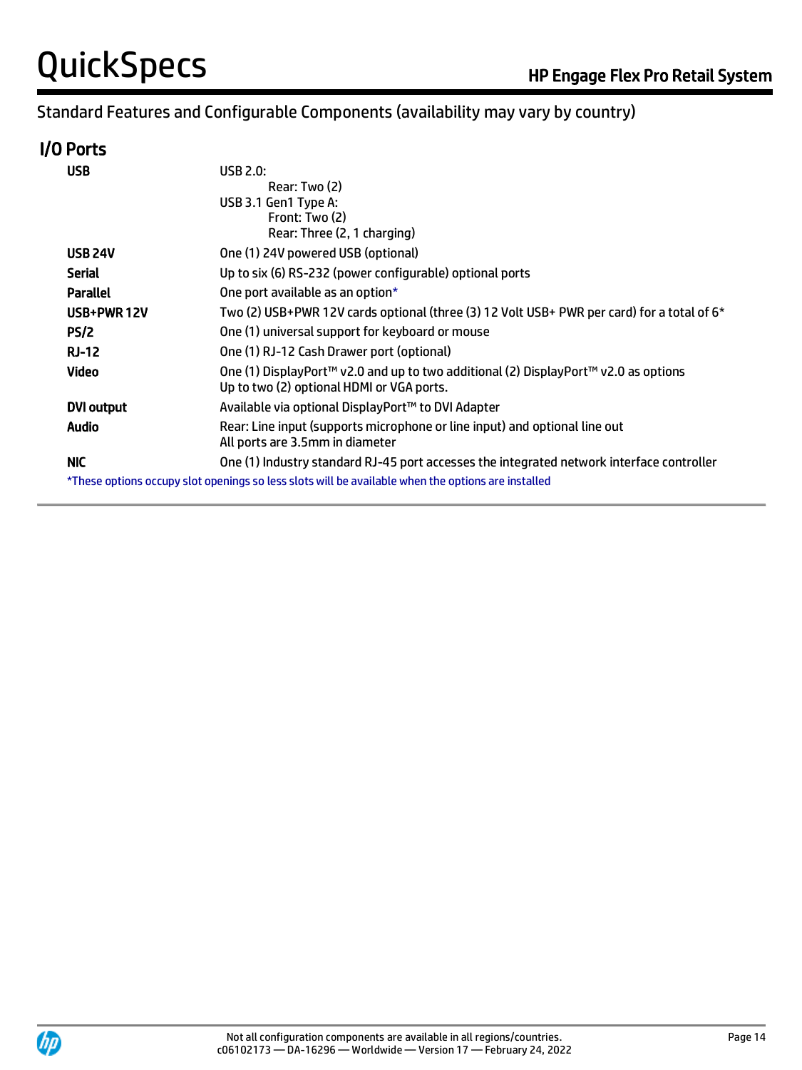### I/O Ports

| <b>USB</b>        | <b>USB 2.0:</b>                                                                                                                  |
|-------------------|----------------------------------------------------------------------------------------------------------------------------------|
|                   | Rear: Two (2)                                                                                                                    |
|                   | USB 3.1 Gen1 Type A:                                                                                                             |
|                   | Front: Two (2)                                                                                                                   |
|                   | Rear: Three (2, 1 charging)                                                                                                      |
| <b>USB 24V</b>    | One (1) 24V powered USB (optional)                                                                                               |
| <b>Serial</b>     | Up to six (6) RS-232 (power configurable) optional ports                                                                         |
| Parallel          | One port available as an option*                                                                                                 |
| USB+PWR12V        | Two (2) USB+PWR 12V cards optional (three (3) 12 Volt USB+ PWR per card) for a total of 6*                                       |
| PS/2              | One (1) universal support for keyboard or mouse                                                                                  |
| <b>RJ-12</b>      | One (1) RJ-12 Cash Drawer port (optional)                                                                                        |
| Video             | One (1) DisplayPort™ v2.0 and up to two additional (2) DisplayPort™ v2.0 as options<br>Up to two (2) optional HDMI or VGA ports. |
| <b>DVI output</b> | Available via optional DisplayPort™ to DVI Adapter                                                                               |
| <b>Audio</b>      | Rear: Line input (supports microphone or line input) and optional line out<br>All ports are 3.5mm in diameter                    |
| NIC.              | One (1) Industry standard RJ-45 port accesses the integrated network interface controller                                        |
|                   | *These options occupy slot openings so less slots will be available when the options are installed                               |

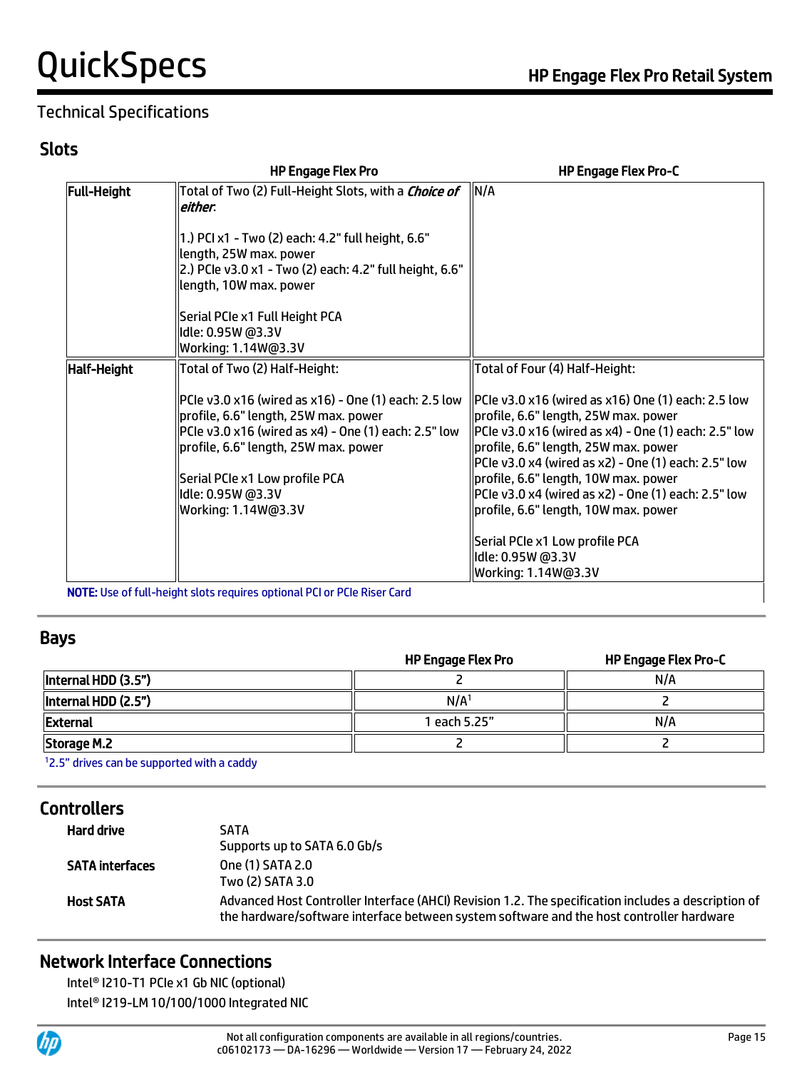### Technical Specifications

#### Slots

|                    | <b>HP Engage Flex Pro</b>                                                                                                                                                                                                                           | <b>HP Engage Flex Pro-C</b>                                                                                                                                                                                                                                                                                                                           |
|--------------------|-----------------------------------------------------------------------------------------------------------------------------------------------------------------------------------------------------------------------------------------------------|-------------------------------------------------------------------------------------------------------------------------------------------------------------------------------------------------------------------------------------------------------------------------------------------------------------------------------------------------------|
| <b>Full-Height</b> | Total of Two (2) Full-Height Slots, with a <i>Choice of</i><br>either.                                                                                                                                                                              | N/A                                                                                                                                                                                                                                                                                                                                                   |
|                    | 1.) PCI x1 - Two (2) each: 4.2" full height, 6.6"<br>length, 25W max. power<br>2.) PCIe v3.0 x1 - Two (2) each: 4.2" full height, 6.6"<br>length, 10W max. power                                                                                    |                                                                                                                                                                                                                                                                                                                                                       |
|                    | Serial PCIe x1 Full Height PCA                                                                                                                                                                                                                      |                                                                                                                                                                                                                                                                                                                                                       |
|                    | Idle: 0.95W @3.3V<br>Working: 1.14W@3.3V                                                                                                                                                                                                            |                                                                                                                                                                                                                                                                                                                                                       |
| Half-Height        | Total of Two (2) Half-Height:                                                                                                                                                                                                                       | Total of Four (4) Half-Height:                                                                                                                                                                                                                                                                                                                        |
|                    | PCle v3.0 x16 (wired as x16) - One (1) each: 2.5 low<br>profile, 6.6" length, 25W max. power<br>PCle v3.0 x16 (wired as x4) - One (1) each: 2.5" low<br>profile, 6.6" length, 25W max. power<br>Serial PCIe x1 Low profile PCA<br>Idle: 0.95W @3.3V | $ P$ Cle v3.0 x16 (wired as x16) One (1) each: 2.5 low<br>profile, 6.6" length, 25W max. power<br> PCIe v3.0 x16 (wired as x4) - One (1) each: 2.5" low<br>profile, 6.6" length, 25W max. power<br>PCIe v3.0 x4 (wired as x2) - One (1) each: 2.5" low<br>profile, 6.6" length, 10W max. power<br>PCIe v3.0 x4 (wired as x2) - One (1) each: 2.5" low |
|                    | Working: 1.14W@3.3V                                                                                                                                                                                                                                 | profile, 6.6" length, 10W max. power                                                                                                                                                                                                                                                                                                                  |
|                    |                                                                                                                                                                                                                                                     | Serial PCIe x1 Low profile PCA                                                                                                                                                                                                                                                                                                                        |
|                    |                                                                                                                                                                                                                                                     | Idle: 0.95W @3.3V                                                                                                                                                                                                                                                                                                                                     |
|                    |                                                                                                                                                                                                                                                     | Working: 1.14W@3.3V                                                                                                                                                                                                                                                                                                                                   |

NOTE: Use of full-height slots requires optional PCI or PCIe Riser Card

#### Bays

|                     | <b>HP Engage Flex Pro</b> | HP Engage Flex Pro-C |
|---------------------|---------------------------|----------------------|
| Internal HDD (3.5") |                           | N/A                  |
| Internal HDD (2.5") | N/A <sup>1</sup>          |                      |
| <b>External</b>     | 1 each 5.25"              | N/A                  |
| Storage M.2         |                           |                      |
| $\sim$ $       -$   |                           |                      |

<sup>1</sup>2.5" drives can be supported with a caddy

### **Controllers**

| Hard drive             | <b>SATA</b><br>Supports up to SATA 6.0 Gb/s                                                                                                                                                     |
|------------------------|-------------------------------------------------------------------------------------------------------------------------------------------------------------------------------------------------|
| <b>SATA</b> interfaces | One (1) SATA 2.0<br>Two (2) SATA 3.0                                                                                                                                                            |
| <b>Host SATA</b>       | Advanced Host Controller Interface (AHCI) Revision 1.2. The specification includes a description of<br>the hardware/software interface between system software and the host controller hardware |

### Network Interface Connections

Intel® I210-T1 PCIe x1 Gb NIC (optional) Intel® I219-LM 10/100/1000 Integrated NIC

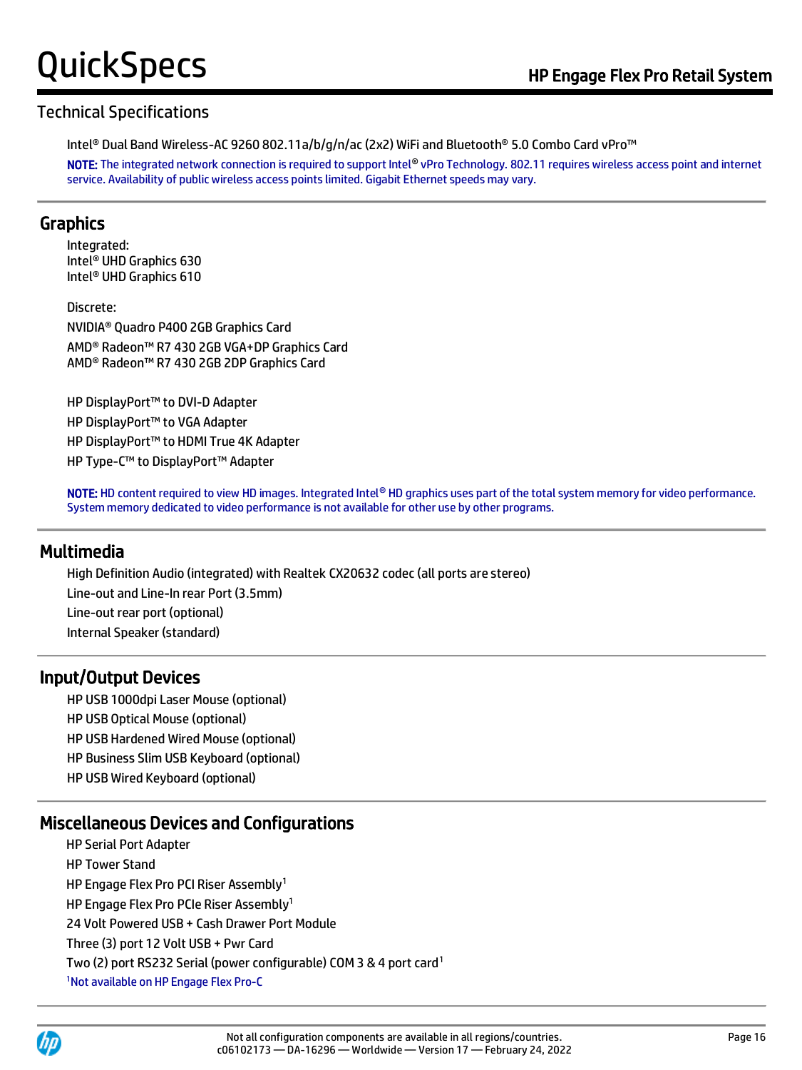#### Technical Specifications

Intel® Dual Band Wireless-AC 9260 802.11a/b/g/n/ac (2x2) WiFi and Bluetooth® 5.0 Combo Card vPro™

NOTE: The integrated network connection is required to support Intel® vPro Technology. 802.11 requires wireless access point and internet service. Availability of public wireless access points limited. Gigabit Ethernet speeds may vary.

#### Graphics

Integrated: Intel® UHD Graphics 630 Intel® UHD Graphics 610

Discrete: NVIDIA® Quadro P400 2GB Graphics Card AMD® Radeon™ R7 430 2GB VGA+DP Graphics Card AMD® Radeon™ R7 430 2GB 2DP Graphics Card

HP DisplayPort™ to DVI-D Adapter HP DisplayPort™ to VGA Adapter HP DisplayPort™ to HDMI True 4K Adapter HP Type-C™ to DisplayPort™ Adapter

NOTE: HD content required to view HD images. Integrated Intel® HD graphics uses part of the total system memory for video performance. System memory dedicated to video performance is not available for other use by other programs.

#### Multimedia

High Definition Audio (integrated) with Realtek CX20632 codec (all ports are stereo) Line-out and Line-In rear Port (3.5mm) Line-out rear port (optional) Internal Speaker (standard)

#### Input/Output Devices

HP USB 1000dpi Laser Mouse (optional) HP USB Optical Mouse (optional) HP USB Hardened Wired Mouse (optional) HP Business Slim USB Keyboard (optional) HP USB Wired Keyboard (optional)

#### Miscellaneous Devices and Configurations

HP Serial Port Adapter HP Tower Stand HP Engage Flex Pro PCI Riser Assembly<sup>1</sup> HP Engage Flex Pro PCIe Riser Assembly<sup>1</sup> 24 Volt Powered USB + Cash Drawer Port Module Three (3) port 12 Volt USB + Pwr Card Two (2) port RS232 Serial (power configurable) COM 3 & 4 port card<sup>1</sup> 1Not available on HP Engage Flex Pro-C

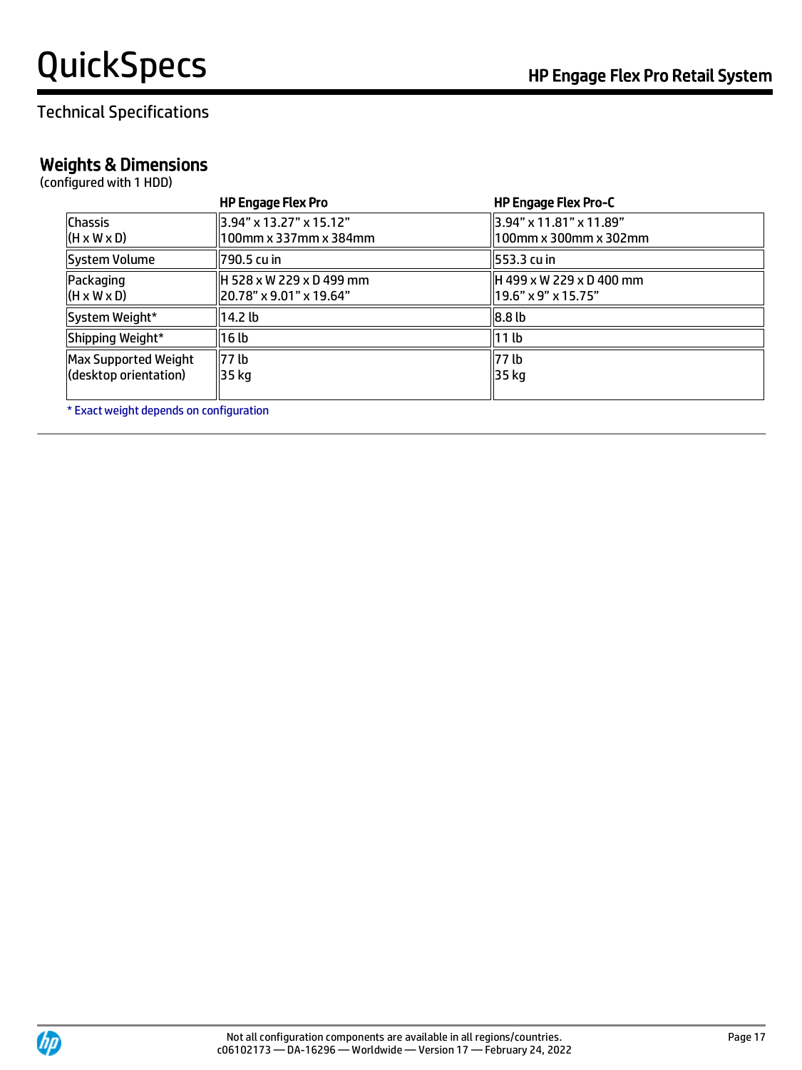### Technical Specifications

### Weights & Dimensions

(configured with 1 HDD)

|                                                      | <b>HP Engage Flex Pro</b>                             | <b>HP Engage Flex Pro-C</b>                         |
|------------------------------------------------------|-------------------------------------------------------|-----------------------------------------------------|
| <b>Chassis</b><br>$(H \times W \times D)$            | 3.94" x 13.27" x 15.12"<br>100mm x 337mm x 384mm      | 3.94" x 11.81" x 11.89"<br>ll 100mm x 300mm x 302mm |
| System Volume                                        | 1790.5 cu in                                          | 553.3 cu in                                         |
| Packaging<br>$(H \times W \times D)$                 | H 528 x W 229 x D 499 mm<br>ll20.78" x 9.01" x 19.64" | H 499 x W 229 x D 400 mm<br>19.6" x 9" x 15.75"     |
| System Weight*                                       | 14.2 <sub>lb</sub>                                    | 8.8 <sub>lb</sub>                                   |
| Shipping Weight*                                     | 16 lb                                                 | 11 lb                                               |
| <b>Max Supported Weight</b><br>(desktop orientation) | 177 <sub>lb</sub><br>35 kg                            | 177 lb<br>35 kg                                     |

\* Exact weight depends on configuration

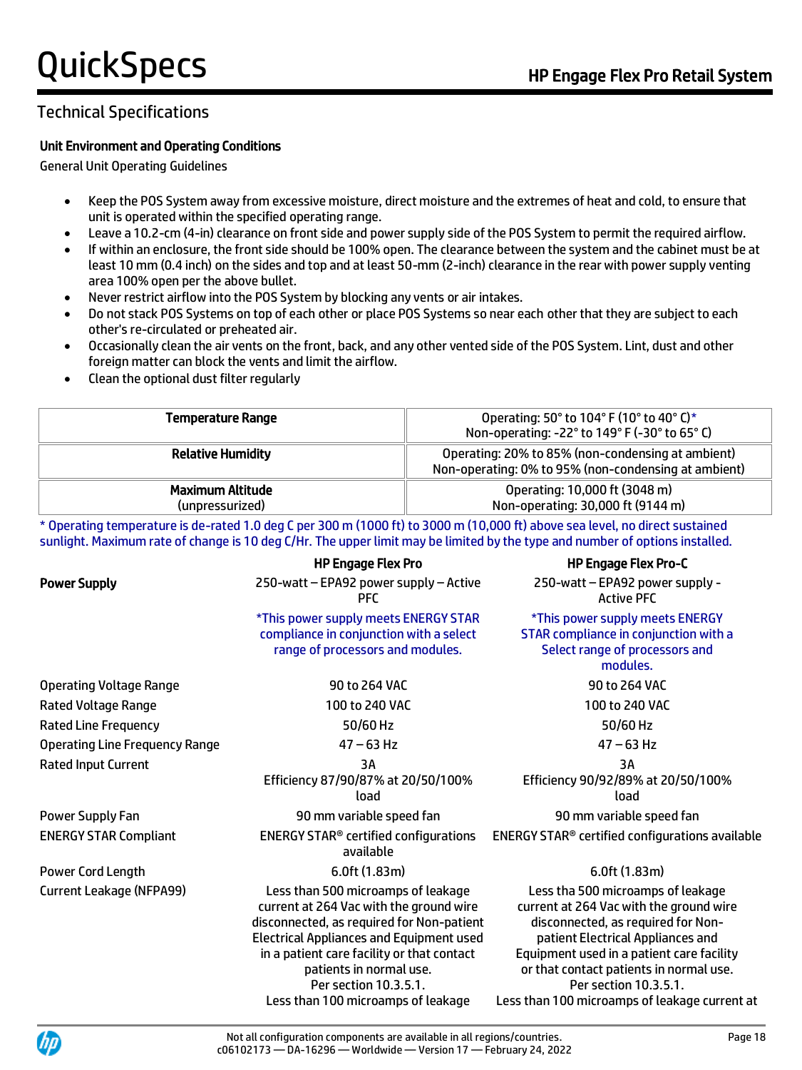#### Technical Specifications

#### Unit Environment and Operating Conditions

General Unit Operating Guidelines

- Keep the POS System away from excessive moisture, direct moisture and the extremes of heat and cold, to ensure that unit is operated within the specified operating range.
- Leave a 10.2-cm (4-in) clearance on front side and power supply side of the POS System to permit the required airflow.
- If within an enclosure, the front side should be 100% open. The clearance between the system and the cabinet must be at least 10 mm (0.4 inch) on the sides and top and at least 50-mm (2-inch) clearance in the rear with power supply venting area 100% open per the above bullet.
- Never restrict airflow into the POS System by blocking any vents or air intakes.
- Do not stack POS Systems on top of each other or place POS Systems so near each other that they are subject to each other's re-circulated or preheated air.
- Occasionally clean the air vents on the front, back, and any other vented side of the POS System. Lint, dust and other foreign matter can block the vents and limit the airflow.
- Clean the optional dust filter regularly

| Temperature Range                          | Operating: 50° to 104° F (10° to 40° C)*<br>Non-operating: -22° to 149° F (-30° to 65° C)                 |
|--------------------------------------------|-----------------------------------------------------------------------------------------------------------|
| <b>Relative Humidity</b>                   | Operating: 20% to 85% (non-condensing at ambient)<br>Non-operating: 0% to 95% (non-condensing at ambient) |
| <b>Maximum Altitude</b><br>(unpressurized) | Operating: 10,000 ft (3048 m)<br>Non-operating: 30,000 ft (9144 m)                                        |

\* Operating temperature is de-rated 1.0 deg C per 300 m (1000 ft) to 3000 m (10,000 ft) above sea level, no direct sustained sunlight. Maximum rate of change is 10 deg C/Hr. The upper limit may be limited by the type and number of options installed.

| <b>HP Engage Flex Pro</b>                                                                                                                                                                                                                              | <b>HP Engage Flex Pro-C</b>                                                                                                                                                                                                                                              |
|--------------------------------------------------------------------------------------------------------------------------------------------------------------------------------------------------------------------------------------------------------|--------------------------------------------------------------------------------------------------------------------------------------------------------------------------------------------------------------------------------------------------------------------------|
| 250-watt - EPA92 power supply - Active<br><b>PFC</b>                                                                                                                                                                                                   | 250-watt - EPA92 power supply -<br><b>Active PFC</b>                                                                                                                                                                                                                     |
| *This power supply meets ENERGY STAR<br>compliance in conjunction with a select<br>range of processors and modules.                                                                                                                                    | *This power supply meets ENERGY<br>STAR compliance in conjunction with a<br>Select range of processors and<br>modules.                                                                                                                                                   |
| 90 to 264 VAC                                                                                                                                                                                                                                          | 90 to 264 VAC                                                                                                                                                                                                                                                            |
| 100 to 240 VAC                                                                                                                                                                                                                                         | 100 to 240 VAC                                                                                                                                                                                                                                                           |
| 50/60 Hz                                                                                                                                                                                                                                               | 50/60 Hz                                                                                                                                                                                                                                                                 |
| $47 - 63$ Hz                                                                                                                                                                                                                                           | $47 - 63$ Hz                                                                                                                                                                                                                                                             |
| ЗA<br>Efficiency 87/90/87% at 20/50/100%<br>load                                                                                                                                                                                                       | 3Α<br>Efficiency 90/92/89% at 20/50/100%<br>load                                                                                                                                                                                                                         |
| 90 mm variable speed fan                                                                                                                                                                                                                               | 90 mm variable speed fan                                                                                                                                                                                                                                                 |
| <b>ENERGY STAR<sup>®</sup> certified configurations</b><br>available                                                                                                                                                                                   | ENERGY STAR® certified configurations available                                                                                                                                                                                                                          |
| $6.0$ ft $(1.83m)$                                                                                                                                                                                                                                     | 6.0ft (1.83m)                                                                                                                                                                                                                                                            |
| Less than 500 microamps of leakage<br>current at 264 Vac with the ground wire<br>disconnected, as required for Non-patient<br><b>Electrical Appliances and Equipment used</b><br>in a patient care facility or that contact<br>patients in normal use. | Less tha 500 microamps of leakage<br>current at 264 Vac with the ground wire<br>disconnected, as required for Non-<br>patient Electrical Appliances and<br>Equipment used in a patient care facility<br>or that contact patients in normal use.<br>Per section 10.3.5.1. |
|                                                                                                                                                                                                                                                        | Per section 10.3.5.1.                                                                                                                                                                                                                                                    |

Less than 100 microamps of leakage

Per section 10.3.5.1. Less than 100 microamps of leakage current at

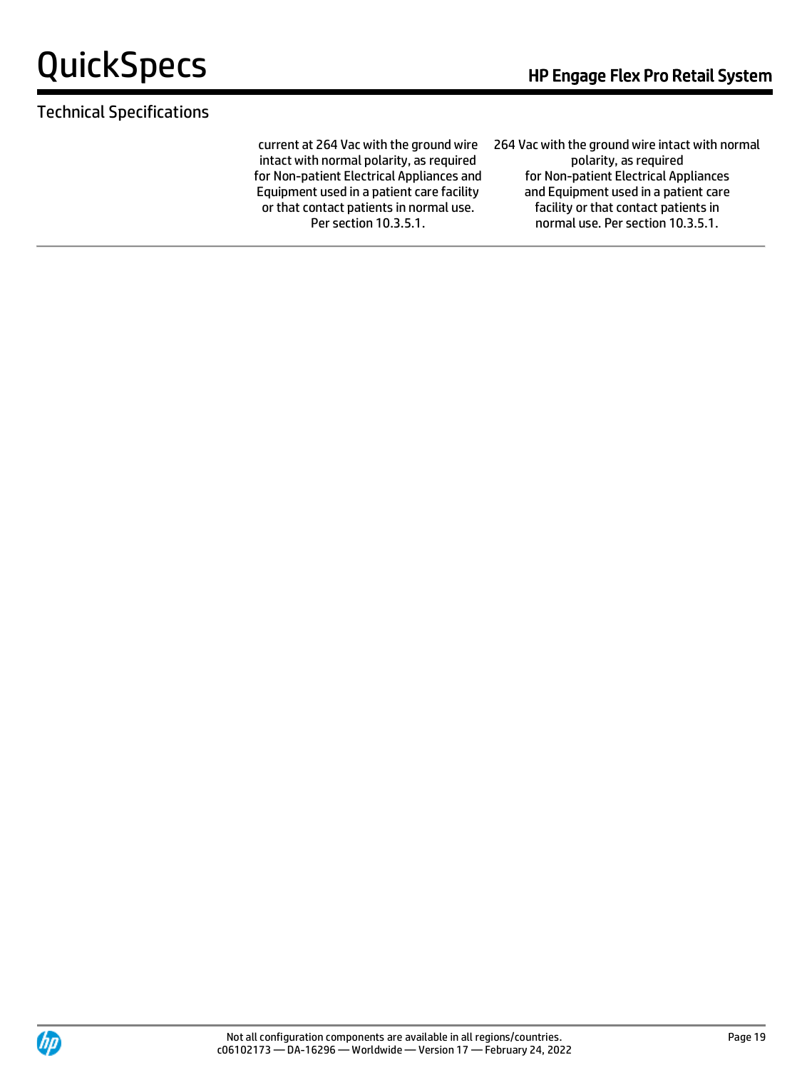#### Technical Specifications

current at 264 Vac with the ground wire intact with normal polarity, as required for Non-patient Electrical Appliances and Equipment used in a patient care facility or that contact patients in normal use. Per section 10.3.5.1.

264 Vac with the ground wire intact with normal polarity, as required for Non-patient Electrical Appliances and Equipment used in a patient care facility or that contact patients in normal use. Per section 10.3.5.1.

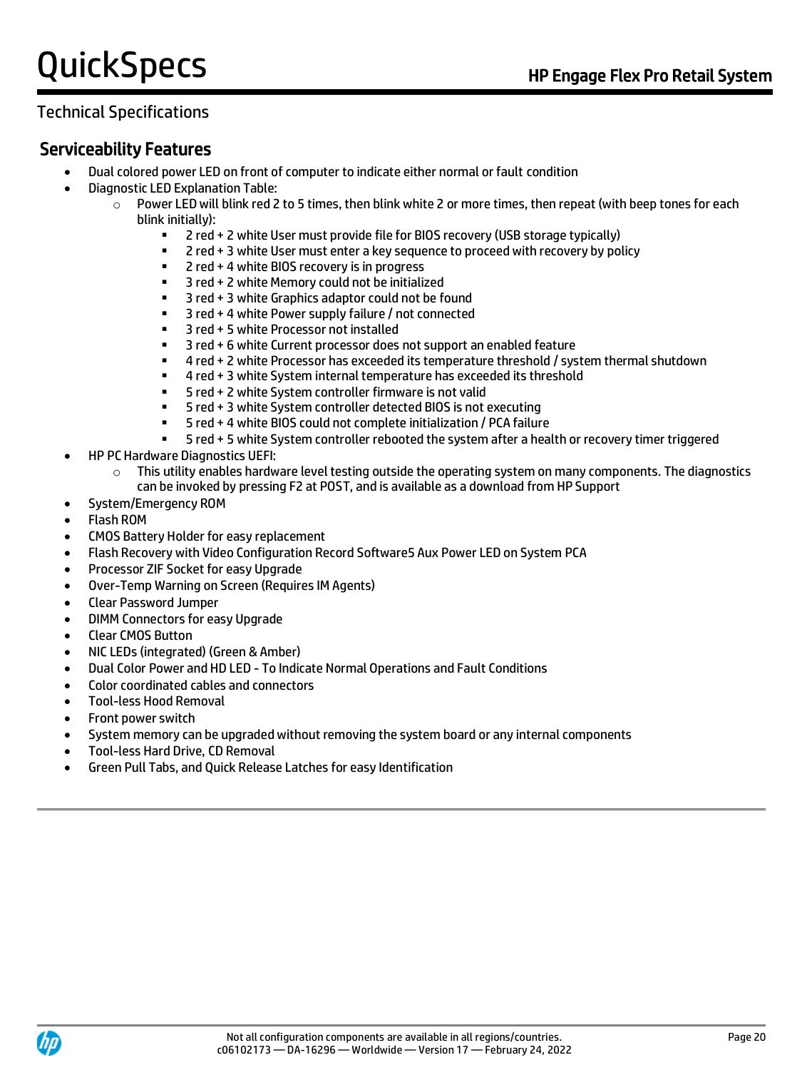# Technical Specifications

## Serviceability Features

- Dual colored power LED on front of computer to indicate either normal or fault condition
- Diagnostic LED Explanation Table:
	- $\circ$  Power LED will blink red 2 to 5 times, then blink white 2 or more times, then repeat (with beep tones for each blink initially):
		- 2 red + 2 white User must provide file for BIOS recovery (USB storage typically)
		- 2 red + 3 white User must enter a key sequence to proceed with recovery by policy
		- 2 red + 4 white BIOS recovery is in progress
		- 3 red + 2 white Memory could not be initialized
		- 3 red + 3 white Graphics adaptor could not be found
		- 3 red + 4 white Power supply failure / not connected
		- 3 red + 5 white Processor not installed
		- 3 red + 6 white Current processor does not support an enabled feature
		- 4 red + 2 white Processor has exceeded its temperature threshold / system thermal shutdown
		- 4 red + 3 white System internal temperature has exceeded its threshold<br>■ 5 red + 2 white System controller firmware is not valid
		- 5 red + 2 white System controller firmware is not valid
		- 5 red + 3 white System controller detected BIOS is not executing
		- 5 red + 4 white BIOS could not complete initialization / PCA failure
		- 5 red + 5 white System controller rebooted the system after a health or recovery timer triggered
- HP PC Hardware Diagnostics UEFI:
	- $\circ$  This utility enables hardware level testing outside the operating system on many components. The diagnostics can be invoked by pressing F2 at POST, and is available as a download from HP Support
- System/Emergency ROM
- Flash ROM
- CMOS Battery Holder for easy replacement
- Flash Recovery with Video Configuration Record Software5 Aux Power LED on System PCA
- Processor ZIF Socket for easy Upgrade
- Over-Temp Warning on Screen (Requires IM Agents)
- Clear Password Jumper
- DIMM Connectors for easy Upgrade
- Clear CMOS Button
- NIC LEDs (integrated) (Green & Amber)
- Dual Color Power and HD LED To Indicate Normal Operations and Fault Conditions
- Color coordinated cables and connectors
- Tool-less Hood Removal
- Front power switch
- System memory can be upgraded without removing the system board or any internal components
- Tool-less Hard Drive, CD Removal
- Green Pull Tabs, and Quick Release Latches for easy Identification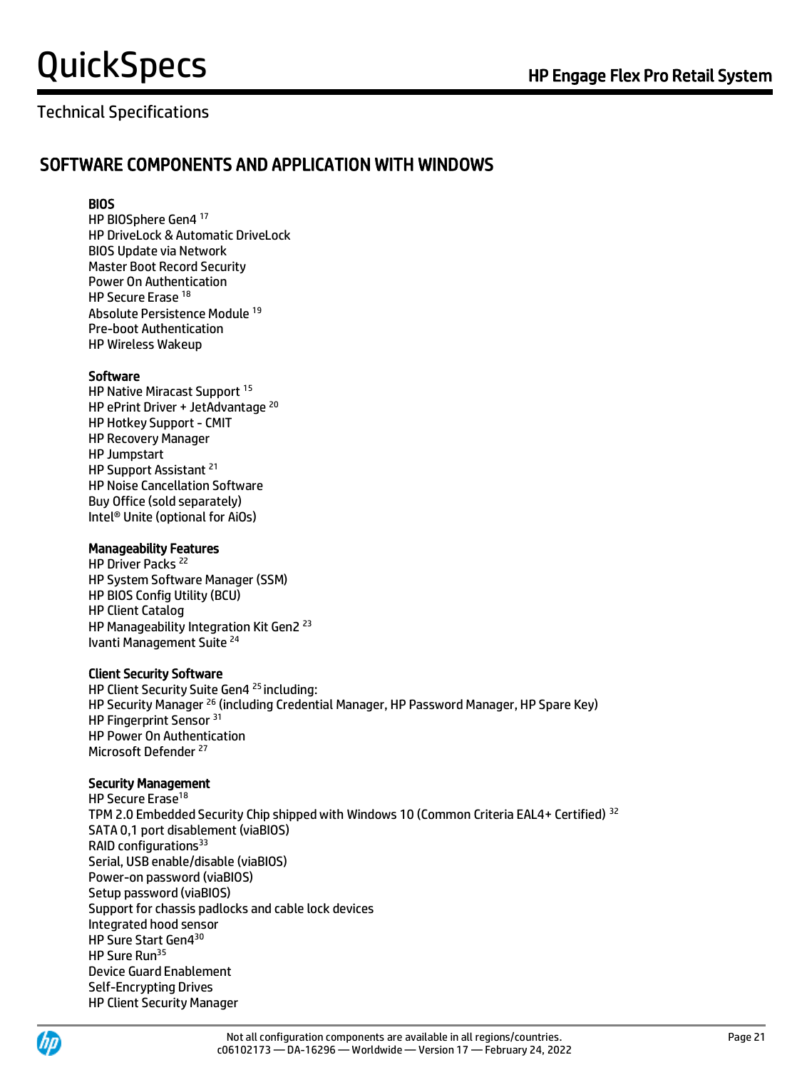### Technical Specifications

#### SOFTWARE COMPONENTS AND APPLICATION WITH WINDOWS

#### **BIOS**

HP BIOSphere Gen4 <sup>17</sup> HP DriveLock & Automatic DriveLock BIOS Update via Network Master Boot Record Security Power On Authentication HP Secure Erase <sup>18</sup> Absolute Persistence Module <sup>19</sup> Pre-boot Authentication HP Wireless Wakeup

#### Software

HP Native Miracast Support <sup>15</sup> HP ePrint Driver + JetAdvantage<sup>20</sup> HP Hotkey Support - CMIT HP Recovery Manager HP Jumpstart HP Support Assistant <sup>21</sup> HP Noise Cancellation Software Buy Office (sold separately) Intel® Unite (optional for AiOs)

#### Manageability Features

HP Driver Packs<sup>22</sup> HP System Software Manager (SSM) HP BIOS Config Utility (BCU) HP Client Catalog HP Manageability Integration Kit Gen2<sup>23</sup> Ivanti Management Suite <sup>24</sup>

#### Client Security Software

HP Client Security Suite Gen4<sup>25</sup> including: HP Security Manager <sup>26</sup> (including Credential Manager, HP Password Manager, HP Spare Key) HP Fingerprint Sensor 31 HP Power On Authentication Microsoft Defender<sup>27</sup>

#### Security Management

HP Secure Erase<sup>18</sup> TPM 2.0 Embedded Security Chip shipped with Windows 10 (Common Criteria EAL4+ Certified) <sup>32</sup> SATA 0,1 port disablement (viaBIOS) RAID configurations<sup>33</sup> Serial, USB enable/disable (viaBIOS) Power-on password (viaBIOS) Setup password (viaBIOS) Support for chassis padlocks and cable lock devices Integrated hood sensor HP Sure Start Gen4<sup>30</sup> HP Sure Run<sup>35</sup> Device Guard Enablement Self-Encrypting Drives HP Client Security Manager

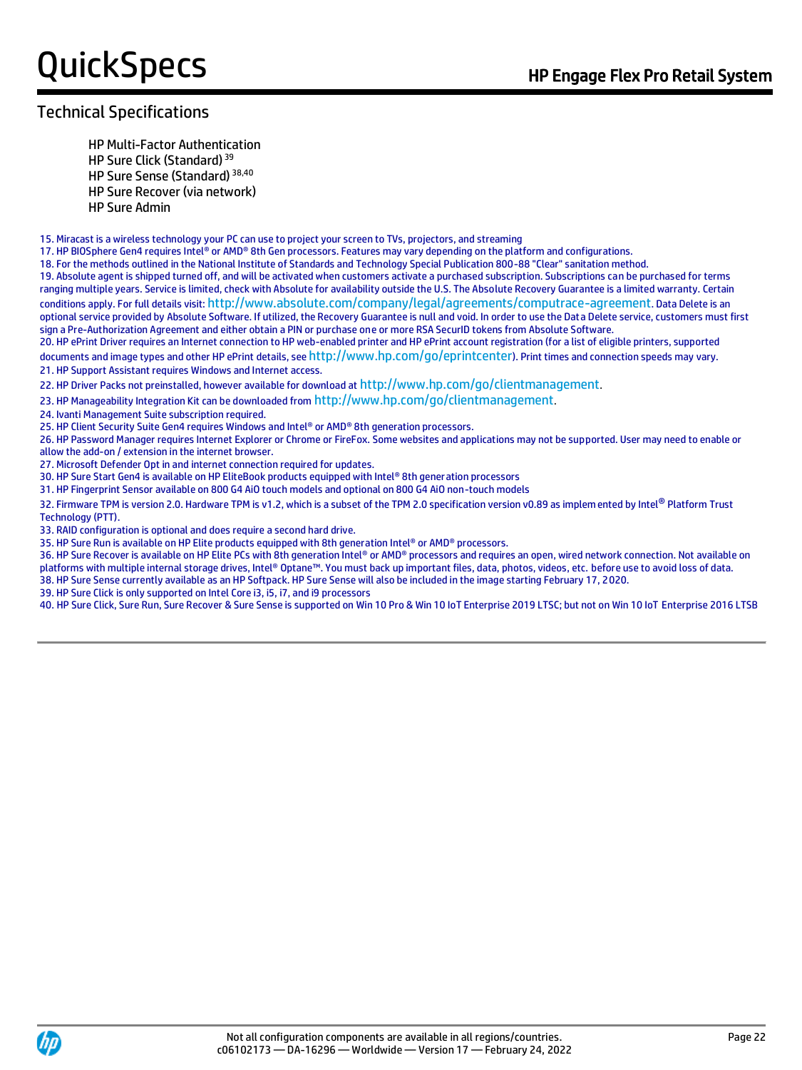#### Technical Specifications

HP Multi-Factor Authentication

HP Sure Click (Standard)<sup>39</sup>

HP Sure Sense (Standard) 38,40

HP Sure Recover (via network)

HP Sure Admin

15. Miracast is a wireless technology your PC can use to project your screen to TVs, projectors, and streaming

17. HP BIOSphere Gen4 requires Intel® or AMD® 8th Gen processors. Features may vary depending on the platform and configurations.

18. For the methods outlined in the National Institute of Standards and Technology Special Publication 800-88 "Clear" sanitation method.

19. Absolute agent is shipped turned off, and will be activated when customers activate a purchased subscription. Subscriptions can be purchased for terms ranging multiple years. Service is limited, check with Absolute for availability outside the U.S. The Absolute Recovery Guarantee is a limited warranty. Certain conditions apply. For full details visit: <http://www.absolute.com/company/legal/agreements/computrace-agreement>. Data Delete is an optional service provided by Absolute Software. If utilized, the Recovery Guarantee is null and void. In order to use the Data Delete service, customers must first sign a Pre-Authorization Agreement and either obtain a PIN or purchase one or more RSA SecurID tokens from Absolute Software.

20. HP ePrint Driver requires an Internet connection to HP web-enabled printer and HP ePrint account registration (for a list of eligible printers, supported documents and image types and other HP ePrint details, see http://www.hp.com/go/eprintcenter). Print times and connection speeds may vary. 21. HP Support Assistant requires Windows and Internet access.

22. HP Driver Packs not preinstalled, however available for download at <http://www.hp.com/go/clientmanagement>.

23. HP Manageability Integration Kit can be downloaded from <http://www.hp.com/go/clientmanagement>.

24. Ivanti Management Suite subscription required.

25. HP Client Security Suite Gen4 requires Windows and Intel® or AMD® 8th generation processors.

26. HP Password Manager requires Internet Explorer or Chrome or FireFox. Some websites and applications may not be supported. User may need to enable or allow the add-on / extension in the internet browser.

27. Microsoft Defender Opt in and internet connection required for updates.

30. HP Sure Start Gen4 is available on HP EliteBook products equipped with Intel® 8th generation processors

31. HP Fingerprint Sensor available on 800 G4 AiO touch models and optional on 800 G4 AiO non-touch models

32. Firmware TPM is version 2.0. Hardware TPM is v1.2, which is a subset of the TPM 2.0 specification version v0.89 as implem ented by Intel® Platform Trust Technology (PTT).

33. RAID configuration is optional and does require a second hard drive.

35. HP Sure Run is available on HP Elite products equipped with 8th generation Intel® or AMD® processors.

36. HP Sure Recover is available on HP Elite PCs with 8th generation Intel® or AMD® processors and requires an open, wired network connection. Not available on platforms with multiple internal storage drives, Intel® Optane™. You must back up important files, data, photos, videos, etc. before use to avoid loss of data.

38. HP Sure Sense currently available as an HP Softpack. HP Sure Sense will also be included in the image starting February 17, 2020.

39. HP Sure Click is only supported on Intel Core i3, i5, i7, and i9 processors

40. HP Sure Click, Sure Run, Sure Recover & Sure Sense is supported on Win 10 Pro & Win 10 IoT Enterprise 2019 LTSC; but not on Win 10 IoT Enterprise 2016 LTSB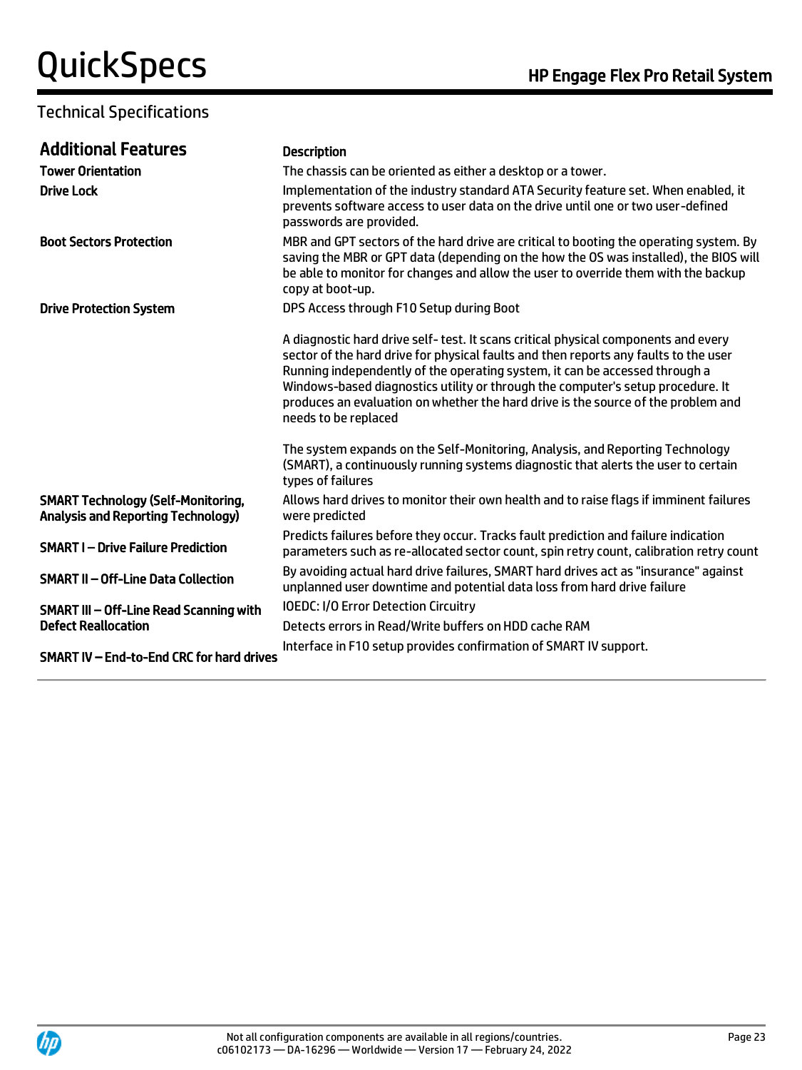#### Technical Specifications

| <b>Additional Features</b>                                                             | <b>Description</b>                                                                                                                                                                                                                                                                                                                                                                                                                                        |
|----------------------------------------------------------------------------------------|-----------------------------------------------------------------------------------------------------------------------------------------------------------------------------------------------------------------------------------------------------------------------------------------------------------------------------------------------------------------------------------------------------------------------------------------------------------|
| <b>Tower Orientation</b>                                                               | The chassis can be oriented as either a desktop or a tower.                                                                                                                                                                                                                                                                                                                                                                                               |
| <b>Drive Lock</b>                                                                      | Implementation of the industry standard ATA Security feature set. When enabled, it<br>prevents software access to user data on the drive until one or two user-defined<br>passwords are provided.                                                                                                                                                                                                                                                         |
| <b>Boot Sectors Protection</b>                                                         | MBR and GPT sectors of the hard drive are critical to booting the operating system. By<br>saving the MBR or GPT data (depending on the how the OS was installed), the BIOS will<br>be able to monitor for changes and allow the user to override them with the backup<br>copy at boot-up.                                                                                                                                                                 |
| <b>Drive Protection System</b>                                                         | DPS Access through F10 Setup during Boot                                                                                                                                                                                                                                                                                                                                                                                                                  |
|                                                                                        | A diagnostic hard drive self-test. It scans critical physical components and every<br>sector of the hard drive for physical faults and then reports any faults to the user<br>Running independently of the operating system, it can be accessed through a<br>Windows-based diagnostics utility or through the computer's setup procedure. It<br>produces an evaluation on whether the hard drive is the source of the problem and<br>needs to be replaced |
|                                                                                        | The system expands on the Self-Monitoring, Analysis, and Reporting Technology<br>(SMART), a continuously running systems diagnostic that alerts the user to certain<br>types of failures                                                                                                                                                                                                                                                                  |
| <b>SMART Technology (Self-Monitoring,</b><br><b>Analysis and Reporting Technology)</b> | Allows hard drives to monitor their own health and to raise flags if imminent failures<br>were predicted                                                                                                                                                                                                                                                                                                                                                  |
| <b>SMART I-Drive Failure Prediction</b>                                                | Predicts failures before they occur. Tracks fault prediction and failure indication<br>parameters such as re-allocated sector count, spin retry count, calibration retry count                                                                                                                                                                                                                                                                            |
| <b>SMART II-Off-Line Data Collection</b>                                               | By avoiding actual hard drive failures, SMART hard drives act as "insurance" against<br>unplanned user downtime and potential data loss from hard drive failure                                                                                                                                                                                                                                                                                           |
| SMART III - Off-Line Read Scanning with                                                | <b>IOEDC: I/O Error Detection Circuitry</b>                                                                                                                                                                                                                                                                                                                                                                                                               |
| <b>Defect Reallocation</b>                                                             | Detects errors in Read/Write buffers on HDD cache RAM                                                                                                                                                                                                                                                                                                                                                                                                     |
| SMART IV - End-to-End CRC for hard drives                                              | Interface in F10 setup provides confirmation of SMART IV support.                                                                                                                                                                                                                                                                                                                                                                                         |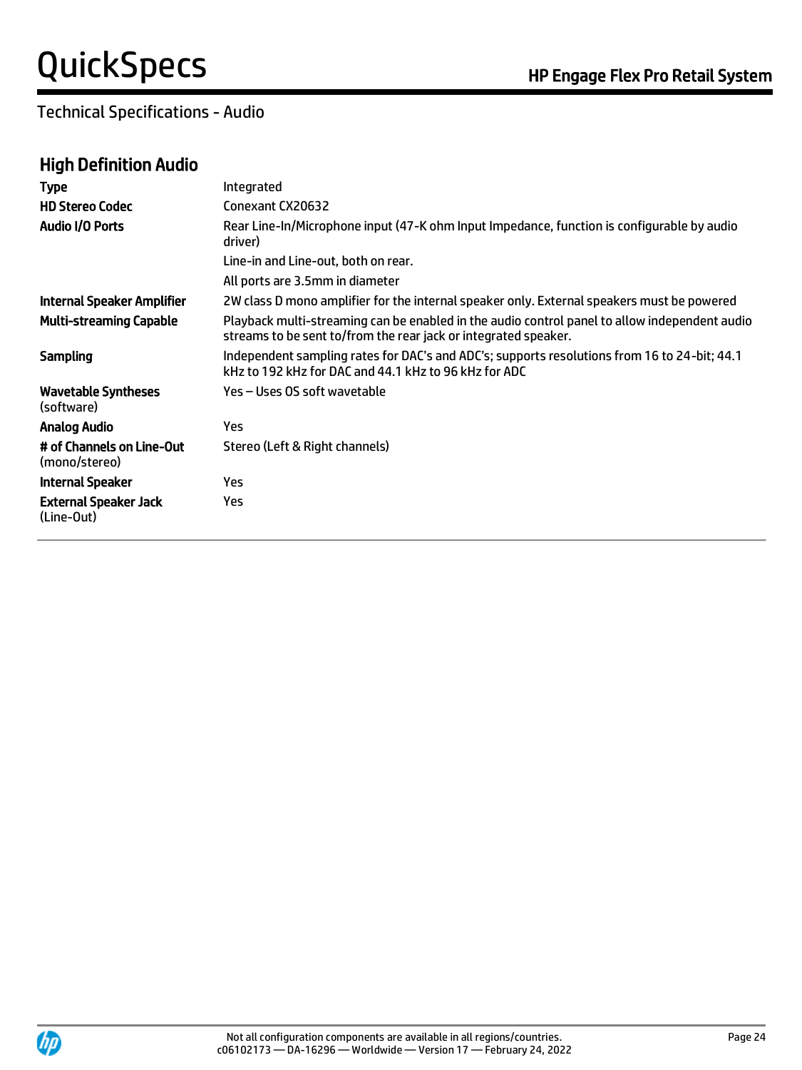Technical Specifications - Audio

## High Definition Audio

| <b>Type</b>                                | Integrated                                                                                                                                                       |
|--------------------------------------------|------------------------------------------------------------------------------------------------------------------------------------------------------------------|
| <b>HD Stereo Codec</b>                     | Conexant CX20632                                                                                                                                                 |
| Audio I/O Ports                            | Rear Line-In/Microphone input (47-K ohm Input Impedance, function is configurable by audio<br>driver)                                                            |
|                                            | Line-in and Line-out, both on rear.                                                                                                                              |
|                                            | All ports are 3.5mm in diameter                                                                                                                                  |
| Internal Speaker Amplifier                 | 2W class D mono amplifier for the internal speaker only. External speakers must be powered                                                                       |
| <b>Multi-streaming Capable</b>             | Playback multi-streaming can be enabled in the audio control panel to allow independent audio<br>streams to be sent to/from the rear jack or integrated speaker. |
| Sampling                                   | Independent sampling rates for DAC's and ADC's; supports resolutions from 16 to 24-bit; 44.1<br>kHz to 192 kHz for DAC and 44.1 kHz to 96 kHz for ADC            |
| <b>Wavetable Syntheses</b><br>(software)   | Yes – Uses OS soft wavetable                                                                                                                                     |
| <b>Analog Audio</b>                        | Yes.                                                                                                                                                             |
| # of Channels on Line-Out<br>(mono/stereo) | Stereo (Left & Right channels)                                                                                                                                   |
| <b>Internal Speaker</b>                    | Yes                                                                                                                                                              |
| <b>External Speaker Jack</b><br>(Line-Out) | Yes.                                                                                                                                                             |
|                                            |                                                                                                                                                                  |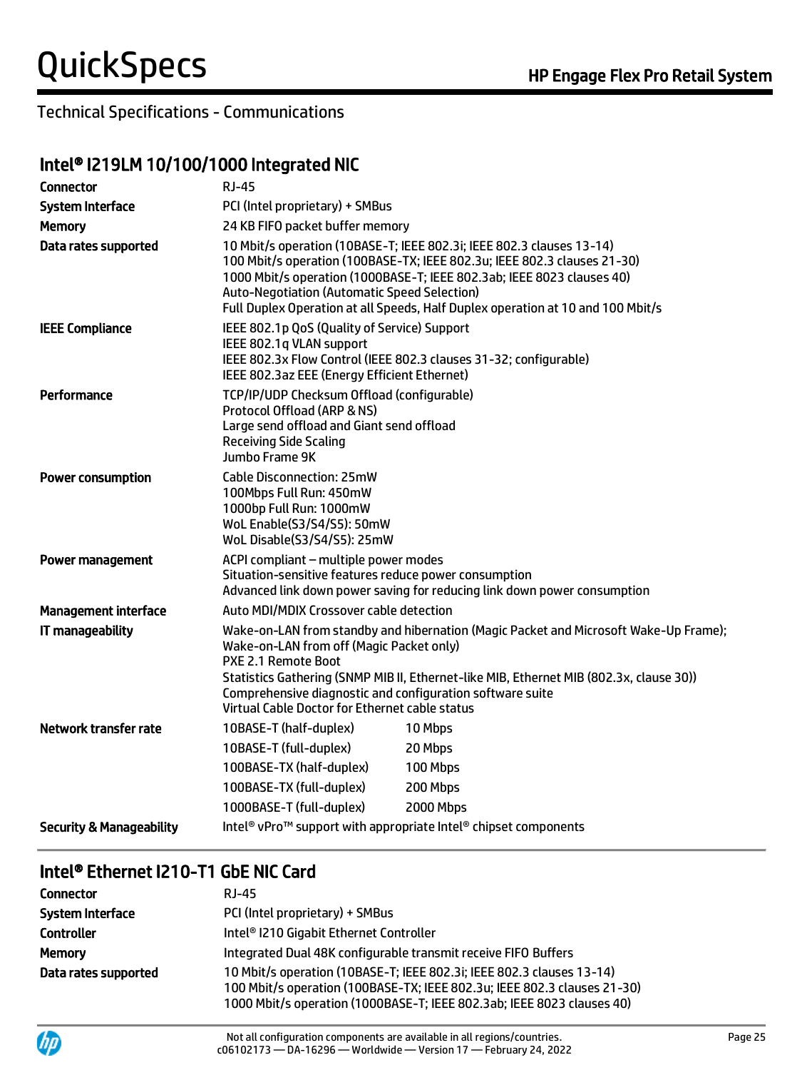### Technical Specifications - Communications

### Intel® I219LM 10/100/1000 Integrated NIC

| Connector                           | <b>RJ-45</b>                                                                                                                                                                                                                                                                                                                                                      |                                                                                                                                                                                                                                                                                                                |  |
|-------------------------------------|-------------------------------------------------------------------------------------------------------------------------------------------------------------------------------------------------------------------------------------------------------------------------------------------------------------------------------------------------------------------|----------------------------------------------------------------------------------------------------------------------------------------------------------------------------------------------------------------------------------------------------------------------------------------------------------------|--|
| <b>System Interface</b>             |                                                                                                                                                                                                                                                                                                                                                                   | PCI (Intel proprietary) + SMBus                                                                                                                                                                                                                                                                                |  |
| <b>Memory</b>                       | 24 KB FIFO packet buffer memory                                                                                                                                                                                                                                                                                                                                   |                                                                                                                                                                                                                                                                                                                |  |
| Data rates supported                | <b>Auto-Negotiation (Automatic Speed Selection)</b>                                                                                                                                                                                                                                                                                                               | 10 Mbit/s operation (10BASE-T; IEEE 802.3i; IEEE 802.3 clauses 13-14)<br>100 Mbit/s operation (100BASE-TX; IEEE 802.3u; IEEE 802.3 clauses 21-30)<br>1000 Mbit/s operation (1000BASE-T; IEEE 802.3ab; IEEE 8023 clauses 40)<br>Full Duplex Operation at all Speeds, Half Duplex operation at 10 and 100 Mbit/s |  |
| <b>IEEE Compliance</b>              | IEEE 802.1p QoS (Quality of Service) Support<br>IEEE 802.1q VLAN support<br>IEEE 802.3az EEE (Energy Efficient Ethernet)                                                                                                                                                                                                                                          | IEEE 802.3x Flow Control (IEEE 802.3 clauses 31-32; configurable)                                                                                                                                                                                                                                              |  |
| Performance                         | TCP/IP/UDP Checksum Offload (configurable)<br>Protocol Offload (ARP & NS)<br>Large send offload and Giant send offload<br><b>Receiving Side Scaling</b><br>Jumbo Frame 9K                                                                                                                                                                                         |                                                                                                                                                                                                                                                                                                                |  |
| <b>Power consumption</b>            | <b>Cable Disconnection: 25mW</b><br>100Mbps Full Run: 450mW<br>1000bp Full Run: 1000mW<br>WoL Enable(S3/S4/S5): 50mW<br>WoL Disable(S3/S4/S5): 25mW                                                                                                                                                                                                               |                                                                                                                                                                                                                                                                                                                |  |
| Power management                    | ACPI compliant - multiple power modes<br>Situation-sensitive features reduce power consumption                                                                                                                                                                                                                                                                    | Advanced link down power saving for reducing link down power consumption                                                                                                                                                                                                                                       |  |
| <b>Management interface</b>         | Auto MDI/MDIX Crossover cable detection                                                                                                                                                                                                                                                                                                                           |                                                                                                                                                                                                                                                                                                                |  |
| IT manageability                    | Wake-on-LAN from standby and hibernation (Magic Packet and Microsoft Wake-Up Frame);<br>Wake-on-LAN from off (Magic Packet only)<br>PXE 2.1 Remote Boot<br>Statistics Gathering (SNMP MIB II, Ethernet-like MIB, Ethernet MIB (802.3x, clause 30))<br>Comprehensive diagnostic and configuration software suite<br>Virtual Cable Doctor for Ethernet cable status |                                                                                                                                                                                                                                                                                                                |  |
| Network transfer rate               | 10BASE-T (half-duplex)                                                                                                                                                                                                                                                                                                                                            | 10 Mbps                                                                                                                                                                                                                                                                                                        |  |
|                                     | 10BASE-T (full-duplex)                                                                                                                                                                                                                                                                                                                                            | 20 Mbps                                                                                                                                                                                                                                                                                                        |  |
|                                     | 100BASE-TX (half-duplex)                                                                                                                                                                                                                                                                                                                                          | 100 Mbps                                                                                                                                                                                                                                                                                                       |  |
|                                     | 100BASE-TX (full-duplex)                                                                                                                                                                                                                                                                                                                                          | 200 Mbps                                                                                                                                                                                                                                                                                                       |  |
|                                     | 1000BASE-T (full-duplex)                                                                                                                                                                                                                                                                                                                                          | <b>2000 Mbps</b>                                                                                                                                                                                                                                                                                               |  |
| <b>Security &amp; Manageability</b> |                                                                                                                                                                                                                                                                                                                                                                   | Intel <sup>®</sup> vPro <sup>™</sup> support with appropriate Intel <sup>®</sup> chipset components                                                                                                                                                                                                            |  |

# Intel® Ethernet I210-T1 GbE NIC Card

| Connector               | RJ-45                                                                                                                                                                                                                       |
|-------------------------|-----------------------------------------------------------------------------------------------------------------------------------------------------------------------------------------------------------------------------|
| <b>System Interface</b> | PCI (Intel proprietary) + SMBus                                                                                                                                                                                             |
| <b>Controller</b>       | Intel <sup>®</sup> I210 Gigabit Ethernet Controller                                                                                                                                                                         |
| <b>Memory</b>           | Integrated Dual 48K configurable transmit receive FIFO Buffers                                                                                                                                                              |
| Data rates supported    | 10 Mbit/s operation (10BASE-T; IEEE 802.3i; IEEE 802.3 clauses 13-14)<br>100 Mbit/s operation (100BASE-TX; IEEE 802.3u; IEEE 802.3 clauses 21-30)<br>1000 Mbit/s operation (1000BASE-T; IEEE 802.3ab; IEEE 8023 clauses 40) |

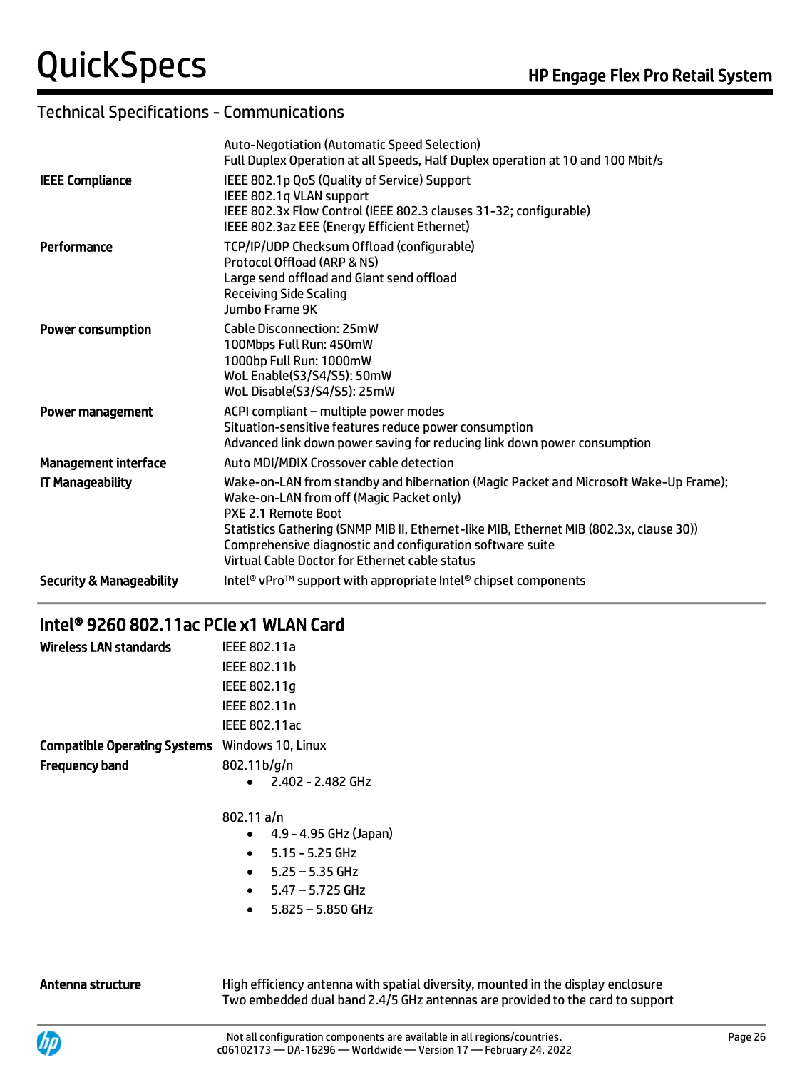### Technical Specifications - Communications

|                                     | <b>Auto-Negotiation (Automatic Speed Selection)</b><br>Full Duplex Operation at all Speeds, Half Duplex operation at 10 and 100 Mbit/s                                                                                                                                                                                                                            |
|-------------------------------------|-------------------------------------------------------------------------------------------------------------------------------------------------------------------------------------------------------------------------------------------------------------------------------------------------------------------------------------------------------------------|
| <b>IEEE Compliance</b>              | IEEE 802.1p QoS (Quality of Service) Support<br>IEEE 802.1q VLAN support<br>IEEE 802.3x Flow Control (IEEE 802.3 clauses 31-32; configurable)<br>IEEE 802.3az EEE (Energy Efficient Ethernet)                                                                                                                                                                     |
| Performance                         | TCP/IP/UDP Checksum Offload (configurable)<br>Protocol Offload (ARP & NS)<br>Large send offload and Giant send offload<br><b>Receiving Side Scaling</b><br>Jumbo Frame 9K                                                                                                                                                                                         |
| <b>Power consumption</b>            | <b>Cable Disconnection: 25mW</b><br>100Mbps Full Run: 450mW<br>1000bp Full Run: 1000mW<br>WoL Enable(S3/S4/S5): 50mW<br>WoL Disable(S3/S4/S5): 25mW                                                                                                                                                                                                               |
| <b>Power management</b>             | ACPI compliant - multiple power modes<br>Situation-sensitive features reduce power consumption<br>Advanced link down power saving for reducing link down power consumption                                                                                                                                                                                        |
| <b>Management interface</b>         | Auto MDI/MDIX Crossover cable detection                                                                                                                                                                                                                                                                                                                           |
| <b>IT Manageability</b>             | Wake-on-LAN from standby and hibernation (Magic Packet and Microsoft Wake-Up Frame);<br>Wake-on-LAN from off (Magic Packet only)<br>PXE 2.1 Remote Boot<br>Statistics Gathering (SNMP MIB II, Ethernet-like MIB, Ethernet MIB (802.3x, clause 30))<br>Comprehensive diagnostic and configuration software suite<br>Virtual Cable Doctor for Ethernet cable status |
| <b>Security &amp; Manageability</b> | Intel <sup>®</sup> vPro <sup>™</sup> support with appropriate Intel® chipset components                                                                                                                                                                                                                                                                           |
|                                     |                                                                                                                                                                                                                                                                                                                                                                   |

# Intel® 9260 802.11ac PCIe x1 WLAN Card

| Wireless LAN standards                                | IEEE 802.11a                    |
|-------------------------------------------------------|---------------------------------|
|                                                       | IEEE 802.11b                    |
|                                                       | IEEE 802.11g                    |
|                                                       | IEEE 802.11n                    |
|                                                       | IEEE 802.11ac                   |
| <b>Compatible Operating Systems</b> Windows 10, Linux |                                 |
| <b>Frequency band</b>                                 | 802.11b/g/n                     |
|                                                       | 2.402 - 2.482 GHz               |
|                                                       | 802.11 a/n                      |
|                                                       | 4.9 - 4.95 GHz (Japan)          |
|                                                       | $5.15 - 5.25$ GHz<br>$\bullet$  |
|                                                       | $5.25 - 5.35$ GHz               |
|                                                       | $5.47 - 5.725$ GHz<br>$\bullet$ |
|                                                       | $5.825 - 5.850$ GHz             |

Antenna structure **High efficiency antenna with spatial diversity, mounted in the display enclosure** Two embedded dual band 2.4/5 GHz antennas are provided to the card to support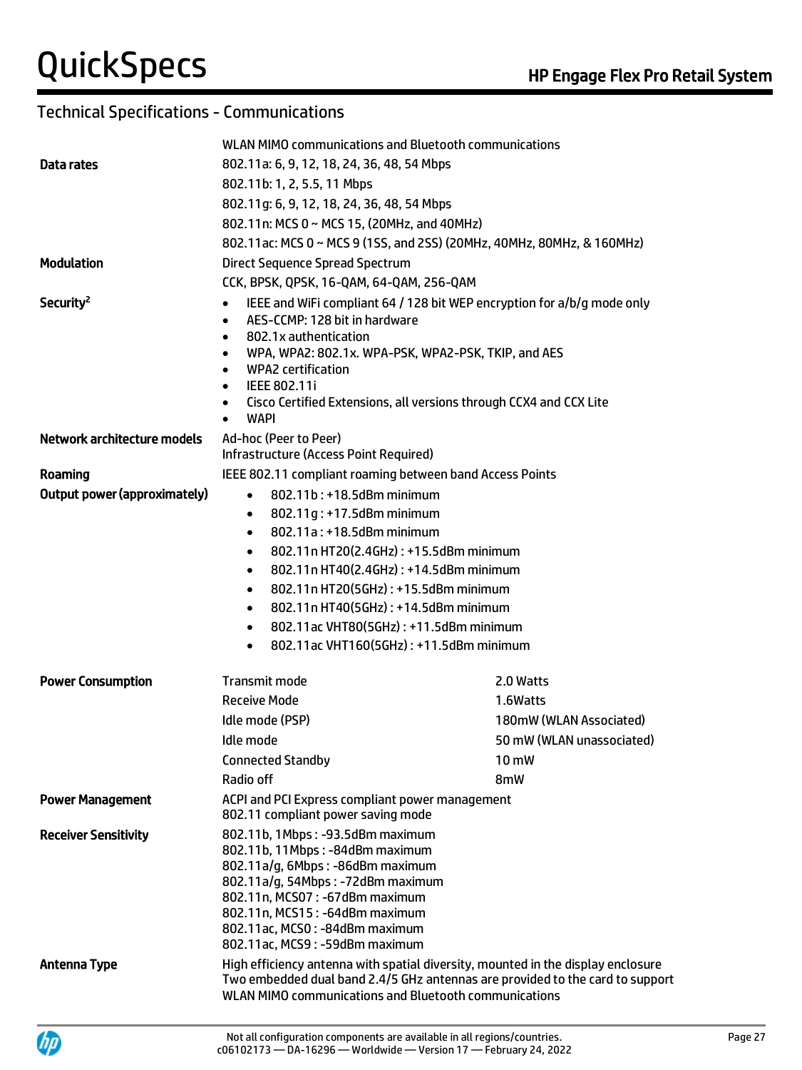### Technical Specifications - Communications

|                                                                 | WLAN MIMO communications and Bluetooth communications                                                                                                                                                                                                                                                                                                                                                                                                                                                                                                             |                           |
|-----------------------------------------------------------------|-------------------------------------------------------------------------------------------------------------------------------------------------------------------------------------------------------------------------------------------------------------------------------------------------------------------------------------------------------------------------------------------------------------------------------------------------------------------------------------------------------------------------------------------------------------------|---------------------------|
| Data rates                                                      | 802.11a: 6, 9, 12, 18, 24, 36, 48, 54 Mbps                                                                                                                                                                                                                                                                                                                                                                                                                                                                                                                        |                           |
|                                                                 | 802.11b: 1, 2, 5.5, 11 Mbps                                                                                                                                                                                                                                                                                                                                                                                                                                                                                                                                       |                           |
|                                                                 | 802.11g: 6, 9, 12, 18, 24, 36, 48, 54 Mbps                                                                                                                                                                                                                                                                                                                                                                                                                                                                                                                        |                           |
|                                                                 | 802.11n: MCS 0 ~ MCS 15, (20MHz, and 40MHz)                                                                                                                                                                                                                                                                                                                                                                                                                                                                                                                       |                           |
|                                                                 | 802.11ac: MCS 0 ~ MCS 9 (1SS, and 2SS) (20MHz, 40MHz, 80MHz, & 160MHz)                                                                                                                                                                                                                                                                                                                                                                                                                                                                                            |                           |
| <b>Modulation</b>                                               | Direct Sequence Spread Spectrum                                                                                                                                                                                                                                                                                                                                                                                                                                                                                                                                   |                           |
|                                                                 | CCK, BPSK, QPSK, 16-QAM, 64-QAM, 256-QAM                                                                                                                                                                                                                                                                                                                                                                                                                                                                                                                          |                           |
| Security <sup>2</sup><br>Network architecture models<br>Roaming | IEEE and WiFi compliant 64 / 128 bit WEP encryption for a/b/g mode only<br>$\bullet$<br>AES-CCMP: 128 bit in hardware<br>$\bullet$<br>802.1x authentication<br>$\bullet$<br>WPA, WPA2: 802.1x. WPA-PSK, WPA2-PSK, TKIP, and AES<br>$\bullet$<br><b>WPA2</b> certification<br>$\bullet$<br>IEEE 802.11i<br>$\bullet$<br>Cisco Certified Extensions, all versions through CCX4 and CCX Lite<br>$\bullet$<br><b>WAPI</b><br>$\bullet$<br>Ad-hoc (Peer to Peer)<br>Infrastructure (Access Point Required)<br>IEEE 802.11 compliant roaming between band Access Points |                           |
| <b>Output power (approximately)</b>                             | 802.11b: +18.5dBm minimum<br>$\bullet$                                                                                                                                                                                                                                                                                                                                                                                                                                                                                                                            |                           |
|                                                                 | 802.11q: +17.5dBm minimum<br>$\bullet$<br>802.11a: +18.5dBm minimum<br>$\bullet$<br>802.11n HT20(2.4GHz): +15.5dBm minimum<br>$\bullet$<br>802.11n HT40(2.4GHz): +14.5dBm minimum<br>$\bullet$<br>802.11n HT20(5GHz): +15.5dBm minimum<br>$\bullet$<br>802.11n HT40(5GHz): +14.5dBm minimum<br>$\bullet$<br>802.11ac VHT80(5GHz): +11.5dBm minimum<br>$\bullet$<br>802.11ac VHT160(5GHz): +11.5dBm minimum<br>$\bullet$                                                                                                                                           |                           |
| <b>Power Consumption</b>                                        | Transmit mode                                                                                                                                                                                                                                                                                                                                                                                                                                                                                                                                                     | 2.0 Watts                 |
|                                                                 | <b>Receive Mode</b>                                                                                                                                                                                                                                                                                                                                                                                                                                                                                                                                               | 1.6Watts                  |
|                                                                 | Idle mode (PSP)                                                                                                                                                                                                                                                                                                                                                                                                                                                                                                                                                   | 180mW (WLAN Associated)   |
|                                                                 | Idle mode                                                                                                                                                                                                                                                                                                                                                                                                                                                                                                                                                         | 50 mW (WLAN unassociated) |
|                                                                 | <b>Connected Standby</b>                                                                                                                                                                                                                                                                                                                                                                                                                                                                                                                                          | 10 mW                     |
|                                                                 | Radio off                                                                                                                                                                                                                                                                                                                                                                                                                                                                                                                                                         | 8mW                       |
| <b>Power Management</b>                                         | ACPI and PCI Express compliant power management<br>802.11 compliant power saving mode                                                                                                                                                                                                                                                                                                                                                                                                                                                                             |                           |
| <b>Receiver Sensitivity</b>                                     | 802.11b, 1Mbps: -93.5dBm maximum<br>802.11b, 11Mbps: -84dBm maximum<br>802.11a/g, 6Mbps: -86dBm maximum<br>802.11a/g, 54Mbps: -72dBm maximum<br>802.11n, MCS07: -67dBm maximum<br>802.11n, MCS15: -64dBm maximum<br>802.11ac, MCS0: -84dBm maximum<br>802.11ac, MCS9: -59dBm maximum                                                                                                                                                                                                                                                                              |                           |
| <b>Antenna Type</b>                                             | High efficiency antenna with spatial diversity, mounted in the display enclosure<br>Two embedded dual band 2.4/5 GHz antennas are provided to the card to support<br>WLAN MIMO communications and Bluetooth communications                                                                                                                                                                                                                                                                                                                                        |                           |

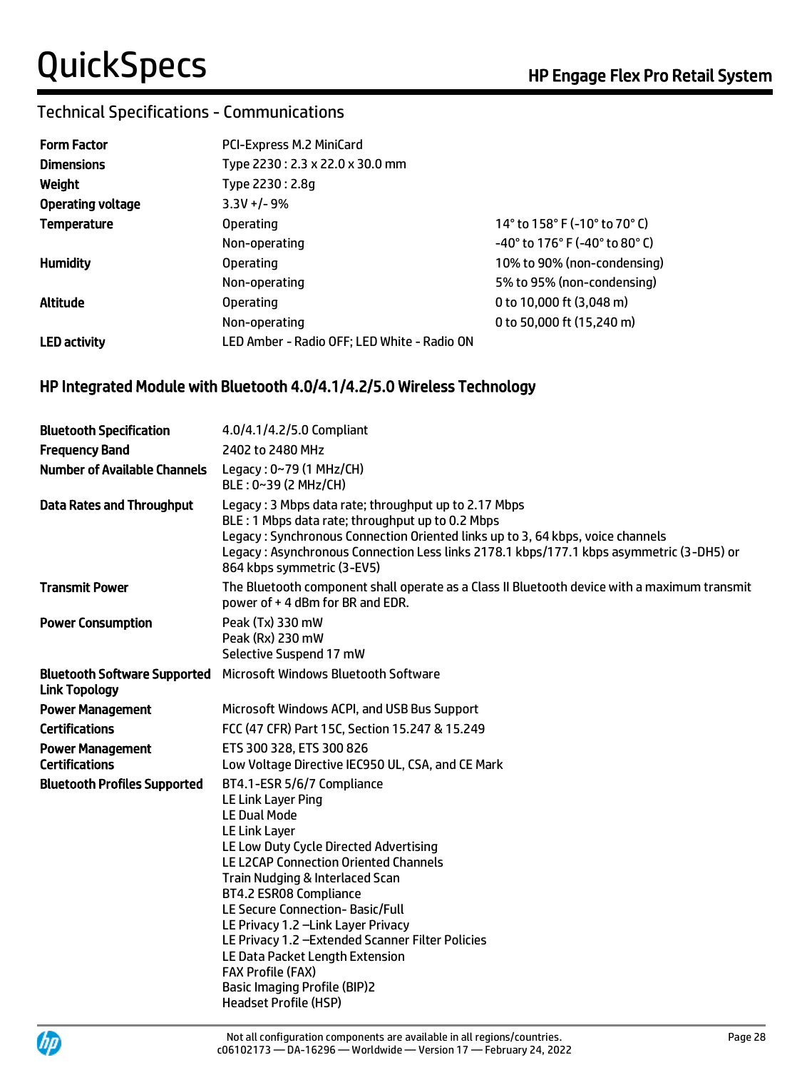### Technical Specifications - Communications

| <b>Form Factor</b>       | PCI-Express M.2 MiniCard                    |                                                                       |
|--------------------------|---------------------------------------------|-----------------------------------------------------------------------|
| <b>Dimensions</b>        | Type 2230: 2.3 x 22.0 x 30.0 mm             |                                                                       |
| Weight                   | Type 2230: 2.8q                             |                                                                       |
| <b>Operating voltage</b> | $3.3V + - 9%$                               |                                                                       |
| <b>Temperature</b>       | <b>Operating</b>                            | 14° to 158° F (-10° to 70° C)                                         |
|                          | Non-operating                               | $-40^{\circ}$ to 176 $^{\circ}$ F (-40 $^{\circ}$ to 80 $^{\circ}$ C) |
| <b>Humidity</b>          | <b>Operating</b>                            | 10% to 90% (non-condensing)                                           |
|                          | Non-operating                               | 5% to 95% (non-condensing)                                            |
| Altitude                 | <b>Operating</b>                            | 0 to 10,000 ft (3,048 m)                                              |
|                          | Non-operating                               | 0 to 50,000 ft (15,240 m)                                             |
| <b>LED</b> activity      | LED Amber - Radio OFF; LED White - Radio ON |                                                                       |

#### HP Integrated Module with Bluetooth 4.0/4.1/4.2/5.0 Wireless Technology

| <b>Bluetooth Specification</b>                              | 4.0/4.1/4.2/5.0 Compliant                                                                                                                                                                                                                                                                                                                                                                                                                                                                                            |
|-------------------------------------------------------------|----------------------------------------------------------------------------------------------------------------------------------------------------------------------------------------------------------------------------------------------------------------------------------------------------------------------------------------------------------------------------------------------------------------------------------------------------------------------------------------------------------------------|
| <b>Frequency Band</b>                                       | 2402 to 2480 MHz                                                                                                                                                                                                                                                                                                                                                                                                                                                                                                     |
| <b>Number of Available Channels</b>                         | Legacy: 0~79 (1 MHz/CH)<br>BLE: 0~39 (2 MHz/CH)                                                                                                                                                                                                                                                                                                                                                                                                                                                                      |
| <b>Data Rates and Throughput</b>                            | Legacy: 3 Mbps data rate; throughput up to 2.17 Mbps<br>BLE: 1 Mbps data rate; throughput up to 0.2 Mbps<br>Legacy: Synchronous Connection Oriented links up to 3, 64 kbps, voice channels<br>Legacy: Asynchronous Connection Less links 2178.1 kbps/177.1 kbps asymmetric (3-DH5) or<br>864 kbps symmetric (3-EV5)                                                                                                                                                                                                  |
| <b>Transmit Power</b>                                       | The Bluetooth component shall operate as a Class II Bluetooth device with a maximum transmit<br>power of +4 dBm for BR and EDR.                                                                                                                                                                                                                                                                                                                                                                                      |
| <b>Power Consumption</b>                                    | Peak (Tx) 330 mW<br>Peak (Rx) 230 mW<br>Selective Suspend 17 mW                                                                                                                                                                                                                                                                                                                                                                                                                                                      |
| <b>Bluetooth Software Supported</b><br><b>Link Topology</b> | Microsoft Windows Bluetooth Software                                                                                                                                                                                                                                                                                                                                                                                                                                                                                 |
| <b>Power Management</b>                                     | Microsoft Windows ACPI, and USB Bus Support                                                                                                                                                                                                                                                                                                                                                                                                                                                                          |
| <b>Certifications</b>                                       | FCC (47 CFR) Part 15C, Section 15.247 & 15.249                                                                                                                                                                                                                                                                                                                                                                                                                                                                       |
| <b>Power Management</b><br><b>Certifications</b>            | ETS 300 328, ETS 300 826<br>Low Voltage Directive IEC950 UL, CSA, and CE Mark                                                                                                                                                                                                                                                                                                                                                                                                                                        |
| <b>Bluetooth Profiles Supported</b>                         | BT4.1-ESR 5/6/7 Compliance<br>LE Link Layer Ping<br><b>LE Dual Mode</b><br>LE Link Layer<br>LE Low Duty Cycle Directed Advertising<br><b>LE L2CAP Connection Oriented Channels</b><br>Train Nudging & Interlaced Scan<br>BT4.2 ESR08 Compliance<br>LE Secure Connection- Basic/Full<br>LE Privacy 1.2 -Link Layer Privacy<br>LE Privacy 1.2 - Extended Scanner Filter Policies<br>LE Data Packet Length Extension<br><b>FAX Profile (FAX)</b><br><b>Basic Imaging Profile (BIP)2</b><br><b>Headset Profile (HSP)</b> |

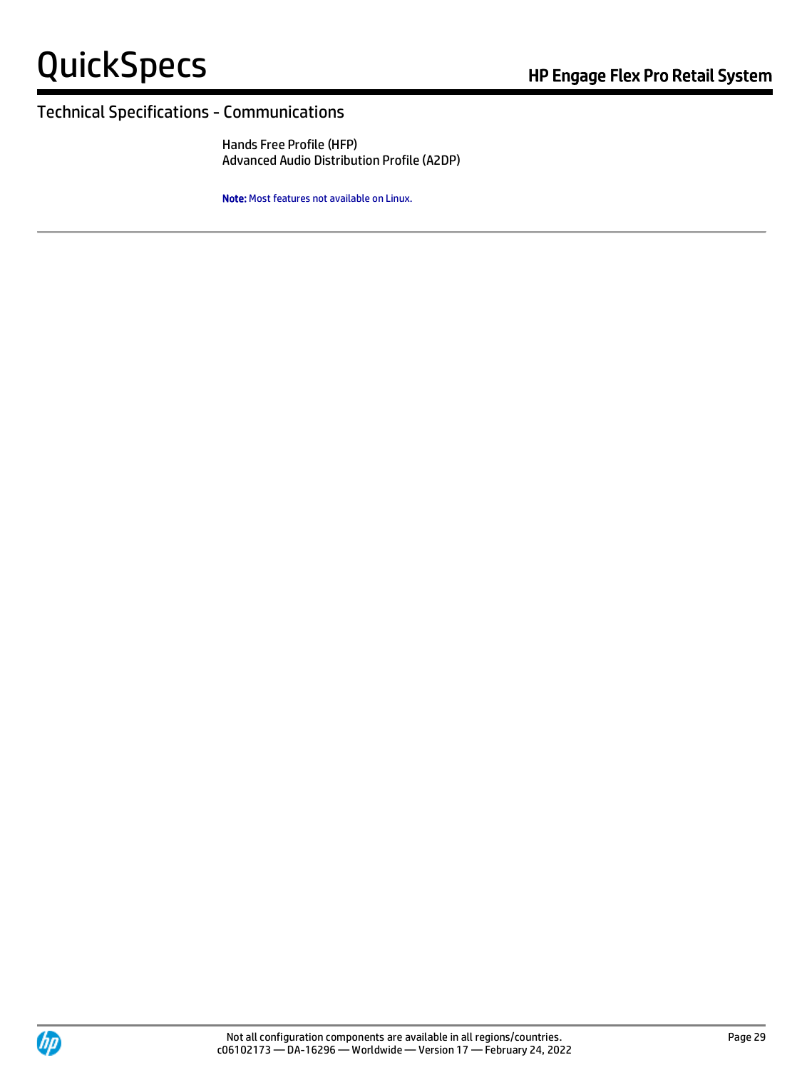#### Technical Specifications - Communications

Hands Free Profile (HFP) Advanced Audio Distribution Profile (A2DP)

Note: Most features not available on Linux.

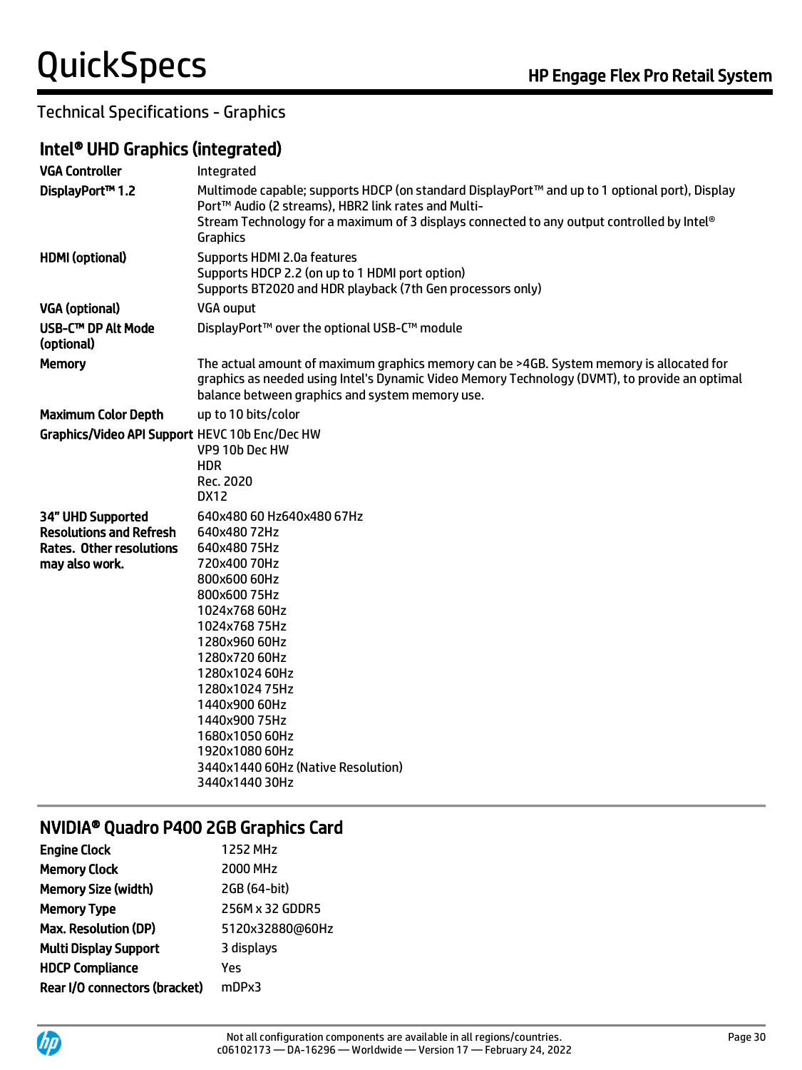### Technical Specifications - Graphics

#### Intel® UHD Graphics (integrated)

| <b>VGA Controller</b>                                                                                    | Integrated                                                                                                                                                                                                                                                                                                                              |
|----------------------------------------------------------------------------------------------------------|-----------------------------------------------------------------------------------------------------------------------------------------------------------------------------------------------------------------------------------------------------------------------------------------------------------------------------------------|
| DisplayPort™ 1.2                                                                                         | Multimode capable; supports HDCP (on standard DisplayPort™ and up to 1 optional port), Display<br>Port™ Audio (2 streams), HBR2 link rates and Multi-<br>Stream Technology for a maximum of 3 displays connected to any output controlled by Intel®<br>Graphics                                                                         |
| <b>HDMI</b> (optional)                                                                                   | Supports HDMI 2.0a features<br>Supports HDCP 2.2 (on up to 1 HDMI port option)<br>Supports BT2020 and HDR playback (7th Gen processors only)                                                                                                                                                                                            |
| <b>VGA (optional)</b>                                                                                    | <b>VGA ouput</b>                                                                                                                                                                                                                                                                                                                        |
| USB-C™ DP Alt Mode<br>(optional)                                                                         | DisplayPort™ over the optional USB-C™ module                                                                                                                                                                                                                                                                                            |
| <b>Memory</b>                                                                                            | The actual amount of maximum graphics memory can be >4GB. System memory is allocated for<br>graphics as needed using Intel's Dynamic Video Memory Technology (DVMT), to provide an optimal<br>balance between graphics and system memory use.                                                                                           |
| <b>Maximum Color Depth</b>                                                                               | up to 10 bits/color                                                                                                                                                                                                                                                                                                                     |
| Graphics/Video API Support HEVC 10b Enc/Dec HW                                                           | VP9 10b Dec HW<br><b>HDR</b><br>Rec. 2020<br><b>DX12</b>                                                                                                                                                                                                                                                                                |
| 34" UHD Supported<br><b>Resolutions and Refresh</b><br><b>Rates. Other resolutions</b><br>may also work. | 640x480 60 Hz640x480 67Hz<br>640x48072Hz<br>640x48075Hz<br>720x400 70Hz<br>800x600 60Hz<br>800x60075Hz<br>1024x768 60Hz<br>1024x76875Hz<br>1280x960 60Hz<br>1280x720 60Hz<br>1280x1024 60Hz<br>1280x102475Hz<br>1440x900 60Hz<br>1440x90075Hz<br>1680x105060Hz<br>1920x1080 60Hz<br>3440x1440 60Hz (Native Resolution)<br>3440x144030Hz |

## NVIDIA® Quadro P400 2GB Graphics Card

| <b>1252 MHz</b> |
|-----------------|
| 2000 MHz        |
| 2GB (64-bit)    |
| 256M x 32 GDDR5 |
| 5120x32880@60Hz |
| 3 displays      |
| Yes             |
| mDPx3           |
|                 |

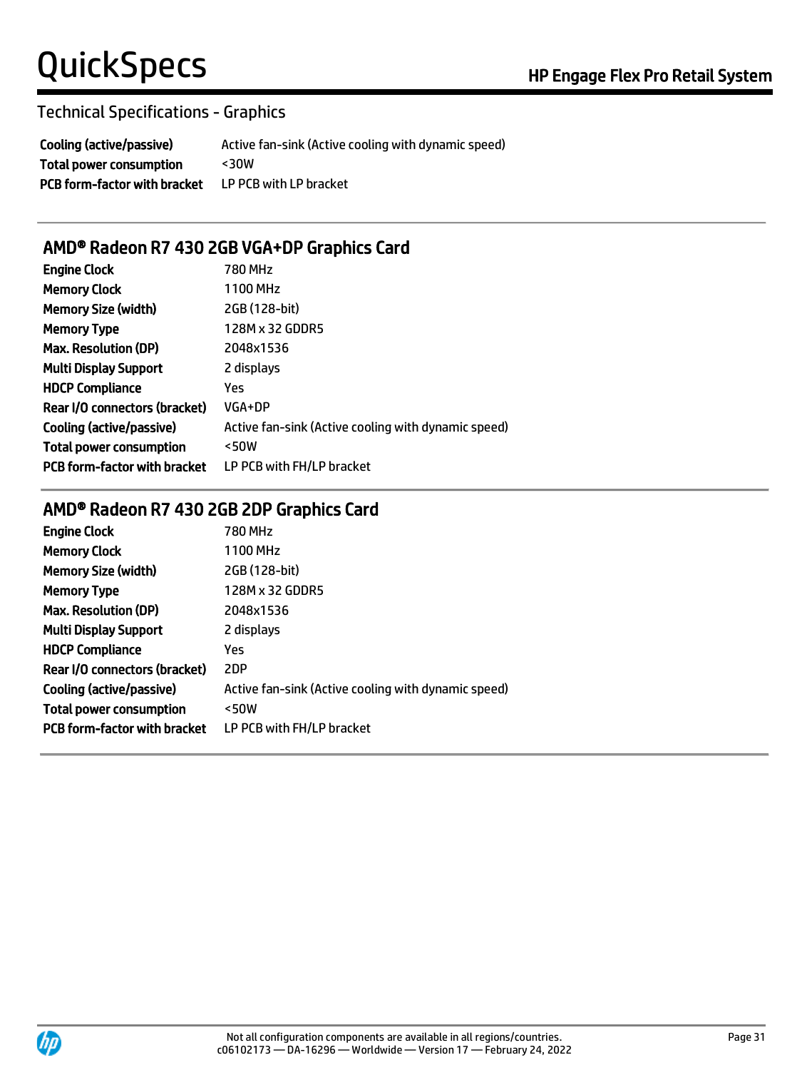#### Technical Specifications - Graphics

Cooling (active/passive) Active fan-sink (Active cooling with dynamic speed) Total power consumption <30W PCB form-factor with bracket LP PCB with LP bracket

### AMD® Radeon R7 430 2GB VGA+DP Graphics Card

| <b>Engine Clock</b>                 | 780 MHz                                             |
|-------------------------------------|-----------------------------------------------------|
| <b>Memory Clock</b>                 | 1100 MHz                                            |
| <b>Memory Size (width)</b>          | 2GB (128-bit)                                       |
| <b>Memory Type</b>                  | 128M x 32 GDDR5                                     |
| <b>Max. Resolution (DP)</b>         | 2048x1536                                           |
| <b>Multi Display Support</b>        | 2 displays                                          |
| <b>HDCP Compliance</b>              | Yes                                                 |
| Rear I/O connectors (bracket)       | VGA+DP                                              |
| Cooling (active/passive)            | Active fan-sink (Active cooling with dynamic speed) |
| <b>Total power consumption</b>      | <50W                                                |
| <b>PCB form-factor with bracket</b> | LP PCB with FH/LP bracket                           |

## AMD® Radeon R7 430 2GB 2DP Graphics Card

| <b>Engine Clock</b>                 | 780 MHz                                             |
|-------------------------------------|-----------------------------------------------------|
| <b>Memory Clock</b>                 | 1100 MHz                                            |
| <b>Memory Size (width)</b>          | 2GB (128-bit)                                       |
| <b>Memory Type</b>                  | 128M x 32 GDDR5                                     |
| <b>Max. Resolution (DP)</b>         | 2048x1536                                           |
| <b>Multi Display Support</b>        | 2 displays                                          |
| <b>HDCP Compliance</b>              | Yes                                                 |
| Rear I/O connectors (bracket)       | 2DP                                                 |
| Cooling (active/passive)            | Active fan-sink (Active cooling with dynamic speed) |
| <b>Total power consumption</b>      | <50W                                                |
| <b>PCB form-factor with bracket</b> | LP PCB with FH/LP bracket                           |
|                                     |                                                     |

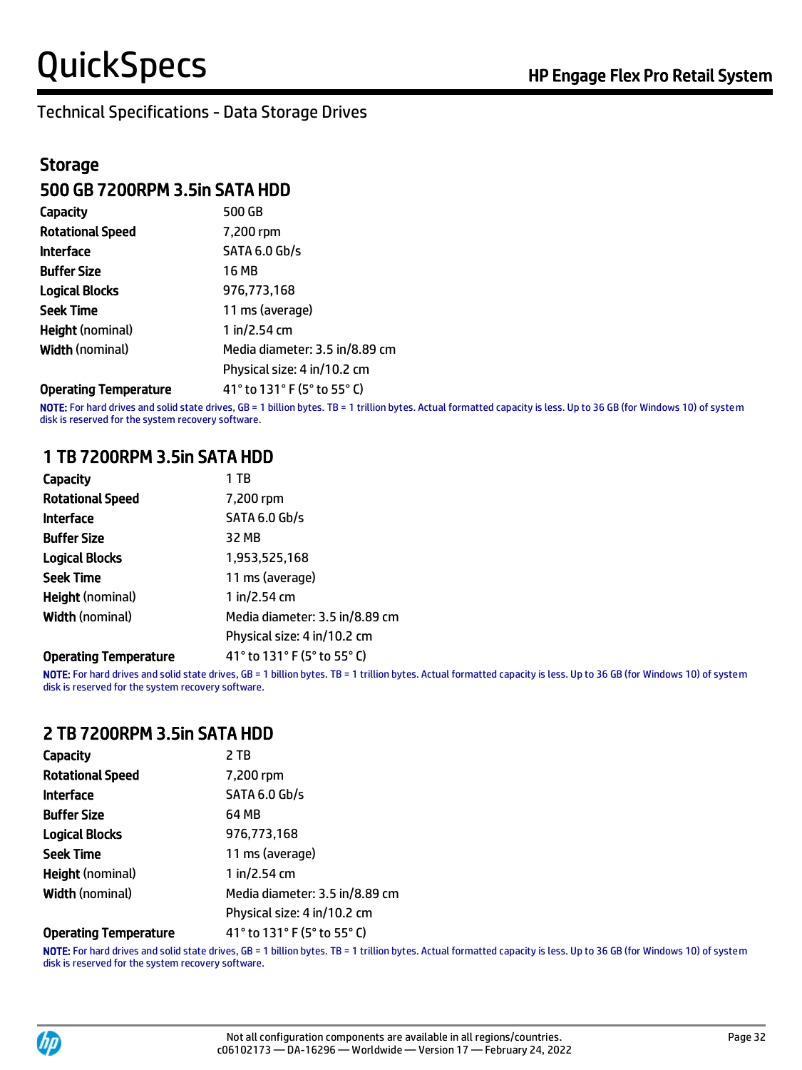#### Technical Specifications - Data Storage Drives

### **Storage** 500 GB 7200RPM 3.5in SATA HDD

| Capacity                | 500 GB                         |
|-------------------------|--------------------------------|
| <b>Rotational Speed</b> | 7,200 rpm                      |
| <b>Interface</b>        | <b>SATA 6.0 Gb/s</b>           |
| <b>Buffer Size</b>      | 16 MB                          |
| <b>Logical Blocks</b>   | 976,773,168                    |
| <b>Seek Time</b>        | 11 ms (average)                |
| <b>Height (nominal)</b> | 1 in/2.54 cm                   |
| <b>Width (nominal)</b>  | Media diameter: 3.5 in/8.89 cm |
|                         | Physical size: 4 in/10.2 cm    |
|                         |                                |

Operating Temperature 41° to 131° F (5° to 55° C)

NOTE: For hard drives and solid state drives, GB = 1 billion bytes. TB = 1 trillion bytes. Actual formatted capacity is less. Up to 36 GB (for Windows 10) of system disk is reserved for the system recovery software.

#### 1 TB 7200RPM 3.5in SATA HDD

| <b>Capacity</b>              | 1 TB                           |
|------------------------------|--------------------------------|
| <b>Rotational Speed</b>      | 7,200 rpm                      |
| <b>Interface</b>             | <b>SATA 6.0 Gb/s</b>           |
| <b>Buffer Size</b>           | 32 MB                          |
| <b>Logical Blocks</b>        | 1,953,525,168                  |
| <b>Seek Time</b>             | 11 ms (average)                |
| <b>Height (nominal)</b>      | 1 in/2.54 cm                   |
| <b>Width (nominal)</b>       | Media diameter: 3.5 in/8.89 cm |
|                              | Physical size: 4 in/10.2 cm    |
| <b>Operating Temperature</b> | 41° to 131° F (5° to 55° C)    |

NOTE: For hard drives and solid state drives, GB = 1 billion bytes. TB = 1 trillion bytes. Actual formatted capacity is less. Up to 36 GB (for Windows 10) of system disk is reserved for the system recovery software.

#### 2 TB 7200RPM 3.5in SATA HDD

| Capacity                     | 2 TB                           |
|------------------------------|--------------------------------|
| <b>Rotational Speed</b>      | 7,200 rpm                      |
| <b>Interface</b>             | <b>SATA 6.0 Gb/s</b>           |
| <b>Buffer Size</b>           | 64 MB                          |
| <b>Logical Blocks</b>        | 976,773,168                    |
| <b>Seek Time</b>             | 11 ms (average)                |
| <b>Height</b> (nominal)      | 1 in/2.54 cm                   |
| <b>Width (nominal)</b>       | Media diameter: 3.5 in/8.89 cm |
|                              | Physical size: 4 in/10.2 cm    |
| <b>Operating Temperature</b> | 41° to 131° F (5° to 55° C)    |

NOTE: For hard drives and solid state drives, GB = 1 billion bytes. TB = 1 trillion bytes. Actual formatted capacity is less. Up to 36 GB (for Windows 10) of system disk is reserved for the system recovery software.

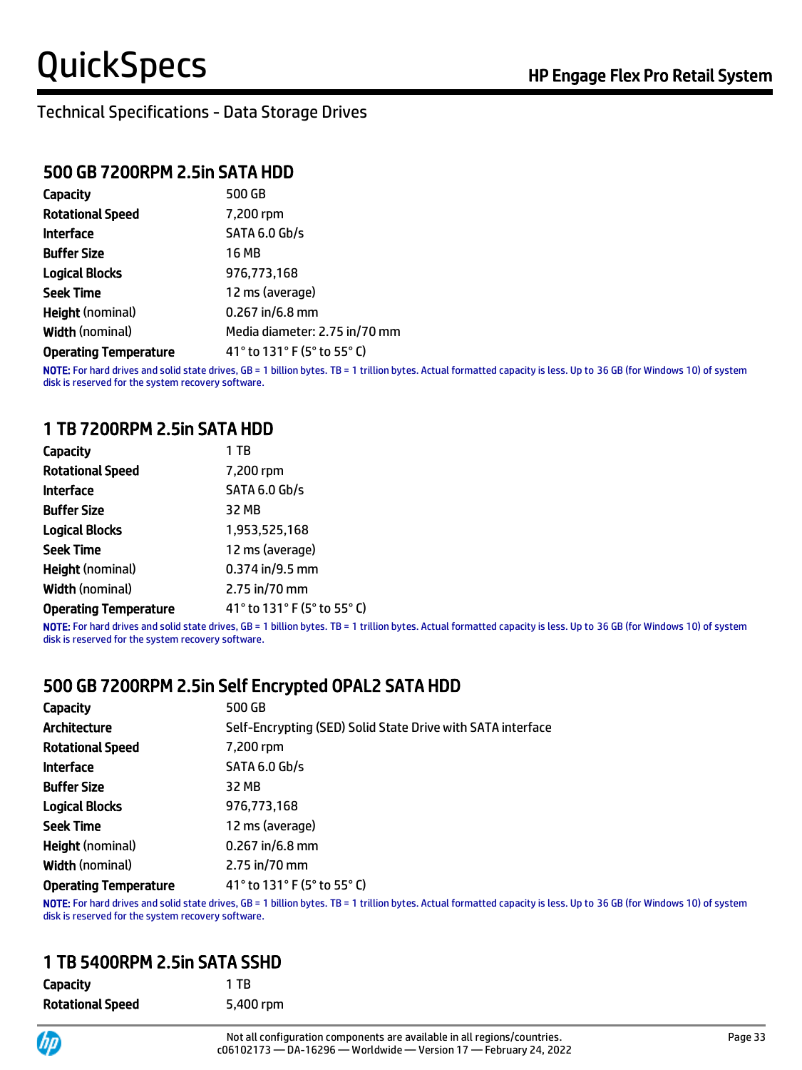#### Technical Specifications - Data Storage Drives

#### 500 GB 7200RPM 2.5in SATA HDD

| <b>Capacity</b>              | 500 GB                        |
|------------------------------|-------------------------------|
| <b>Rotational Speed</b>      | 7,200 rpm                     |
| <b>Interface</b>             | <b>SATA 6.0 Gb/s</b>          |
| <b>Buffer Size</b>           | <b>16 MB</b>                  |
| <b>Logical Blocks</b>        | 976,773,168                   |
| <b>Seek Time</b>             | 12 ms (average)               |
| <b>Height (nominal)</b>      | $0.267$ in/6.8 mm             |
| <b>Width (nominal)</b>       | Media diameter: 2.75 in/70 mm |
| <b>Operating Temperature</b> | 41° to 131° F (5° to 55° C)   |

NOTE: For hard drives and solid state drives, GB = 1 billion bytes. TB = 1 trillion bytes. Actual formatted capacity is less. Up to 36 GB (for Windows 10) of system disk is reserved for the system recovery software.

#### 1 TB 7200RPM 2.5in SATA HDD

| Capacity                     | 1 TB                        |
|------------------------------|-----------------------------|
| <b>Rotational Speed</b>      | 7,200 rpm                   |
| <b>Interface</b>             | SATA 6.0 Gb/s               |
| <b>Buffer Size</b>           | 32 MB                       |
| <b>Logical Blocks</b>        | 1,953,525,168               |
| <b>Seek Time</b>             | 12 ms (average)             |
| <b>Height</b> (nominal)      | $0.374$ in/9.5 mm           |
| <b>Width (nominal)</b>       | $2.75$ in/70 mm             |
| <b>Operating Temperature</b> | 41° to 131° F (5° to 55° C) |

NOTE: For hard drives and solid state drives, GB = 1 billion bytes. TB = 1 trillion bytes. Actual formatted capacity is less. Up to 36 GB (for Windows 10) of system disk is reserved for the system recovery software.

#### 500 GB 7200RPM 2.5in Self Encrypted OPAL2 SATA HDD

| 500 GB                                                      |
|-------------------------------------------------------------|
| Self-Encrypting (SED) Solid State Drive with SATA interface |
| 7,200 rpm                                                   |
| SATA 6.0 Gb/s                                               |
| 32 MB                                                       |
| 976,773,168                                                 |
| 12 ms (average)                                             |
| $0.267$ in/6.8 mm                                           |
| 2.75 in/70 mm                                               |
| 41° to 131° F (5° to 55° C)                                 |
|                                                             |

NOTE: For hard drives and solid state drives, GB = 1 billion bytes. TB = 1 trillion bytes. Actual formatted capacity is less. Up to 36 GB (for Windows 10) of system disk is reserved for the system recovery software.

#### 1 TB 5400RPM 2.5in SATA SSHD

| Capacity                | 1 TR      |
|-------------------------|-----------|
| <b>Rotational Speed</b> | 5,400 rpm |

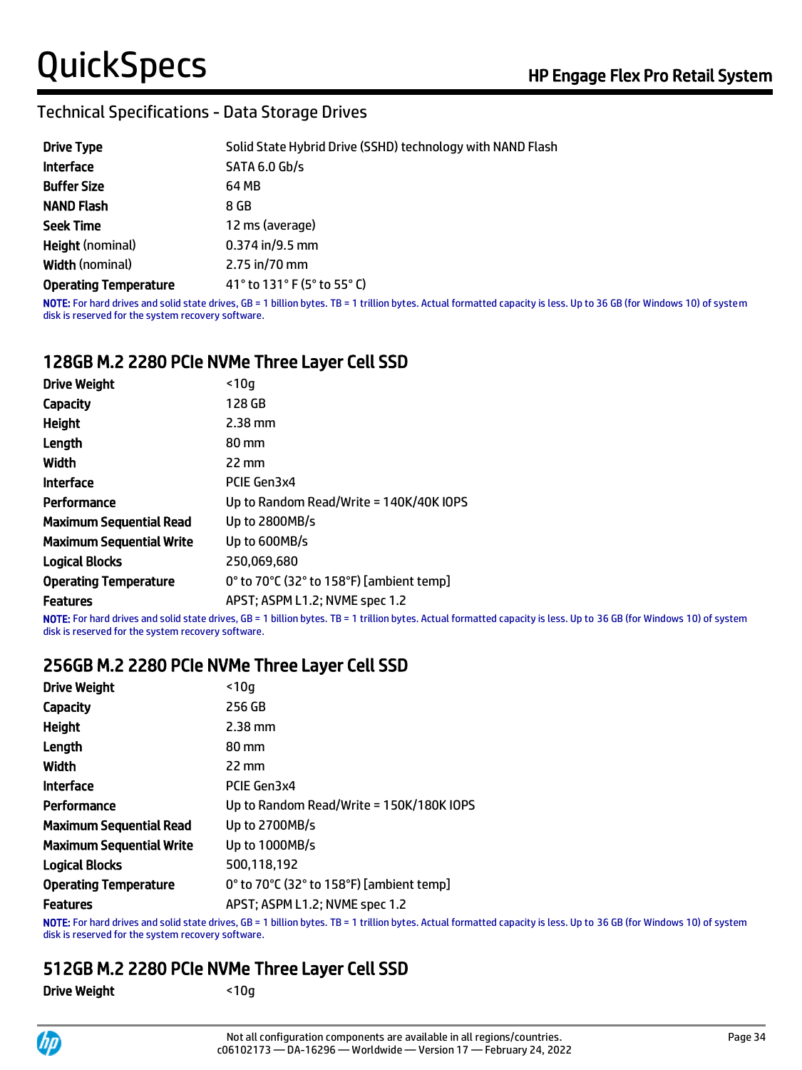### Technical Specifications - Data Storage Drives

| <b>Drive Type</b>            | Solid State Hybrid Drive (SSHD) technology with NAND Flash |
|------------------------------|------------------------------------------------------------|
| <b>Interface</b>             | <b>SATA 6.0 Gb/s</b>                                       |
| <b>Buffer Size</b>           | 64 MB                                                      |
| <b>NAND Flash</b>            | 8 GB                                                       |
| <b>Seek Time</b>             | 12 ms (average)                                            |
| <b>Height (nominal)</b>      | $0.374$ in/9.5 mm                                          |
| <b>Width (nominal)</b>       | 2.75 in/70 mm                                              |
| <b>Operating Temperature</b> | 41° to 131° F (5° to 55° C)                                |
|                              |                                                            |

NOTE: For hard drives and solid state drives, GB = 1 billion bytes. TB = 1 trillion bytes. Actual formatted capacity is less. Up to 36 GB (for Windows 10) of system disk is reserved for the system recovery software.

### 128GB M.2 2280 PCIe NVMe Three Layer Cell SSD

| <b>Drive Weight</b>             | < 10a                                    |
|---------------------------------|------------------------------------------|
| Capacity                        | 128 GB                                   |
| <b>Height</b>                   | $2.38$ mm                                |
| Length                          | 80 mm                                    |
| Width                           | $22 \text{ mm}$                          |
| <b>Interface</b>                | PCIE Gen3x4                              |
| Performance                     | Up to Random Read/Write = 140K/40K IOPS  |
| <b>Maximum Sequential Read</b>  | Up to 2800MB/s                           |
| <b>Maximum Sequential Write</b> | Up to 600MB/s                            |
| <b>Logical Blocks</b>           | 250.069.680                              |
| <b>Operating Temperature</b>    | 0° to 70°C (32° to 158°F) [ambient temp] |
| <b>Features</b>                 | APST; ASPM L1.2; NVME spec 1.2           |

NOTE: For hard drives and solid state drives, GB = 1 billion bytes. TB = 1 trillion bytes. Actual formatted capacity is less. Up to 36 GB (for Windows 10) of system disk is reserved for the system recovery software.

#### 256GB M.2 2280 PCIe NVMe Three Layer Cell SSD

| < 10a                                    |
|------------------------------------------|
| 256 GB                                   |
| $2.38$ mm                                |
| 80 mm                                    |
| 22 mm                                    |
| PCIE Gen3x4                              |
| Up to Random Read/Write = 150K/180K IOPS |
| Up to 2700MB/s                           |
| Up to 1000MB/s                           |
| 500,118,192                              |
| 0° to 70°C (32° to 158°F) [ambient temp] |
| APST; ASPM L1.2; NVME spec 1.2           |
|                                          |

NOTE: For hard drives and solid state drives, GB = 1 billion bytes. TB = 1 trillion bytes. Actual formatted capacity is less. Up to 36 GB (for Windows 10) of system disk is reserved for the system recovery software.

### 512GB M.2 2280 PCIe NVMe Three Layer Cell SSD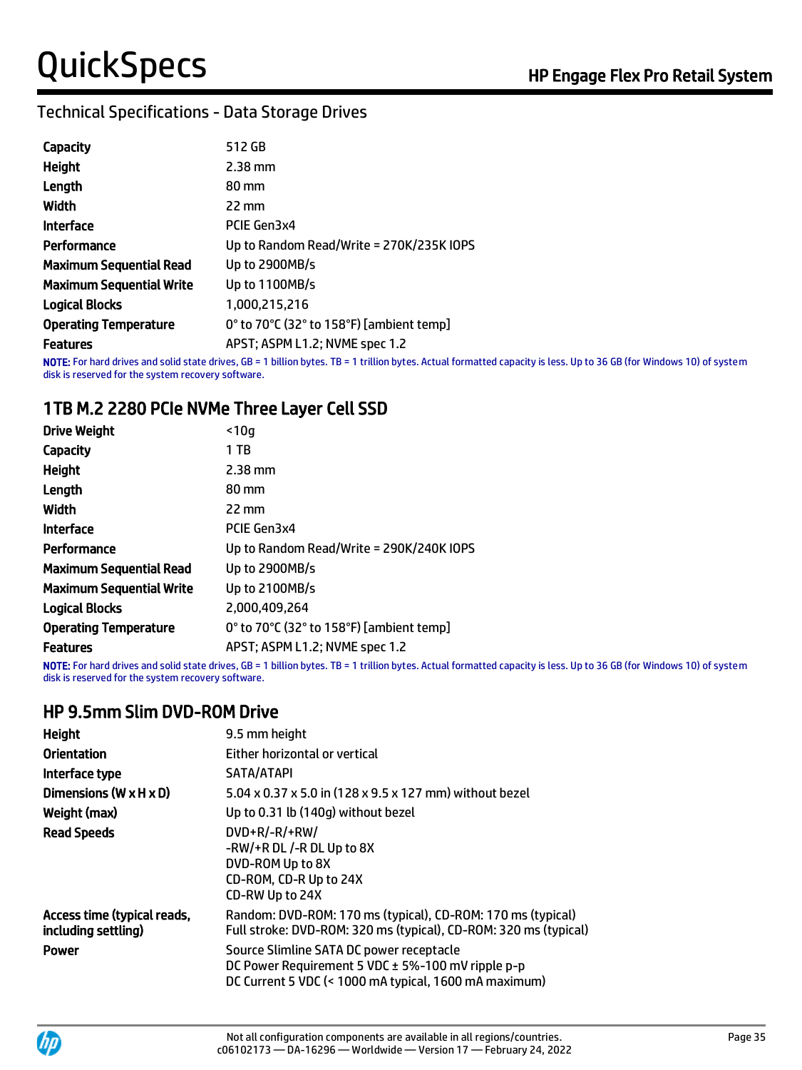### Technical Specifications - Data Storage Drives

| Capacity                        | 512 GB                                   |
|---------------------------------|------------------------------------------|
| Height                          | $2.38$ mm                                |
| Length                          | 80 mm                                    |
| Width                           | 22 mm                                    |
| <b>Interface</b>                | PCIE Gen3x4                              |
| Performance                     | Up to Random Read/Write = 270K/235K IOPS |
| <b>Maximum Sequential Read</b>  | Up to 2900MB/s                           |
| <b>Maximum Sequential Write</b> | Up to 1100MB/s                           |
| <b>Logical Blocks</b>           | 1,000,215,216                            |
| <b>Operating Temperature</b>    | 0° to 70°C (32° to 158°F) [ambient temp] |
| <b>Features</b>                 | APST; ASPM L1.2; NVME spec 1.2           |

NOTE: For hard drives and solid state drives, GB = 1 billion bytes. TB = 1 trillion bytes. Actual formatted capacity is less. Up to 36 GB (for Windows 10) of system disk is reserved for the system recovery software.

#### 1TB M.2 2280 PCIe NVMe Three Layer Cell SSD

| <b>Drive Weight</b>          | $10q$                                                                                                                              |
|------------------------------|------------------------------------------------------------------------------------------------------------------------------------|
| Capacity                     | 1 TB                                                                                                                               |
| Height                       | $2.38$ mm                                                                                                                          |
| Length                       | 80 mm                                                                                                                              |
| Width                        | $22 \text{ mm}$                                                                                                                    |
| Interface                    | PCIE Gen3x4                                                                                                                        |
| Performance                  | Up to Random Read/Write = 290K/240K IOPS                                                                                           |
| Maximum Sequential Read      | Up to 2900MB/s                                                                                                                     |
| Maximum Sequential Write     | Up to 2100MB/s                                                                                                                     |
| Logical Blocks               | 2.000.409.264                                                                                                                      |
| <b>Operating Temperature</b> | 0° to 70°C (32° to 158°F) [ambient temp]                                                                                           |
| Features                     | APST; ASPM L1.2; NVME spec 1.2                                                                                                     |
|                              | NATE, Esclosia actividad della serie actividad CD - 4 ENNes Estre TD - 4 ECNIS Estre - Astrol focuential serie dell'Enne Nero Nero |

NOTE: For hard drives and solid state drives, GB = 1 billion bytes. TB = 1 trillion bytes. Actual formatted capacity is less. Up to 36 GB (for Windows 10) of system disk is reserved for the system recovery software.

#### HP 9.5mm Slim DVD-ROM Drive

| <b>Height</b>                                      | 9.5 mm height                                                                                                                                          |
|----------------------------------------------------|--------------------------------------------------------------------------------------------------------------------------------------------------------|
| <b>Orientation</b>                                 | Either horizontal or vertical                                                                                                                          |
| Interface type                                     | SATA/ATAPI                                                                                                                                             |
| Dimensions ( $W \times H \times D$ )               | 5.04 x 0.37 x 5.0 in (128 x 9.5 x 127 mm) without bezel                                                                                                |
| Weight (max)                                       | Up to 0.31 lb (140q) without bezel                                                                                                                     |
| <b>Read Speeds</b>                                 | $DVD+R/-R/+RW/$<br>-RW/+R DL /-R DL Up to 8X<br>DVD-ROM Up to 8X<br>CD-ROM, CD-R Up to 24X<br>CD-RW Up to 24X                                          |
| Access time (typical reads,<br>including settling) | Random: DVD-ROM: 170 ms (typical), CD-ROM: 170 ms (typical)<br>Full stroke: DVD-ROM: 320 ms (typical), CD-ROM: 320 ms (typical)                        |
| <b>Power</b>                                       | Source Slimline SATA DC power receptacle<br>DC Power Requirement 5 VDC ± 5%-100 mV ripple p-p<br>DC Current 5 VDC (< 1000 mA typical, 1600 mA maximum) |

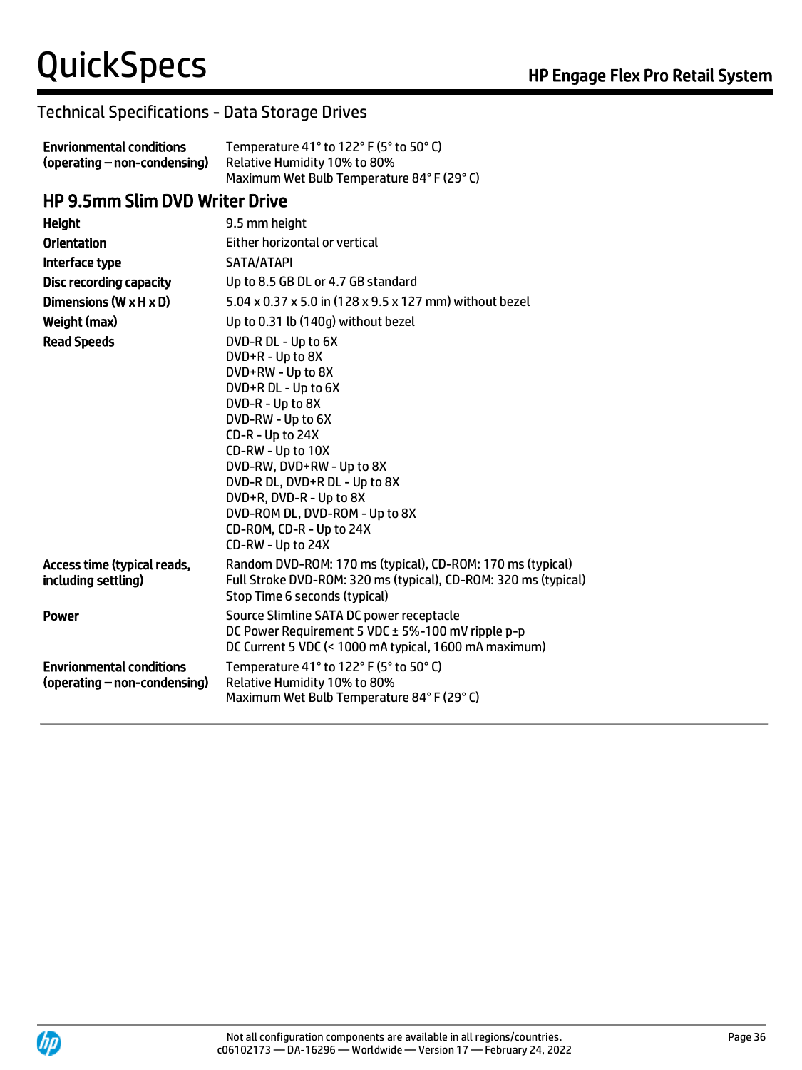#### Technical Specifications - Data Storage Drives

| <b>Envrionmental conditions</b> | Temperature 41° to 122° F (5° to 50° C)  |
|---------------------------------|------------------------------------------|
| (operating – non-condensing)    | Relative Humidity 10% to 80%             |
|                                 | Maximum Wet Bulb Temperature 84°F (29°C) |

#### HP 9.5mm Slim DVD Writer Drive

| <b>Height</b>                                                   | 9.5 mm height                                                                                                                                                                                                                                                                                                                                     |
|-----------------------------------------------------------------|---------------------------------------------------------------------------------------------------------------------------------------------------------------------------------------------------------------------------------------------------------------------------------------------------------------------------------------------------|
| <b>Orientation</b>                                              | Either horizontal or vertical                                                                                                                                                                                                                                                                                                                     |
| Interface type                                                  | SATA/ATAPI                                                                                                                                                                                                                                                                                                                                        |
| <b>Disc recording capacity</b>                                  | Up to 8.5 GB DL or 4.7 GB standard                                                                                                                                                                                                                                                                                                                |
| Dimensions (W $\times$ H $\times$ D)                            | 5.04 x 0.37 x 5.0 in (128 x 9.5 x 127 mm) without bezel                                                                                                                                                                                                                                                                                           |
| Weight (max)                                                    | Up to 0.31 lb (140g) without bezel                                                                                                                                                                                                                                                                                                                |
| <b>Read Speeds</b>                                              | DVD-R DL - Up to 6X<br>DVD+R - Up to 8X<br>DVD+RW - Up to 8X<br>DVD+R DL - Up to 6X<br>DVD-R - Up to 8X<br>DVD-RW - Up to 6X<br>CD-R - Up to 24X<br>CD-RW - Up to 10X<br>DVD-RW, DVD+RW - Up to 8X<br>DVD-R DL, DVD+R DL - Up to 8X<br>DVD+R, DVD-R - Up to 8X<br>DVD-ROM DL, DVD-ROM - Up to 8X<br>CD-ROM, CD-R - Up to 24X<br>CD-RW - Up to 24X |
| Access time (typical reads,<br>including settling)              | Random DVD-ROM: 170 ms (typical), CD-ROM: 170 ms (typical)<br>Full Stroke DVD-ROM: 320 ms (typical), CD-ROM: 320 ms (typical)<br>Stop Time 6 seconds (typical)                                                                                                                                                                                    |
| Power                                                           | Source Slimline SATA DC power receptacle<br>DC Power Requirement 5 VDC ± 5%-100 mV ripple p-p<br>DC Current 5 VDC (< 1000 mA typical, 1600 mA maximum)                                                                                                                                                                                            |
| <b>Envrionmental conditions</b><br>(operating – non-condensing) | Temperature 41° to 122° F (5° to 50° C)<br>Relative Humidity 10% to 80%<br>Maximum Wet Bulb Temperature 84°F (29°C)                                                                                                                                                                                                                               |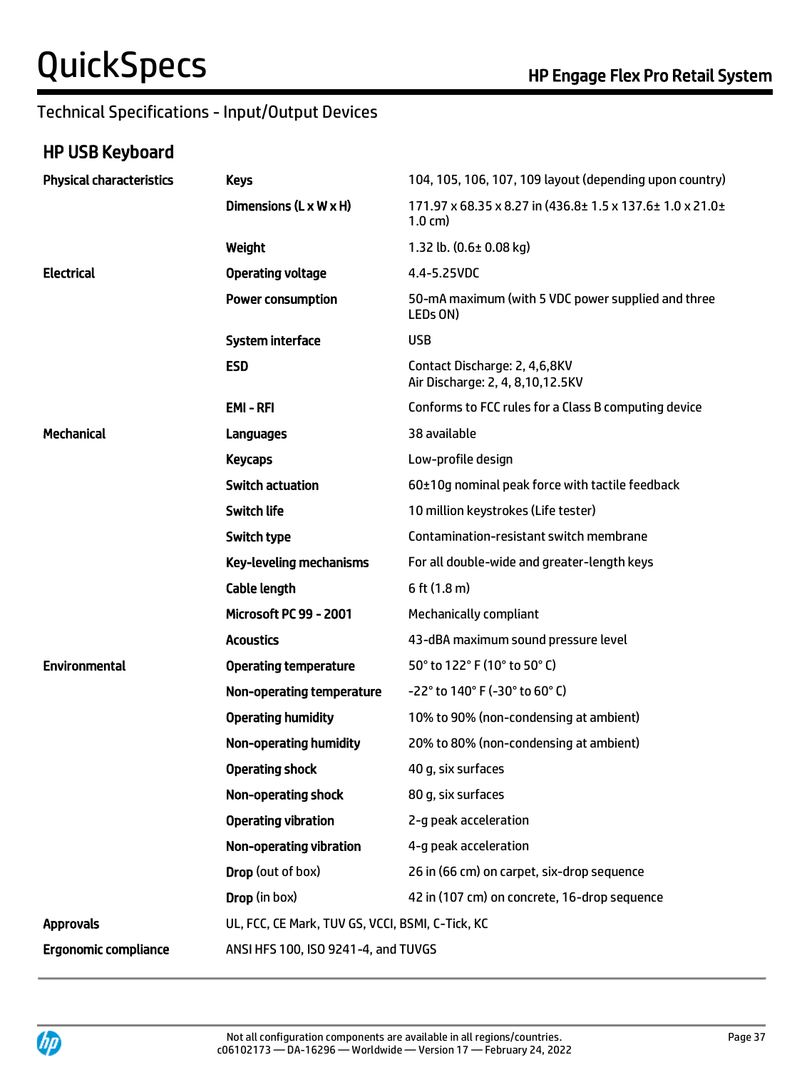### Technical Specifications - Input/Output Devices

# HP USB Keyboard

| <b>Physical characteristics</b> | <b>Keys</b>                                      | 104, 105, 106, 107, 109 layout (depending upon country)                       |
|---------------------------------|--------------------------------------------------|-------------------------------------------------------------------------------|
|                                 | Dimensions (L x W x H)                           | 171.97 x 68.35 x 8.27 in (436.8± 1.5 x 137.6± 1.0 x 21.0±<br>$1.0 \text{ cm}$ |
|                                 | Weight                                           | 1.32 lb. $(0.6 \pm 0.08 \text{ kg})$                                          |
| <b>Electrical</b>               | <b>Operating voltage</b>                         | 4.4-5.25VDC                                                                   |
|                                 | <b>Power consumption</b>                         | 50-mA maximum (with 5 VDC power supplied and three<br>LED <sub>s</sub> ON)    |
|                                 | <b>System interface</b>                          | <b>USB</b>                                                                    |
|                                 | <b>ESD</b>                                       | Contact Discharge: 2, 4,6,8KV<br>Air Discharge: 2, 4, 8, 10, 12.5KV           |
|                                 | <b>EMI-RFI</b>                                   | Conforms to FCC rules for a Class B computing device                          |
| <b>Mechanical</b>               | Languages                                        | 38 available                                                                  |
|                                 | <b>Keycaps</b>                                   | Low-profile design                                                            |
|                                 | <b>Switch actuation</b>                          | 60±10g nominal peak force with tactile feedback                               |
|                                 | <b>Switch life</b>                               | 10 million keystrokes (Life tester)                                           |
|                                 | Switch type                                      | Contamination-resistant switch membrane                                       |
|                                 | <b>Key-leveling mechanisms</b>                   | For all double-wide and greater-length keys                                   |
|                                 | <b>Cable length</b>                              | 6 ft (1.8 m)                                                                  |
|                                 | <b>Microsoft PC 99 - 2001</b>                    | Mechanically compliant                                                        |
|                                 | <b>Acoustics</b>                                 | 43-dBA maximum sound pressure level                                           |
| <b>Environmental</b>            | <b>Operating temperature</b>                     | 50° to 122° F (10° to 50° C)                                                  |
|                                 | Non-operating temperature                        | -22° to 140° F (-30° to 60° C)                                                |
|                                 | <b>Operating humidity</b>                        | 10% to 90% (non-condensing at ambient)                                        |
|                                 | <b>Non-operating humidity</b>                    | 20% to 80% (non-condensing at ambient)                                        |
|                                 | <b>Operating shock</b>                           | 40 g, six surfaces                                                            |
|                                 | <b>Non-operating shock</b>                       | 80 g, six surfaces                                                            |
|                                 | <b>Operating vibration</b>                       | 2-g peak acceleration                                                         |
|                                 | Non-operating vibration                          | 4-g peak acceleration                                                         |
|                                 | Drop (out of box)                                | 26 in (66 cm) on carpet, six-drop sequence                                    |
|                                 | Drop (in box)                                    | 42 in (107 cm) on concrete, 16-drop sequence                                  |
| <b>Approvals</b>                | UL, FCC, CE Mark, TUV GS, VCCI, BSMI, C-Tick, KC |                                                                               |
| <b>Ergonomic compliance</b>     | ANSI HFS 100, ISO 9241-4, and TUVGS              |                                                                               |

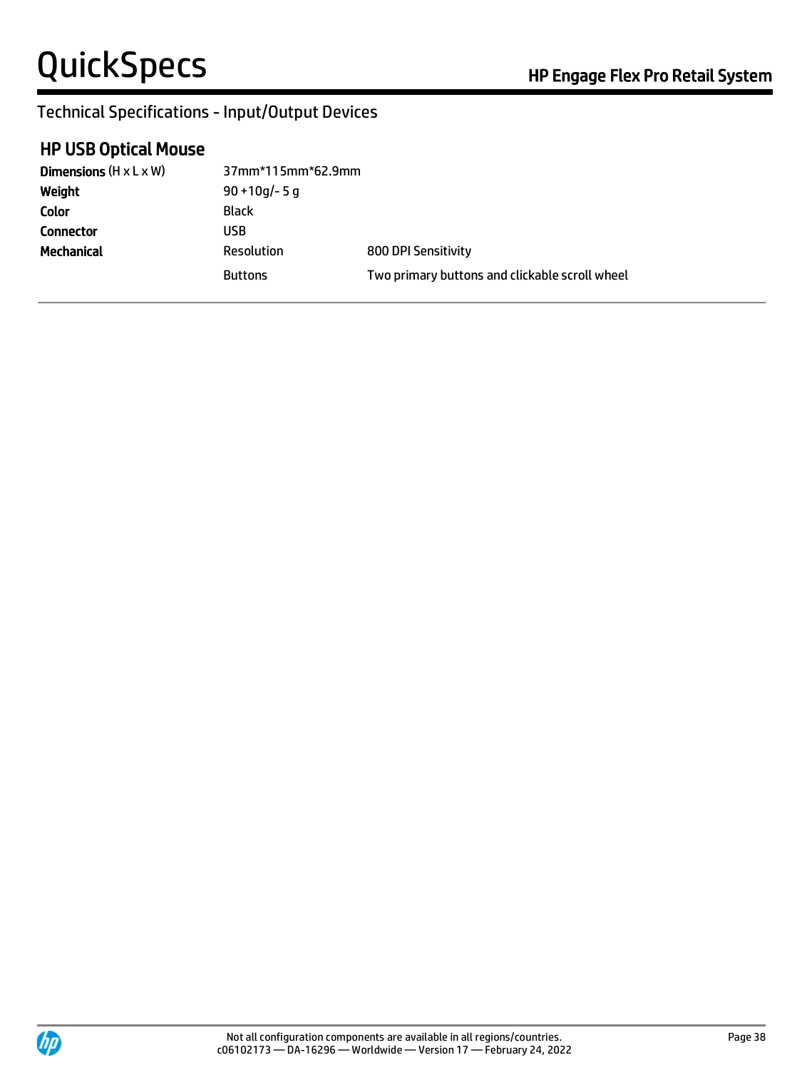### Technical Specifications - Input/Output Devices

#### HP USB Optical Mouse

| Dimensions $(H \times L \times W)$ | 37mm*115mm*62.9mm |                                                |
|------------------------------------|-------------------|------------------------------------------------|
| Weight                             | $90 + 10q - 5q$   |                                                |
| <b>Color</b>                       | Black             |                                                |
| <b>Connector</b>                   | USB               |                                                |
| Mechanical                         | Resolution        | 800 DPI Sensitivity                            |
|                                    | <b>Buttons</b>    | Two primary buttons and clickable scroll wheel |

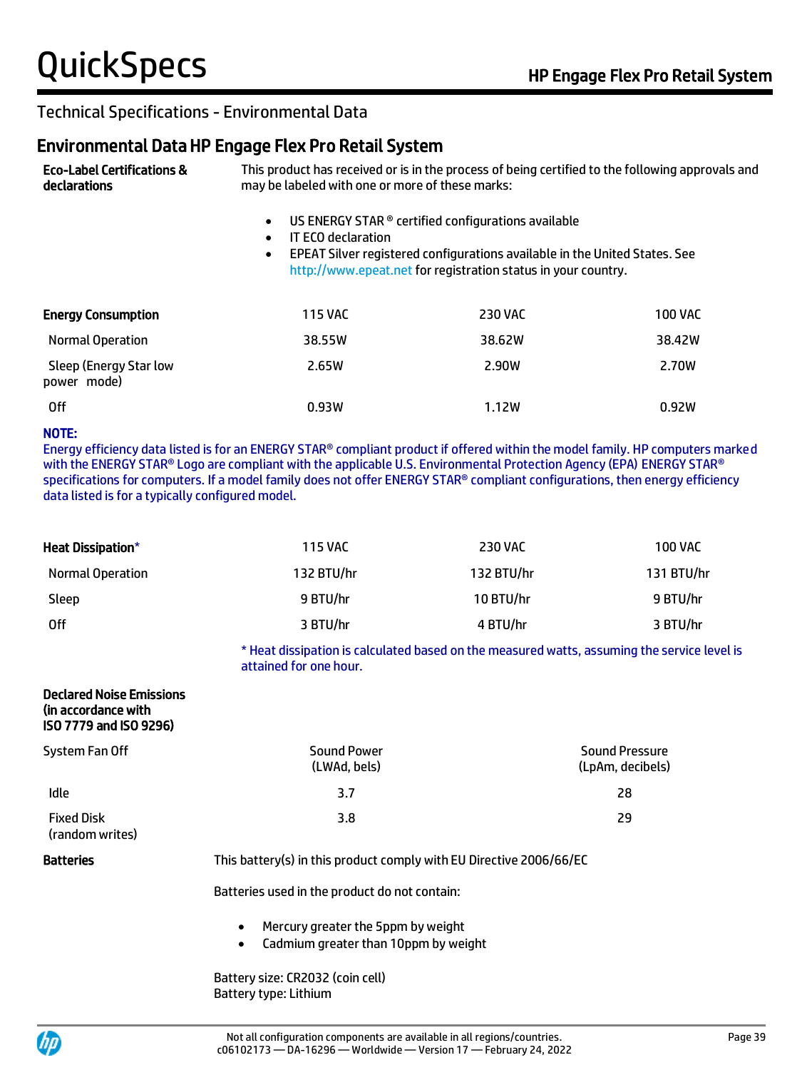#### Environmental Data HP Engage Flex Pro Retail System

Eco-Label Certifications & declarations This product has received or is in the process of being certified to the following approvals and may be labeled with one or more of these marks:

- US ENERGY STAR ® certified configurations available
- IT ECO declaration
- EPEAT Silver registered configurations available in the United States. See [http://www.epeat.net](http://www.epeat.net/) for registration status in your country.

| <b>Energy Consumption</b>             | <b>115 VAC</b> | <b>230 VAC</b> | <b>100 VAC</b> |
|---------------------------------------|----------------|----------------|----------------|
| Normal Operation                      | 38.55W         | 38.62W         | 38.42W         |
| Sleep (Energy Star low<br>power mode) | 2.65W          | 2.90W          | 2.70W          |
| 0ff                                   | 0.93W          | 1.12W          | 0.92W          |

#### NOTE:

Energy efficiency data listed is for an ENERGY STAR® compliant product if offered within the model family. HP computers marked with the ENERGY STAR® Logo are compliant with the applicable U.S. Environmental Protection Agency (EPA) ENERGY STAR® specifications for computers. If a model family does not offer ENERGY STAR® compliant configurations, then energy efficiency data listed is for a typically configured model.

| <b>Heat Dissipation*</b> | <b>115 VAC</b> | <b>230 VAC</b> | <b>100 VAC</b> |
|--------------------------|----------------|----------------|----------------|
| Normal Operation         | 132 BTU/hr     | 132 BTU/hr     | 131 BTU/hr     |
| Sleep                    | 9 BTU/hr       | 10 BTU/hr      | 9 BTU/hr       |
| 0ff                      | 3 BTU/hr       | 4 BTU/hr       | 3 BTU/hr       |

\* Heat dissipation is calculated based on the measured watts, assuming the service level is attained for one hour.

#### Declared Noise Emissions (in accordance with ISO 7779 and ISO 9296)

| System Fan Off                       | <b>Sound Power</b><br>(LWAd, bels) | <b>Sound Pressure</b><br>(LpAm, decibels) |
|--------------------------------------|------------------------------------|-------------------------------------------|
| Idle                                 | 3.7                                | 28                                        |
| <b>Fixed Disk</b><br>(random writes) | 3.8                                | 29                                        |

Batteries This battery(s) in this product comply with EU Directive 2006/66/EC

Batteries used in the product do not contain:

- Mercury greater the 5ppm by weight
- Cadmium greater than 10ppm by weight

Battery size: CR2032 (coin cell) Battery type: Lithium

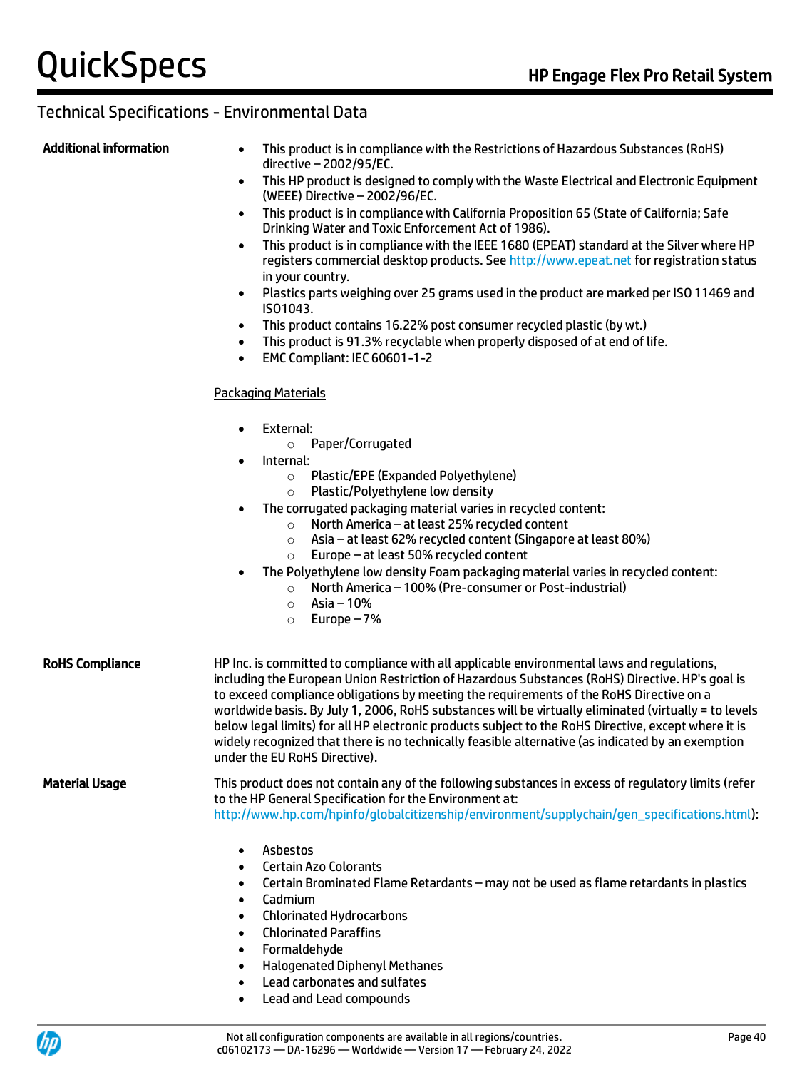- Additional information This product is in compliance with the Restrictions of Hazardous Substances (RoHS) directive – 2002/95/EC.
	- This HP product is designed to comply with the Waste Electrical and Electronic Equipment (WEEE) Directive – 2002/96/EC.
	- This product is in compliance with California Proposition 65 (State of California; Safe Drinking Water and Toxic Enforcement Act of 1986).
	- This product is in compliance with the IEEE 1680 (EPEAT) standard at the Silver where HP registers commercial desktop products. Se[e http://www.epeat.net](http://www.epeat.net/) for registration status in your country.
	- Plastics parts weighing over 25 grams used in the product are marked per ISO 11469 and ISO1043.
	- This product contains 16.22% post consumer recycled plastic (by wt.)
	- This product is 91.3% recyclable when properly disposed of at end of life.
	- EMC Compliant: IEC 60601-1-2

#### Packaging Materials

- External:
	- o Paper/Corrugated
- Internal:
	- o Plastic/EPE (Expanded Polyethylene)
	- o Plastic/Polyethylene low density
- The corrugated packaging material varies in recycled content:
	- o North America at least 25% recycled content
	- o Asia at least 62% recycled content (Singapore at least 80%)
	- o Europe at least 50% recycled content
- The Polyethylene low density Foam packaging material varies in recycled content:
	- o North America 100% (Pre-consumer or Post-industrial)
	- $\circ$  Asia 10%
	- o Europe 7%

#### RoHS Compliance HP Inc. is committed to compliance with all applicable environmental laws and regulations, including the European Union Restriction of Hazardous Substances (RoHS) Directive. HP's goal is to exceed compliance obligations by meeting the requirements of the RoHS Directive on a worldwide basis. By July 1, 2006, RoHS substances will be virtually eliminated (virtually = to levels below legal limits) for all HP electronic products subject to the RoHS Directive, except where it is widely recognized that there is no technically feasible alternative (as indicated by an exemption under the EU RoHS Directive).

Material Usage This product does not contain any of the following substances in excess of regulatory limits (refer to the HP General Specification for the Environment at:

[http://www.hp.com/hpinfo/globalcitizenship/environment/supplychain/gen\\_specifications.html\)](http://www.hp.com/hpinfo/globalcitizenship/environment/supplychain/gen_specifications.html):

- Asbestos
- Certain Azo Colorants
- Certain Brominated Flame Retardants may not be used as flame retardants in plastics
- Cadmium
- Chlorinated Hydrocarbons
- Chlorinated Paraffins
- Formaldehyde
- Halogenated Diphenyl Methanes
- Lead carbonates and sulfates
- Lead and Lead compounds

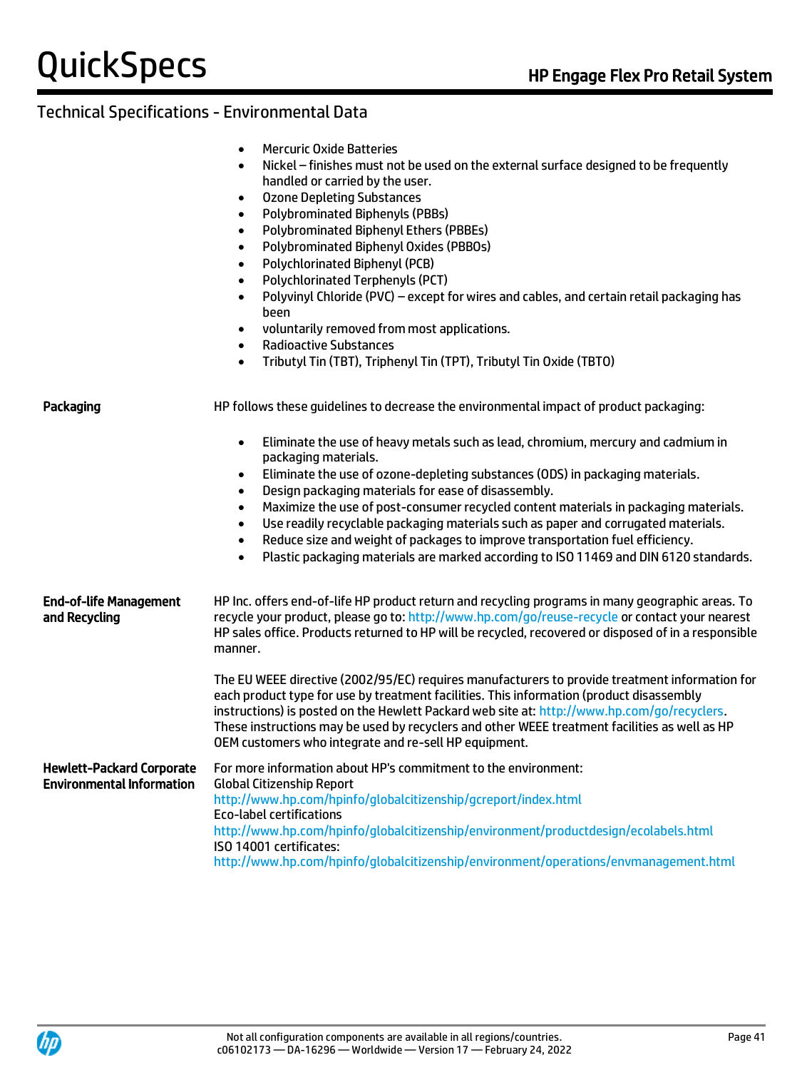### Technical Specifications - Environmental Data

|                                                                      | <b>Mercuric Oxide Batteries</b><br>$\bullet$<br>Nickel - finishes must not be used on the external surface designed to be frequently<br>$\bullet$<br>handled or carried by the user.<br><b>Ozone Depleting Substances</b><br>$\bullet$<br><b>Polybrominated Biphenyls (PBBs)</b><br>$\bullet$<br>Polybrominated Biphenyl Ethers (PBBEs)<br>$\bullet$<br>Polybrominated Biphenyl Oxides (PBBOs)<br>$\bullet$<br>Polychlorinated Biphenyl (PCB)<br>$\bullet$<br>Polychlorinated Terphenyls (PCT)<br>$\bullet$<br>Polyvinyl Chloride (PVC) - except for wires and cables, and certain retail packaging has<br>$\bullet$<br>been<br>voluntarily removed from most applications.<br>$\bullet$<br><b>Radioactive Substances</b><br>$\bullet$<br>Tributyl Tin (TBT), Triphenyl Tin (TPT), Tributyl Tin Oxide (TBTO)<br>$\bullet$ |
|----------------------------------------------------------------------|---------------------------------------------------------------------------------------------------------------------------------------------------------------------------------------------------------------------------------------------------------------------------------------------------------------------------------------------------------------------------------------------------------------------------------------------------------------------------------------------------------------------------------------------------------------------------------------------------------------------------------------------------------------------------------------------------------------------------------------------------------------------------------------------------------------------------|
| Packaging                                                            | HP follows these guidelines to decrease the environmental impact of product packaging:                                                                                                                                                                                                                                                                                                                                                                                                                                                                                                                                                                                                                                                                                                                                    |
|                                                                      | Eliminate the use of heavy metals such as lead, chromium, mercury and cadmium in<br>$\bullet$<br>packaging materials.<br>Eliminate the use of ozone-depleting substances (ODS) in packaging materials.<br>$\bullet$<br>Design packaging materials for ease of disassembly.<br>$\bullet$<br>Maximize the use of post-consumer recycled content materials in packaging materials.<br>$\bullet$<br>Use readily recyclable packaging materials such as paper and corrugated materials.<br>$\bullet$<br>Reduce size and weight of packages to improve transportation fuel efficiency.<br>$\bullet$<br>Plastic packaging materials are marked according to ISO 11469 and DIN 6120 standards.<br>$\bullet$                                                                                                                       |
| <b>End-of-life Management</b><br>and Recycling                       | HP Inc. offers end-of-life HP product return and recycling programs in many geographic areas. To<br>recycle your product, please go to: http://www.hp.com/go/reuse-recycle or contact your nearest<br>HP sales office. Products returned to HP will be recycled, recovered or disposed of in a responsible<br>manner.                                                                                                                                                                                                                                                                                                                                                                                                                                                                                                     |
|                                                                      | The EU WEEE directive (2002/95/EC) requires manufacturers to provide treatment information for<br>each product type for use by treatment facilities. This information (product disassembly<br>instructions) is posted on the Hewlett Packard web site at: http://www.hp.com/go/recyclers.<br>These instructions may be used by recyclers and other WEEE treatment facilities as well as HP<br>OEM customers who integrate and re-sell HP equipment.                                                                                                                                                                                                                                                                                                                                                                       |
| <b>Hewlett-Packard Corporate</b><br><b>Environmental Information</b> | For more information about HP's commitment to the environment:<br><b>Global Citizenship Report</b><br>http://www.hp.com/hpinfo/globalcitizenship/gcreport/index.html<br>Eco-label certifications<br>http://www.hp.com/hpinfo/globalcitizenship/environment/productdesign/ecolabels.html<br>ISO 14001 certificates:                                                                                                                                                                                                                                                                                                                                                                                                                                                                                                        |

<http://www.hp.com/hpinfo/globalcitizenship/environment/operations/envmanagement.html>

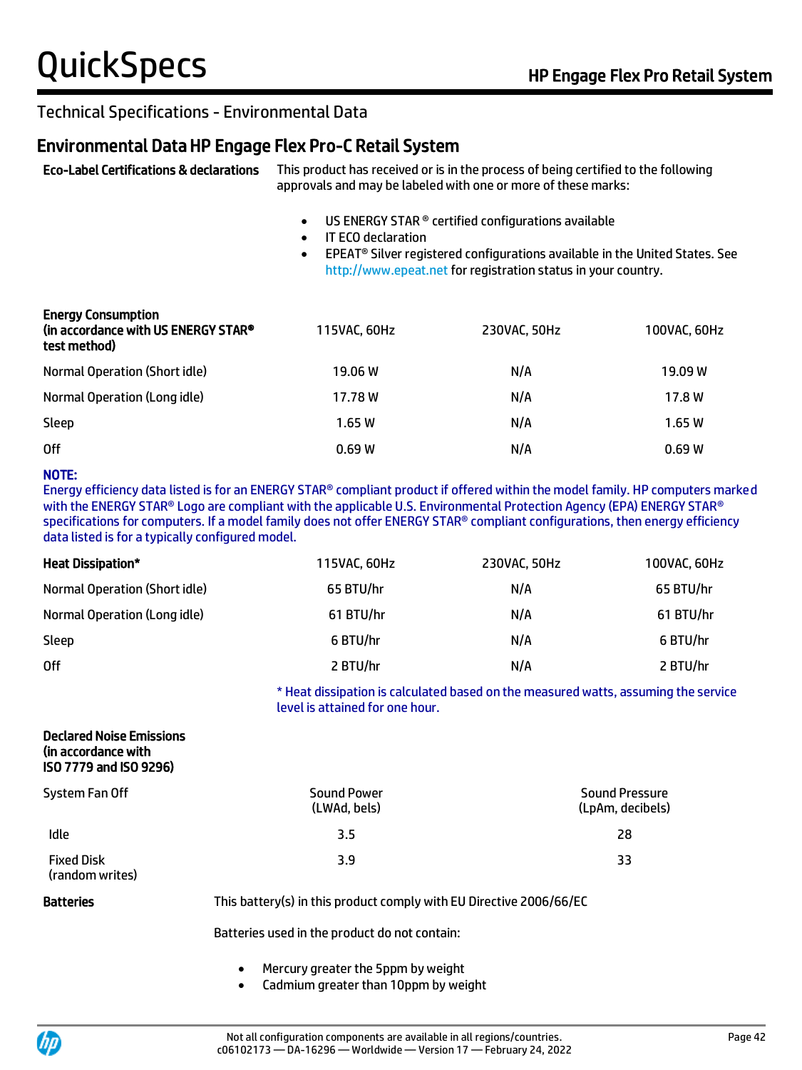#### Environmental Data HP Engage Flex Pro-C Retail System

Eco-Label Certifications & declarations This product has received or is in the process of being certified to the following approvals and may be labeled with one or more of these marks:

- US ENERGY STAR ® certified configurations available
- IT ECO declaration
- EPEAT® Silver registered configurations available in the United States. See [http://www.epeat.net](http://www.epeat.net/) for registration status in your country.

| <b>Energy Consumption</b><br>(in accordance with US ENERGY STAR®<br>test method) | 115VAC, 60Hz | 230VAC, 50Hz | 100VAC, 60Hz |
|----------------------------------------------------------------------------------|--------------|--------------|--------------|
| Normal Operation (Short idle)                                                    | 19.06 W      | N/A          | 19.09 W      |
| Normal Operation (Long idle)                                                     | 17.78W       | N/A          | 17.8 W       |
| Sleep                                                                            | 1.65W        | N/A          | 1.65W        |
| 0ff                                                                              | 0.69W        | N/A          | 0.69W        |

#### NOTE:

Energy efficiency data listed is for an ENERGY STAR® compliant product if offered within the model family. HP computers marked with the ENERGY STAR® Logo are compliant with the applicable U.S. Environmental Protection Agency (EPA) ENERGY STAR® specifications for computers. If a model family does not offer ENERGY STAR® compliant configurations, then energy efficiency data listed is for a typically configured model.

| <b>Heat Dissipation*</b>      | 115VAC, 60Hz | 230VAC, 50Hz | 100VAC, 60Hz |
|-------------------------------|--------------|--------------|--------------|
| Normal Operation (Short idle) | 65 BTU/hr    | N/A          | 65 BTU/hr    |
| Normal Operation (Long idle)  | 61 BTU/hr    | N/A          | 61 BTU/hr    |
| Sleep                         | 6 BTU/hr     | N/A          | 6 BTU/hr     |
| 0ff                           | 2 BTU/hr     | N/A          | 2 BTU/hr     |

\* Heat dissipation is calculated based on the measured watts, assuming the service level is attained for one hour.

#### Declared Noise Emissions (in accordance with ISO 7779 and ISO 9296)

| System Fan Off                       | <b>Sound Power</b><br>(LWAd, bels) | <b>Sound Pressure</b><br>(LpAm, decibels) |
|--------------------------------------|------------------------------------|-------------------------------------------|
| Idle                                 | 3.5                                | 28                                        |
| <b>Fixed Disk</b><br>(random writes) | 3.9                                | 33                                        |

Batteries **This battery(s)** in this product comply with EU Directive 2006/66/EC

Batteries used in the product do not contain:

- Mercury greater the 5ppm by weight
- Cadmium greater than 10ppm by weight

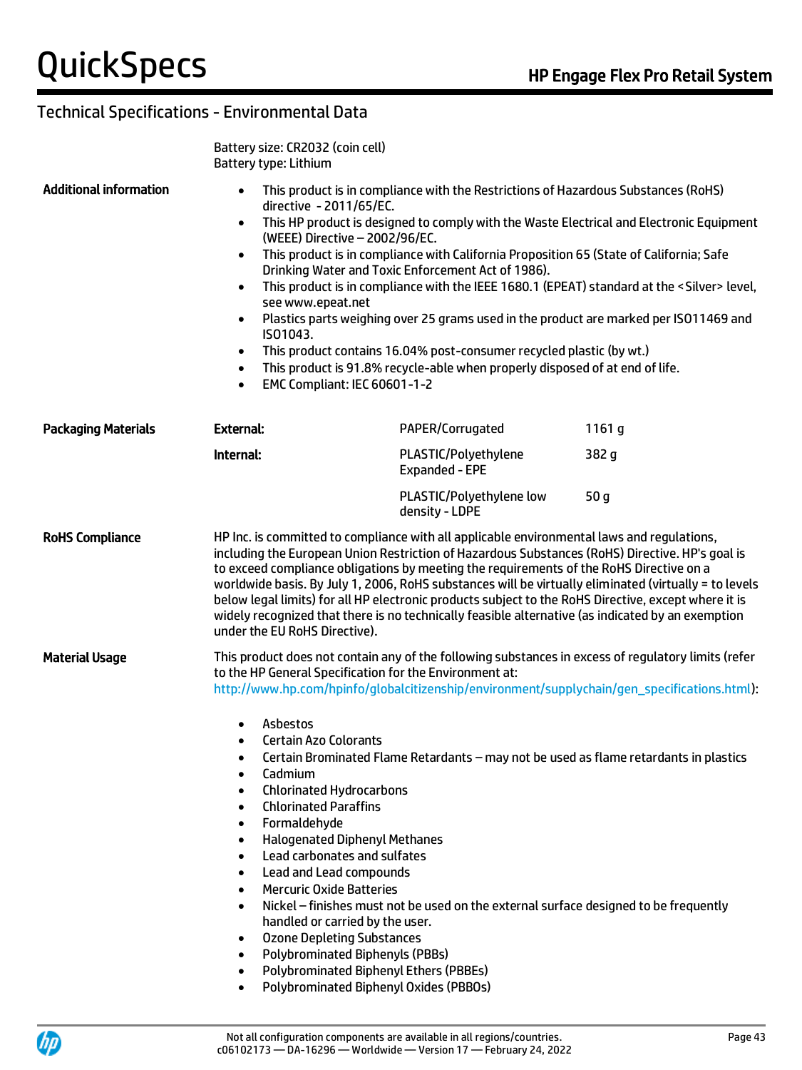|                                                                                                                                                                                                                                                                            | Battery size: CR2032 (coin cell)<br>Battery type: Lithium                                                                                                                                                                                                                                                                                                                                                                                                                                          |                                                                                                                                                                                                                                                                                                                                                                                                                                                                                                                                                                                                                |                                                                                                                                                                                                                                                                                                                                                                                                                                                                                                                                                                                                                                      |  |  |
|----------------------------------------------------------------------------------------------------------------------------------------------------------------------------------------------------------------------------------------------------------------------------|----------------------------------------------------------------------------------------------------------------------------------------------------------------------------------------------------------------------------------------------------------------------------------------------------------------------------------------------------------------------------------------------------------------------------------------------------------------------------------------------------|----------------------------------------------------------------------------------------------------------------------------------------------------------------------------------------------------------------------------------------------------------------------------------------------------------------------------------------------------------------------------------------------------------------------------------------------------------------------------------------------------------------------------------------------------------------------------------------------------------------|--------------------------------------------------------------------------------------------------------------------------------------------------------------------------------------------------------------------------------------------------------------------------------------------------------------------------------------------------------------------------------------------------------------------------------------------------------------------------------------------------------------------------------------------------------------------------------------------------------------------------------------|--|--|
| <b>Additional information</b><br>$\bullet$<br>directive - 2011/65/EC.<br>$\bullet$<br>(WEEE) Directive - 2002/96/EC.<br>$\bullet$<br>$\bullet$<br>see www.epeat.net<br>$\bullet$<br>ISO1043.<br>$\bullet$<br>$\bullet$<br><b>EMC Compliant: IEC 60601-1-2</b><br>$\bullet$ |                                                                                                                                                                                                                                                                                                                                                                                                                                                                                                    | Drinking Water and Toxic Enforcement Act of 1986).                                                                                                                                                                                                                                                                                                                                                                                                                                                                                                                                                             | This product is in compliance with the Restrictions of Hazardous Substances (RoHS)<br>This HP product is designed to comply with the Waste Electrical and Electronic Equipment<br>This product is in compliance with California Proposition 65 (State of California; Safe<br>This product is in compliance with the IEEE 1680.1 (EPEAT) standard at the <silver> level,<br/>Plastics parts weighing over 25 grams used in the product are marked per ISO11469 and<br/>This product contains 16.04% post-consumer recycled plastic (by wt.)<br/>This product is 91.8% recycle-able when properly disposed of at end of life.</silver> |  |  |
| Packaging Materials                                                                                                                                                                                                                                                        | <b>External:</b>                                                                                                                                                                                                                                                                                                                                                                                                                                                                                   | PAPER/Corrugated                                                                                                                                                                                                                                                                                                                                                                                                                                                                                                                                                                                               | 1161 g                                                                                                                                                                                                                                                                                                                                                                                                                                                                                                                                                                                                                               |  |  |
|                                                                                                                                                                                                                                                                            | Internal:                                                                                                                                                                                                                                                                                                                                                                                                                                                                                          | PLASTIC/Polyethylene<br>Expanded - EPE                                                                                                                                                                                                                                                                                                                                                                                                                                                                                                                                                                         | 382 g                                                                                                                                                                                                                                                                                                                                                                                                                                                                                                                                                                                                                                |  |  |
|                                                                                                                                                                                                                                                                            |                                                                                                                                                                                                                                                                                                                                                                                                                                                                                                    | PLASTIC/Polyethylene low<br>density - LDPE                                                                                                                                                                                                                                                                                                                                                                                                                                                                                                                                                                     | 50 <sub>g</sub>                                                                                                                                                                                                                                                                                                                                                                                                                                                                                                                                                                                                                      |  |  |
| <b>RoHS Compliance</b>                                                                                                                                                                                                                                                     | under the EU RoHS Directive).                                                                                                                                                                                                                                                                                                                                                                                                                                                                      | HP Inc. is committed to compliance with all applicable environmental laws and regulations,<br>including the European Union Restriction of Hazardous Substances (RoHS) Directive. HP's goal is<br>to exceed compliance obligations by meeting the requirements of the RoHS Directive on a<br>worldwide basis. By July 1, 2006, RoHS substances will be virtually eliminated (virtually = to levels<br>below legal limits) for all HP electronic products subject to the RoHS Directive, except where it is<br>widely recognized that there is no technically feasible alternative (as indicated by an exemption |                                                                                                                                                                                                                                                                                                                                                                                                                                                                                                                                                                                                                                      |  |  |
| <b>Material Usage</b>                                                                                                                                                                                                                                                      |                                                                                                                                                                                                                                                                                                                                                                                                                                                                                                    | This product does not contain any of the following substances in excess of regulatory limits (refer<br>to the HP General Specification for the Environment at:<br>http://www.hp.com/hpinfo/globalcitizenship/environment/supplychain/gen_specifications.html):                                                                                                                                                                                                                                                                                                                                                 |                                                                                                                                                                                                                                                                                                                                                                                                                                                                                                                                                                                                                                      |  |  |
|                                                                                                                                                                                                                                                                            | Asbestos<br><b>Certain Azo Colorants</b><br>$\bullet$<br>$\bullet$<br>Cadmium<br><b>Chlorinated Hydrocarbons</b><br>$\bullet$<br><b>Chlorinated Paraffins</b><br>$\bullet$<br>Formaldehyde<br>$\bullet$<br>$\bullet$<br>Lead carbonates and sulfates<br>$\bullet$<br>Lead and Lead compounds<br>$\bullet$<br><b>Mercuric Oxide Batteries</b><br>$\bullet$<br>$\bullet$<br>handled or carried by the user.<br><b>Ozone Depleting Substances</b><br>$\bullet$<br>$\bullet$<br>$\bullet$<br>$\bullet$ | Certain Brominated Flame Retardants - may not be used as flame retardants in plastics<br><b>Halogenated Diphenyl Methanes</b><br>Nickel – finishes must not be used on the external surface designed to be frequently<br><b>Polybrominated Biphenyls (PBBs)</b><br><b>Polybrominated Biphenyl Ethers (PBBEs)</b><br>Polybrominated Biphenyl Oxides (PBBOs)                                                                                                                                                                                                                                                     |                                                                                                                                                                                                                                                                                                                                                                                                                                                                                                                                                                                                                                      |  |  |

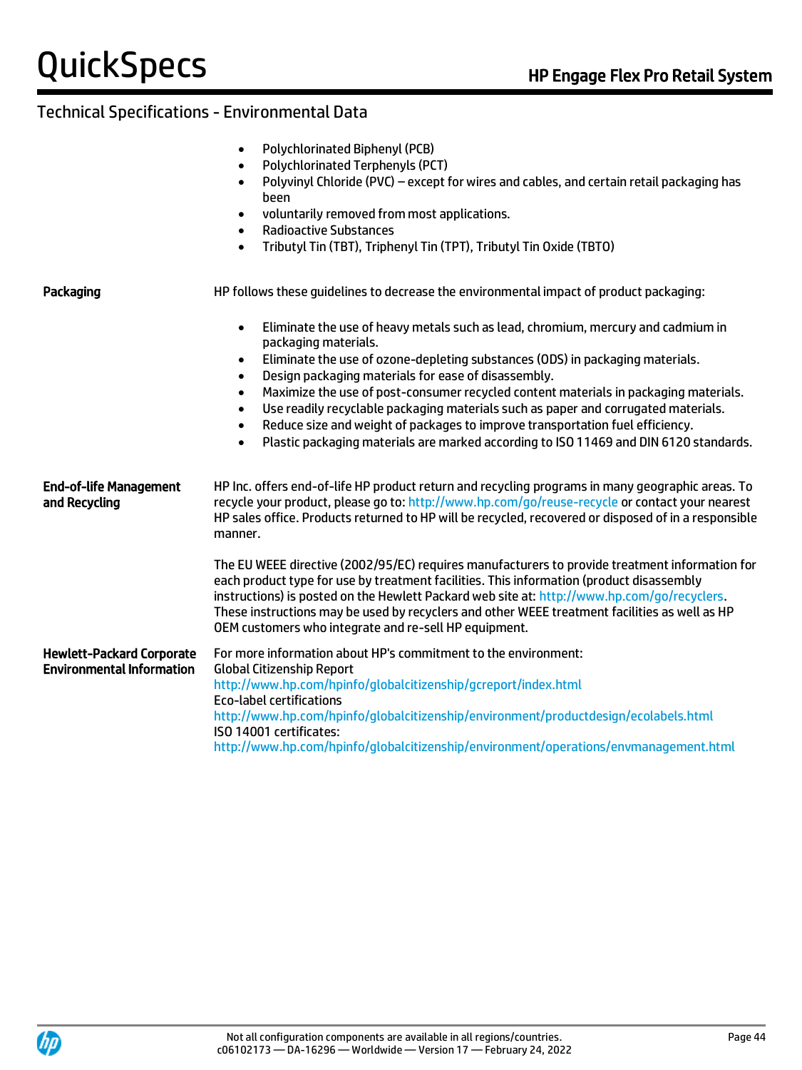| Polychlorinated Biphenyl (PCB) |  |
|--------------------------------|--|
|                                |  |

- Polychlorinated Terphenyls (PCT)
- Polyvinyl Chloride (PVC) except for wires and cables, and certain retail packaging has been
- voluntarily removed from most applications.
- Radioactive Substances
- Tributyl Tin (TBT), Triphenyl Tin (TPT), Tributyl Tin Oxide (TBTO)

| Packaging                                                            | HP follows these quidelines to decrease the environmental impact of product packaging:                                                                                                                                                                                                                                                                                                                                                                                                                                                                                                                                                                                                              |
|----------------------------------------------------------------------|-----------------------------------------------------------------------------------------------------------------------------------------------------------------------------------------------------------------------------------------------------------------------------------------------------------------------------------------------------------------------------------------------------------------------------------------------------------------------------------------------------------------------------------------------------------------------------------------------------------------------------------------------------------------------------------------------------|
|                                                                      | Eliminate the use of heavy metals such as lead, chromium, mercury and cadmium in<br>$\bullet$<br>packaging materials.<br>Eliminate the use of ozone-depleting substances (ODS) in packaging materials.<br>$\bullet$<br>Design packaging materials for ease of disassembly.<br>$\bullet$<br>Maximize the use of post-consumer recycled content materials in packaging materials.<br>$\bullet$<br>Use readily recyclable packaging materials such as paper and corrugated materials.<br>$\bullet$<br>Reduce size and weight of packages to improve transportation fuel efficiency.<br>$\bullet$<br>Plastic packaging materials are marked according to ISO 11469 and DIN 6120 standards.<br>$\bullet$ |
| <b>End-of-life Management</b><br>and Recycling                       | HP Inc. offers end-of-life HP product return and recycling programs in many geographic areas. To<br>recycle your product, please go to: http://www.hp.com/go/reuse-recycle or contact your nearest<br>HP sales office. Products returned to HP will be recycled, recovered or disposed of in a responsible<br>manner.                                                                                                                                                                                                                                                                                                                                                                               |
|                                                                      | The EU WEEE directive (2002/95/EC) requires manufacturers to provide treatment information for<br>each product type for use by treatment facilities. This information (product disassembly<br>instructions) is posted on the Hewlett Packard web site at: http://www.hp.com/go/recyclers.<br>These instructions may be used by recyclers and other WEEE treatment facilities as well as HP<br>OEM customers who integrate and re-sell HP equipment.                                                                                                                                                                                                                                                 |
| <b>Hewlett-Packard Corporate</b><br><b>Environmental Information</b> | For more information about HP's commitment to the environment:<br><b>Global Citizenship Report</b><br>http://www.hp.com/hpinfo/globalcitizenship/gcreport/index.html<br><b>Eco-label certifications</b><br>http://www.hp.com/hpinfo/globalcitizenship/environment/productdesign/ecolabels.html<br>ISO 14001 certificates:<br>http://www.hp.com/hpinfo/globalcitizenship/environment/operations/envmanagement.html                                                                                                                                                                                                                                                                                   |

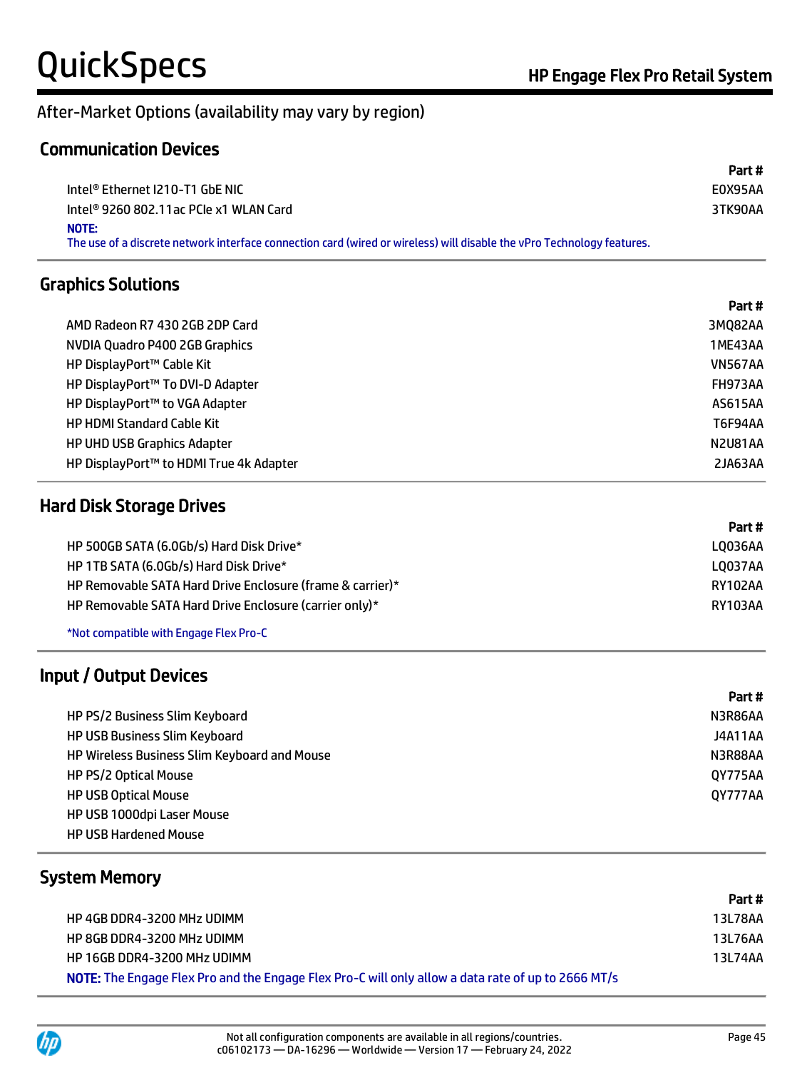# After-Market Options (availability may vary by region)

#### Communication Devices

|                                                                                                                                 | Part #  |
|---------------------------------------------------------------------------------------------------------------------------------|---------|
| Intel® Ethernet I210-T1 GbE NIC                                                                                                 | E0X95AA |
| Intel® 9260 802.11ac PCle x1 WLAN Card                                                                                          | 3TK90AA |
| NOTE:<br>The use of a discrete network interface connection card (wired or wireless) will disable the vPro Technology features. |         |

### Graphics Solutions

|                                         | Part #         |
|-----------------------------------------|----------------|
| AMD Radeon R7 430 2GB 2DP Card          | 3MQ82AA        |
| NVDIA Quadro P400 2GB Graphics          | 1ME43AA        |
| HP DisplayPort™ Cable Kit               | <b>VN567AA</b> |
| HP DisplayPort™ To DVI-D Adapter        | FH973AA        |
| HP DisplayPort™ to VGA Adapter          | AS615AA        |
| <b>HP HDMI Standard Cable Kit</b>       | T6F94AA        |
| <b>HP UHD USB Graphics Adapter</b>      | N2U81AA        |
| HP DisplayPort™ to HDMI True 4k Adapter | 2JA63AA        |

#### Hard Disk Storage Drives

|                                                           | ran f   |
|-----------------------------------------------------------|---------|
| HP 500GB SATA (6.0Gb/s) Hard Disk Drive*                  | L0036AA |
| HP 1TB SATA (6.0Gb/s) Hard Disk Drive*                    | L0037AA |
| HP Removable SATA Hard Drive Enclosure (frame & carrier)* | RY102AA |
| HP Removable SATA Hard Drive Enclosure (carrier only)*    | RY103AA |
|                                                           |         |

\*Not compatible with Engage Flex Pro-C

### Input / Output Devices

|                                              | Part #         |
|----------------------------------------------|----------------|
| HP PS/2 Business Slim Keyboard               | N3R86AA        |
| <b>HP USB Business Slim Keyboard</b>         | J4A11AA        |
| HP Wireless Business Slim Keyboard and Mouse | N3R88AA        |
| HP PS/2 Optical Mouse                        | 0Y775AA        |
| <b>HP USB Optical Mouse</b>                  | <b>QY777AA</b> |
| HP USB 1000dpi Laser Mouse                   |                |
| <b>HP USB Hardened Mouse</b>                 |                |

#### System Memory

|                                                                                                    | Part #  |
|----------------------------------------------------------------------------------------------------|---------|
| HP 4GB DDR4-3200 MHz UDIMM                                                                         | 13L78AA |
| HP 8GB DDR4-3200 MHz UDIMM                                                                         | 13L76AA |
| HP 16GB DDR4-3200 MHz UDIMM                                                                        | 13L74AA |
| NOTE: The Engage Flex Pro and the Engage Flex Pro-C will only allow a data rate of up to 2666 MT/s |         |



Part #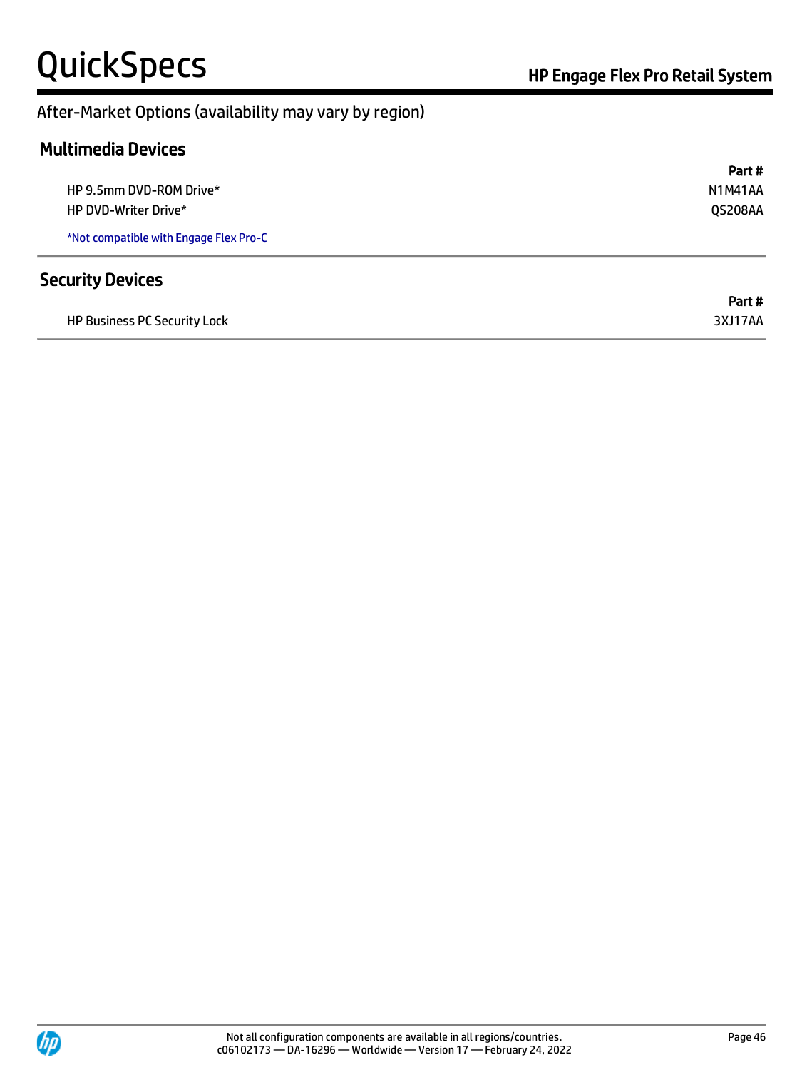#### After-Market Options (availability may vary by region)

### Multimedia Devices

|                                        | Part#          |
|----------------------------------------|----------------|
| HP 9.5mm DVD-ROM Drive*                | <b>N1M41AA</b> |
| HP DVD-Writer Drive*                   | QS208AA        |
| *Not compatible with Engage Flex Pro-C |                |
| <b>Security Devices</b>                |                |
|                                        | Part#          |
| <b>HP Business PC Security Lock</b>    | 3XJ17AA        |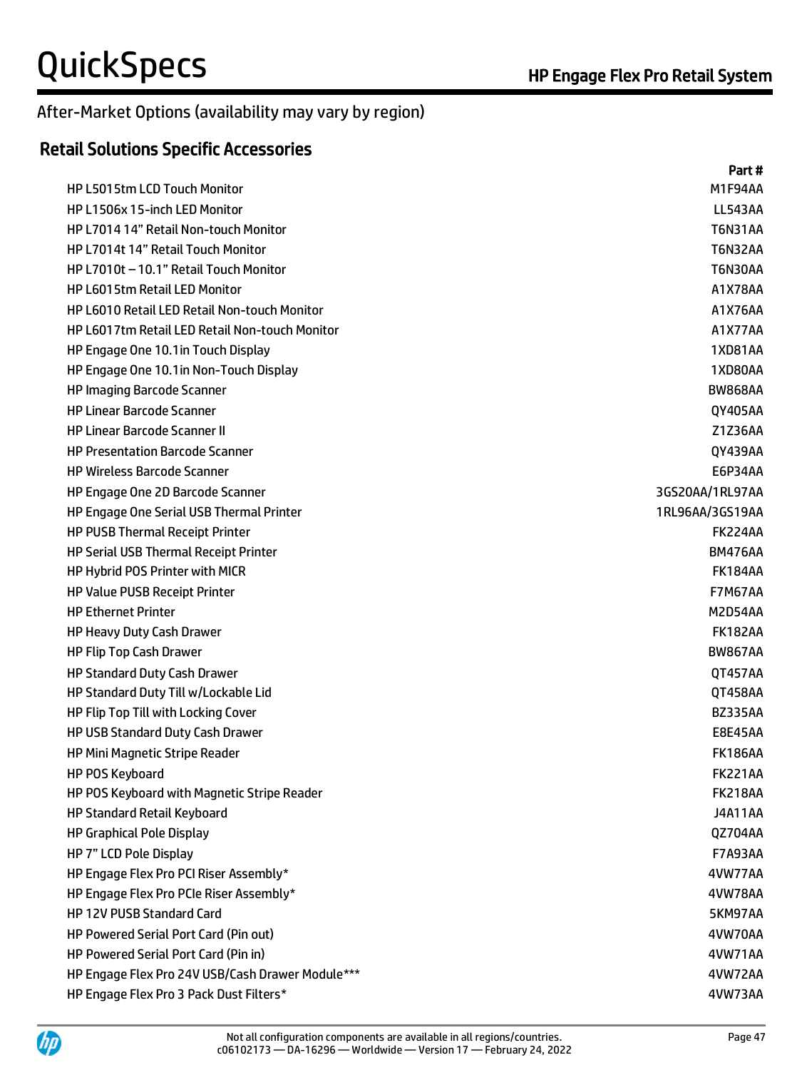#### After-Market Options (availability may vary by region)

### Retail Solutions Specific Accessories

|                                                  | Part#           |
|--------------------------------------------------|-----------------|
| <b>HP L5015tm LCD Touch Monitor</b>              | M1F94AA         |
| HP L1506x 15-inch LED Monitor                    | <b>LL543AA</b>  |
| HP L7014 14" Retail Non-touch Monitor            | <b>T6N31AA</b>  |
| HP L7014t 14" Retail Touch Monitor               | <b>T6N32AA</b>  |
| HP L7010t - 10.1" Retail Touch Monitor           | <b>T6N30AA</b>  |
| <b>HP L6015tm Retail LED Monitor</b>             | A1X78AA         |
| HP L6010 Retail LED Retail Non-touch Monitor     | A1X76AA         |
| HP L6017tm Retail LED Retail Non-touch Monitor   | A1X77AA         |
| HP Engage One 10.1 in Touch Display              | <b>1XD81AA</b>  |
| HP Engage One 10.1 in Non-Touch Display          | 1XD80AA         |
| <b>HP Imaging Barcode Scanner</b>                | <b>BW868AA</b>  |
| <b>HP Linear Barcode Scanner</b>                 | QY405AA         |
| <b>HP Linear Barcode Scanner II</b>              | Z1Z36AA         |
| <b>HP Presentation Barcode Scanner</b>           | QY439AA         |
| <b>HP Wireless Barcode Scanner</b>               | E6P34AA         |
| HP Engage One 2D Barcode Scanner                 | 3GS20AA/1RL97AA |
| HP Engage One Serial USB Thermal Printer         | 1RL96AA/3GS19AA |
| HP PUSB Thermal Receipt Printer                  | <b>FK224AA</b>  |
| HP Serial USB Thermal Receipt Printer            | <b>BM476AA</b>  |
| HP Hybrid POS Printer with MICR                  | <b>FK184AA</b>  |
| <b>HP Value PUSB Receipt Printer</b>             | <b>F7M67AA</b>  |
| <b>HP Ethernet Printer</b>                       | M2D54AA         |
| HP Heavy Duty Cash Drawer                        | <b>FK182AA</b>  |
| HP Flip Top Cash Drawer                          | <b>BW867AA</b>  |
| <b>HP Standard Duty Cash Drawer</b>              | QT457AA         |
| HP Standard Duty Till w/Lockable Lid             | QT458AA         |
| HP Flip Top Till with Locking Cover              | <b>BZ335AA</b>  |
| HP USB Standard Duty Cash Drawer                 | <b>E8E45AA</b>  |
| HP Mini Magnetic Stripe Reader                   | <b>FK186AA</b>  |
| HP POS Keyboard                                  | <b>FK221AA</b>  |
| HP POS Keyboard with Magnetic Stripe Reader      | <b>FK218AA</b>  |
| HP Standard Retail Keyboard                      | <b>J4A11AA</b>  |
| <b>HP Graphical Pole Display</b>                 | QZ704AA         |
| HP 7" LCD Pole Display                           | <b>F7A93AA</b>  |
| HP Engage Flex Pro PCI Riser Assembly*           | 4VW77AA         |
| HP Engage Flex Pro PCIe Riser Assembly*          | 4VW78AA         |
| HP 12V PUSB Standard Card                        | 5KM97AA         |
| HP Powered Serial Port Card (Pin out)            | 4VW70AA         |
| HP Powered Serial Port Card (Pin in)             | 4VW71AA         |
| HP Engage Flex Pro 24V USB/Cash Drawer Module*** | 4VW72AA         |
| HP Engage Flex Pro 3 Pack Dust Filters*          | 4VW73AA         |

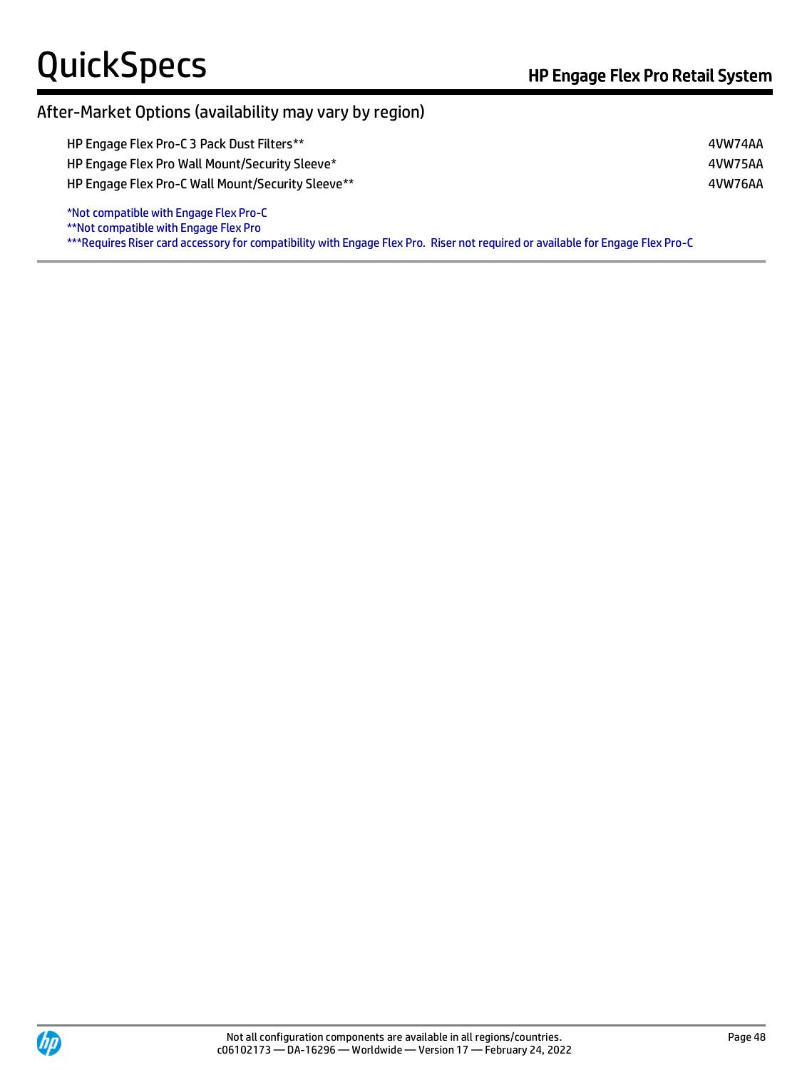Ï

#### After-Market Options (availability may vary by region)

| HP Engage Flex Pro-C 3 Pack Dust Filters**        | 4VW74AA |
|---------------------------------------------------|---------|
| HP Engage Flex Pro Wall Mount/Security Sleeve*    | 4VW75AA |
| HP Engage Flex Pro-C Wall Mount/Security Sleeve** | 4VW76AA |
| *Not compatible with Engage Flex Pro-C            |         |

\*\*Not compatible with Engage Flex Pro

\*\*\*Requires Riser card accessory for compatibility with Engage Flex Pro. Riser not required or available for Engage Flex Pro-C

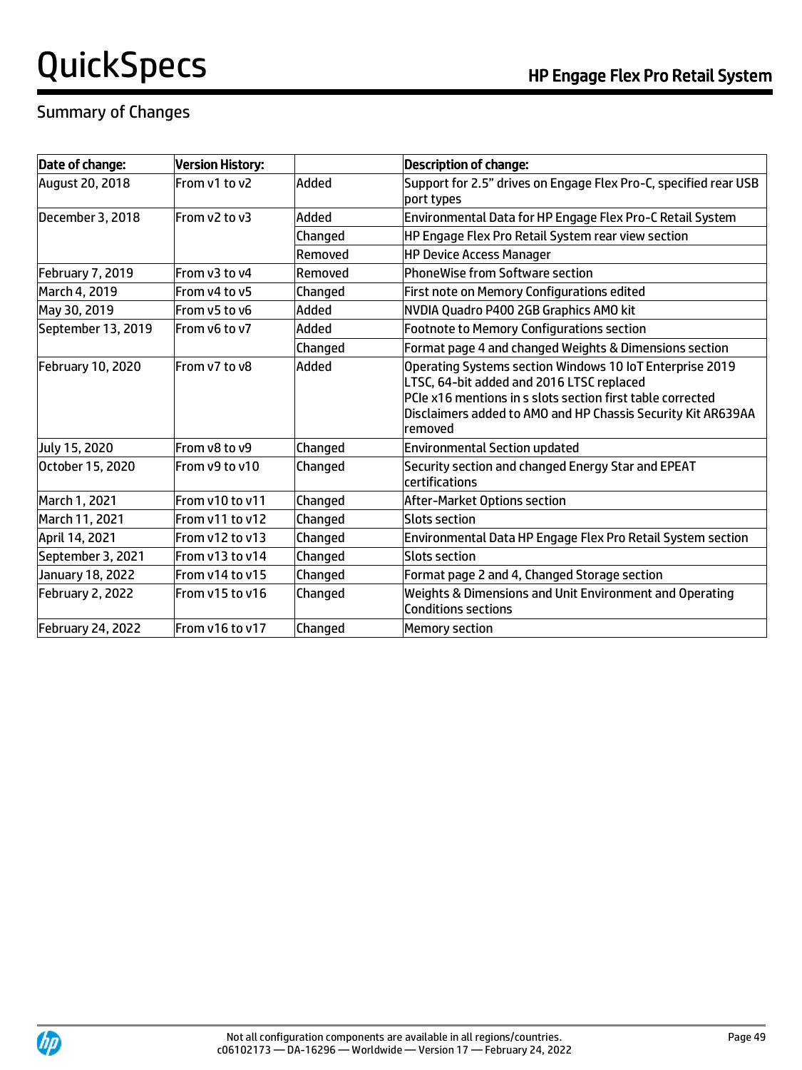# Summary of Changes

| Date of change:        | <b>Version History:</b> |         | <b>Description of change:</b>                                                                                                                                                                                                                  |
|------------------------|-------------------------|---------|------------------------------------------------------------------------------------------------------------------------------------------------------------------------------------------------------------------------------------------------|
| <b>August 20, 2018</b> | From v1 to v2           | Added   | Support for 2.5" drives on Engage Flex Pro-C, specified rear USB<br>port types                                                                                                                                                                 |
| December 3, 2018       | From v2 to v3           | Added   | Environmental Data for HP Engage Flex Pro-C Retail System                                                                                                                                                                                      |
|                        |                         | Changed | HP Engage Flex Pro Retail System rear view section                                                                                                                                                                                             |
|                        |                         | Removed | <b>HP Device Access Manager</b>                                                                                                                                                                                                                |
| February 7, 2019       | From v3 to v4           | Removed | PhoneWise from Software section                                                                                                                                                                                                                |
| March 4, 2019          | From y4 to y5           | Changed | First note on Memory Configurations edited                                                                                                                                                                                                     |
| May 30, 2019           | From v5 to v6           | Added   | NVDIA Quadro P400 2GB Graphics AMO kit                                                                                                                                                                                                         |
| September 13, 2019     | From v6 to v7           | Added   | <b>Footnote to Memory Configurations section</b>                                                                                                                                                                                               |
|                        |                         | Changed | Format page 4 and changed Weights & Dimensions section                                                                                                                                                                                         |
| February 10, 2020      | From v7 to v8           | Added   | Operating Systems section Windows 10 IoT Enterprise 2019<br>LTSC, 64-bit added and 2016 LTSC replaced<br>PCIe x16 mentions in s slots section first table corrected<br>Disclaimers added to AMO and HP Chassis Security Kit AR639AA<br>removed |
| July 15, 2020          | From v8 to v9           | Changed | <b>Environmental Section updated</b>                                                                                                                                                                                                           |
| October 15, 2020       | From v9 to v10          | Changed | Security section and changed Energy Star and EPEAT<br>certifications                                                                                                                                                                           |
| March 1, 2021          | From v10 to v11         | Changed | After-Market Options section                                                                                                                                                                                                                   |
| March 11, 2021         | From v11 to v12         | Changed | Slots section                                                                                                                                                                                                                                  |
| April 14, 2021         | From y12 to y13         | Changed | Environmental Data HP Engage Flex Pro Retail System section                                                                                                                                                                                    |
| September 3, 2021      | From y13 to y14         | Changed | <b>Slots section</b>                                                                                                                                                                                                                           |
| January 18, 2022       | From y14 to y15         | Changed | Format page 2 and 4, Changed Storage section                                                                                                                                                                                                   |
| February 2, 2022       | From y15 to y16         | Changed | Weights & Dimensions and Unit Environment and Operating<br>Conditions sections                                                                                                                                                                 |
| February 24, 2022      | From v16 to v17         | Changed | <b>Memory section</b>                                                                                                                                                                                                                          |